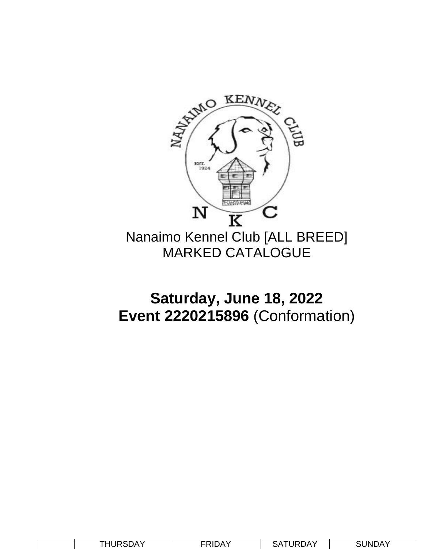

Nanaimo Kennel Club [ALL BREED] MARKED CATALOGUE

## **Saturday, June 18, 2022 Event 2220215896** (Conformation)

|  | <b>THURSDAY</b> | FRIDAY | JRDAY<br>SА | ፡UNDAY |
|--|-----------------|--------|-------------|--------|
|--|-----------------|--------|-------------|--------|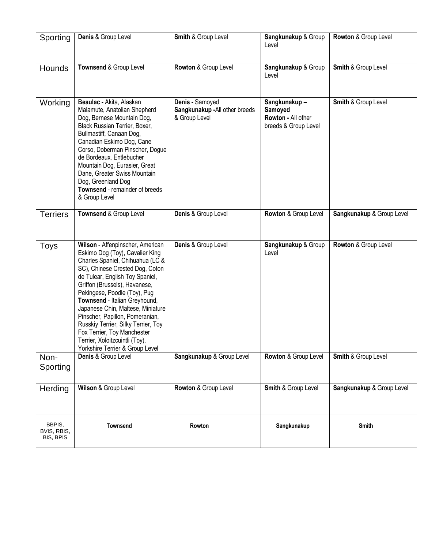| Sporting                           | Denis & Group Level                                                                                                                                                                                                                                                                                                                                                                                                                                                                                | Smith & Group Level                                                | Sangkunakup & Group<br>Level                                          | Rowton & Group Level           |
|------------------------------------|----------------------------------------------------------------------------------------------------------------------------------------------------------------------------------------------------------------------------------------------------------------------------------------------------------------------------------------------------------------------------------------------------------------------------------------------------------------------------------------------------|--------------------------------------------------------------------|-----------------------------------------------------------------------|--------------------------------|
| Hounds                             | Townsend & Group Level                                                                                                                                                                                                                                                                                                                                                                                                                                                                             | Rowton & Group Level                                               | Sangkunakup & Group<br>Level                                          | Smith & Group Level            |
| Working                            | Beaulac - Akita, Alaskan<br>Malamute, Anatolian Shepherd<br>Dog, Bernese Mountain Dog,<br>Black Russian Terrier, Boxer,<br>Bullmastiff, Canaan Dog,<br>Canadian Eskimo Dog, Cane<br>Corso, Doberman Pinscher, Dogue<br>de Bordeaux, Entlebucher<br>Mountain Dog, Eurasier, Great<br>Dane, Greater Swiss Mountain<br>Dog, Greenland Dog<br>Townsend - remainder of breeds<br>& Group Level                                                                                                          | Denis - Samoyed<br>Sangkunakup - All other breeds<br>& Group Level | Sangkunakup-<br>Samoyed<br>Rowton - All other<br>breeds & Group Level | <b>Smith &amp; Group Level</b> |
| <b>Terriers</b>                    | Townsend & Group Level                                                                                                                                                                                                                                                                                                                                                                                                                                                                             | Denis & Group Level                                                | Rowton & Group Level                                                  | Sangkunakup & Group Level      |
| Toys                               | Wilson - Affenpinscher, American<br>Eskimo Dog (Toy), Cavalier King<br>Charles Spaniel, Chihuahua (LC &<br>SC), Chinese Crested Dog, Coton<br>de Tulear, English Toy Spaniel,<br>Griffon (Brussels), Havanese,<br>Pekingese, Poodle (Toy), Pug<br>Townsend - Italian Greyhound,<br>Japanese Chin, Maltese, Miniature<br>Pinscher, Papillon, Pomeranian,<br>Russkiy Terrier, Silky Terrier, Toy<br>Fox Terrier, Toy Manchester<br>Terrier, Xoloitzcuintli (Toy),<br>Yorkshire Terrier & Group Level | Denis & Group Level                                                | Sangkunakup & Group<br>Level                                          | Rowton & Group Level           |
| Non-<br>Sporting                   | Denis & Group Level                                                                                                                                                                                                                                                                                                                                                                                                                                                                                | Sangkunakup & Group Level                                          | Rowton & Group Level                                                  | Smith & Group Level            |
| Herding                            | Wilson & Group Level                                                                                                                                                                                                                                                                                                                                                                                                                                                                               | Rowton & Group Level                                               | Smith & Group Level                                                   | Sangkunakup & Group Level      |
| BBPIS,<br>BVIS, RBIS,<br>BIS, BPIS | <b>Townsend</b>                                                                                                                                                                                                                                                                                                                                                                                                                                                                                    | Rowton                                                             | Sangkunakup                                                           | <b>Smith</b>                   |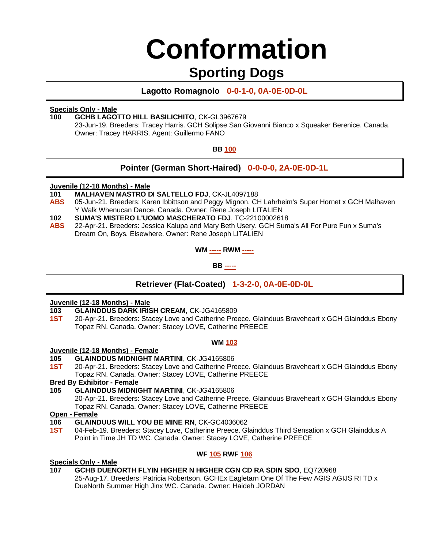# **Conformation**

### **Sporting Dogs**

**Lagotto Romagnolo 0-0-1-0, 0A-0E-0D-0L**

#### **Specials Only - Male**

#### **100 GCHB LAGOTTO HILL BASILICHITO**, CK-GL3967679

23-Jun-19. Breeders: Tracey Harris. GCH Solipse San Giovanni Bianco x Squeaker Berenice. Canada. Owner: Tracey HARRIS. Agent: Guillermo FANO

#### **BB 100**

### **Pointer (German Short-Haired) 0-0-0-0, 2A-0E-0D-1L**

### **Juvenile (12-18 Months) - Male**

- **101 MALHAVEN MASTRO DI SALTELLO FDJ**, CK-JL4097188
- **ABS** 05-Jun-21. Breeders: Karen Ibbittson and Peggy Mignon. CH Lahrheim's Super Hornet x GCH Malhaven Y Walk Whenucan Dance. Canada. Owner: Rene Joseph LITALIEN
- **102 SUMA'S MISTERO L'UOMO MASCHERATO FDJ**, TC-22100002618
- **ABS** 22-Apr-21. Breeders: Jessica Kalupa and Mary Beth Usery. GCH Suma's All For Pure Fun x Suma's Dream On, Boys. Elsewhere. Owner: Rene Joseph LITALIEN

**WM ----- RWM -----**

**BB -----**

### **Retriever (Flat-Coated) 1-3-2-0, 0A-0E-0D-0L**

### **Juvenile (12-18 Months) - Male**

- **103 GLAINDDUS DARK IRISH CREAM**, CK-JG4165809
- **1ST** 20-Apr-21. Breeders: Stacey Love and Catherine Preece. Glainduus Braveheart x GCH Glainddus Ebony Topaz RN. Canada. Owner: Stacey LOVE, Catherine PREECE

#### **WM 103**

#### **Juvenile (12-18 Months) - Female**

- **105 GLAINDDUS MIDNIGHT MARTINI**, CK-JG4165806
- **1ST** 20-Apr-21. Breeders: Stacey Love and Catherine Preece. Glainduus Braveheart x GCH Glainddus Ebony Topaz RN. Canada. Owner: Stacey LOVE, Catherine PREECE

#### **Bred By Exhibitor - Female**

#### **105 GLAINDDUS MIDNIGHT MARTINI**, CK-JG4165806

20-Apr-21. Breeders: Stacey Love and Catherine Preece. Glainduus Braveheart x GCH Glainddus Ebony Topaz RN. Canada. Owner: Stacey LOVE, Catherine PREECE

#### **Open - Female**

- **106 GLAINDUUS WILL YOU BE MINE RN**, CK-GC4036062
- **1ST** 04-Feb-19. Breeders: Stacey Love, Catherine Preece. Glainddus Third Sensation x GCH Glainddus A Point in Time JH TD WC. Canada. Owner: Stacey LOVE, Catherine PREECE

#### **WF 105 RWF 106**

#### **Specials Only - Male**

#### **107 GCHB DUENORTH FLYIN HIGHER N HIGHER CGN CD RA SDIN SDO**, EQ720968

25-Aug-17. Breeders: Patricia Robertson. GCHEx Eagletarn One Of The Few AGIS AGIJS RI TD x DueNorth Summer High Jinx WC. Canada. Owner: Haideh JORDAN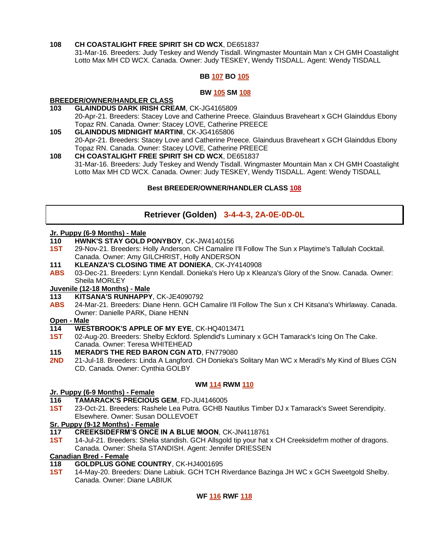#### **108 CH COASTALIGHT FREE SPIRIT SH CD WCX**, DE651837

31-Mar-16. Breeders: Judy Teskey and Wendy Tisdall. Wingmaster Mountain Man x CH GMH Coastalight Lotto Max MH CD WCX. Canada. Owner: Judy TESKEY, Wendy TISDALL. Agent: Wendy TISDALL

#### **BB 107 BO 105**

#### **BW 105 SM 108**

#### **BREEDER/OWNER/HANDLER CLASS**

- **103 GLAINDDUS DARK IRISH CREAM**, CK-JG4165809 20-Apr-21. Breeders: Stacey Love and Catherine Preece. Glainduus Braveheart x GCH Glainddus Ebony Topaz RN. Canada. Owner: Stacey LOVE, Catherine PREECE
- **105 GLAINDDUS MIDNIGHT MARTINI**, CK-JG4165806 20-Apr-21. Breeders: Stacey Love and Catherine Preece. Glainduus Braveheart x GCH Glainddus Ebony Topaz RN. Canada. Owner: Stacey LOVE, Catherine PREECE
- **108 CH COASTALIGHT FREE SPIRIT SH CD WCX**, DE651837 31-Mar-16. Breeders: Judy Teskey and Wendy Tisdall. Wingmaster Mountain Man x CH GMH Coastalight Lotto Max MH CD WCX. Canada. Owner: Judy TESKEY, Wendy TISDALL. Agent: Wendy TISDALL

#### **Best BREEDER/OWNER/HANDLER CLASS 108**

#### **Retriever (Golden) 3-4-4-3, 2A-0E-0D-0L**

### **Jr. Puppy (6-9 Months) - Male**

- **110 HWNK'S STAY GOLD PONYBOY**, CK-JW4140156
- **1ST** 29-Nov-21. Breeders: Holly Anderson. CH Camalire I'll Follow The Sun x Playtime's Tallulah Cocktail. Canada. Owner: Amy GILCHRIST, Holly ANDERSON
- **111 KLEANZA'S CLOSING TIME AT DONIEKA**, CK-JY4140908
- **ABS** 03-Dec-21. Breeders: Lynn Kendall. Donieka's Hero Up x Kleanza's Glory of the Snow. Canada. Owner: Sheila MORLEY

#### **Juvenile (12-18 Months) - Male**

- **113 KITSANA'S RUNHAPPY**, CK-JE4090792
- **ABS** 24-Mar-21. Breeders: Diane Henn. GCH Camalire I'll Follow The Sun x CH Kitsana's Whirlaway. Canada. Owner: Danielle PARK, Diane HENN

#### **Open - Male**

#### **114 WESTBROOK'S APPLE OF MY EYE**, CK-HQ4013471

**1ST** 02-Aug-20. Breeders: Shelby Eckford. Splendid's Luminary x GCH Tamarack's Icing On The Cake. Canada. Owner: Teresa WHITEHEAD

#### **115 MERADI'S THE RED BARON CGN ATD**, FN779080

**2ND** 21-Jul-18. Breeders: Linda A Langford. CH Donieka's Solitary Man WC x Meradi's My Kind of Blues CGN CD. Canada. Owner: Cynthia GOLBY

#### **WM 114 RWM 110**

#### **Jr. Puppy (6-9 Months) - Female**

- **116 TAMARACK'S PRECIOUS GEM**, FD-JU4146005
- **1ST** 23-Oct-21. Breeders: Rashele Lea Putra. GCHB Nautilus Timber DJ x Tamarack's Sweet Serendipity. Elsewhere. Owner: Susan DOLLEVOET

#### **Sr. Puppy (9-12 Months) - Female**

- **117 CREEKSIDEFRM'S ONCE IN A BLUE MOON**, CK-JN4118761
- **1ST** 14-Jul-21. Breeders: Shelia standish. GCH Allsgold tip your hat x CH Creeksidefrm mother of dragons. Canada. Owner: Sheila STANDISH. Agent: Jennifer DRIESSEN

#### **Canadian Bred - Female**

#### **118 GOLDPLUS GONE COUNTRY**, CK-HJ4001695

**1ST** 14-May-20. Breeders: Diane Labiuk. GCH TCH Riverdance Bazinga JH WC x GCH Sweetgold Shelby. Canada. Owner: Diane LABIUK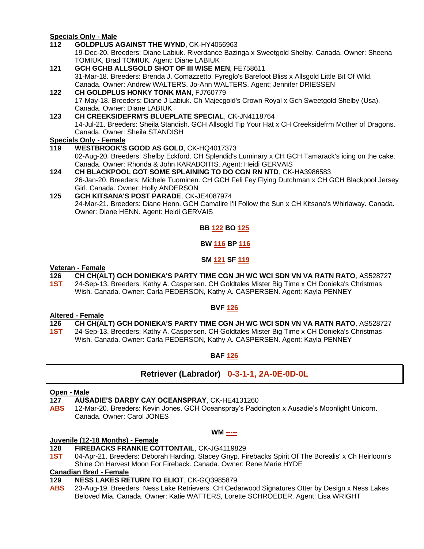#### **Specials Only - Male**

- **112 GOLDPLUS AGAINST THE WYND**, CK-HY4056963 19-Dec-20. Breeders: Diane Labiuk. Riverdance Bazinga x Sweetgold Shelby. Canada. Owner: Sheena TOMIUK, Brad TOMIUK. Agent: Diane LABIUK
- **121 GCH GCHB ALLSGOLD SHOT OF III WISE MEN**, FE758611 31-Mar-18. Breeders: Brenda J. Comazzetto. Fyreglo's Barefoot Bliss x Allsgold Little Bit Of Wild. Canada. Owner: Andrew WALTERS, Jo-Ann WALTERS. Agent: Jennifer DRIESSEN
- **122 CH GOLDPLUS HONKY TONK MAN**, FJ760779 17-May-18. Breeders: Diane J Labiuk. Ch Majecgold's Crown Royal x Gch Sweetgold Shelby (Usa). Canada. Owner: Diane LABIUK
- **123 CH CREEKSIDEFRM'S BLUEPLATE SPECIAL**, CK-JN4118764 14-Jul-21. Breeders: Sheila Standish. GCH Allsogld Tip Your Hat x CH Creeksidefrm Mother of Dragons. Canada. Owner: Sheila STANDISH

#### **Specials Only - Female**

- **119 WESTBROOK'S GOOD AS GOLD**, CK-HQ4017373 02-Aug-20. Breeders: Shelby Eckford. CH Splendid's Luminary x CH GCH Tamarack's icing on the cake. Canada. Owner: Rhonda & John KARABOITIS. Agent: Heidi GERVAIS
- **124 CH BLACKPOOL GOT SOME SPLAINING TO DO CGN RN NTD**, CK-HA3986583 26-Jan-20. Breeders: Michele Tuominen. CH GCH Feli Fey Flying Dutchman x CH GCH Blackpool Jersey Girl. Canada. Owner: Holly ANDERSON
- **125 GCH KITSANA'S POST PARADE**, CK-JE4087974 24-Mar-21. Breeders: Diane Henn. GCH Camalire I'll Follow the Sun x CH Kitsana's Whirlaway. Canada. Owner: Diane HENN. Agent: Heidi GERVAIS

#### **BB 122 BO 125**

#### **BW 116 BP 116**

#### **SM 121 SF 119**

### **Veteran - Female**

#### **126 CH CH(ALT) GCH DONIEKA'S PARTY TIME CGN JH WC WCI SDN VN VA RATN RATO**, AS528727

**1ST** 24-Sep-13. Breeders: Kathy A. Caspersen. CH Goldtales Mister Big Time x CH Donieka's Christmas Wish. Canada. Owner: Carla PEDERSON, Kathy A. CASPERSEN. Agent: Kayla PENNEY

#### **BVF 126**

#### **Altered - Female**

- **126 CH CH(ALT) GCH DONIEKA'S PARTY TIME CGN JH WC WCI SDN VN VA RATN RATO**, AS528727
- **1ST** 24-Sep-13. Breeders: Kathy A. Caspersen. CH Goldtales Mister Big Time x CH Donieka's Christmas Wish. Canada. Owner: Carla PEDERSON, Kathy A. CASPERSEN. Agent: Kayla PENNEY

#### **BAF 126**

#### **Retriever (Labrador) 0-3-1-1, 2A-0E-0D-0L**

#### **Open - Male**

- **127 AUSADIE'S DARBY CAY OCEANSPRAY**, CK-HE4131260
- **ABS** 12-Mar-20. Breeders: Kevin Jones. GCH Oceanspray's Paddington x Ausadie's Moonlight Unicorn. Canada. Owner: Carol JONES

#### **WM -----**

#### **Juvenile (12-18 Months) - Female**

- **128 FIREBACKS FRANKIE COTTONTAIL**, CK-JG4119829
- **1ST** 04-Apr-21. Breeders: Deborah Harding, Stacey Gnyp. Firebacks Spirit Of The Borealis' x Ch Heirloom's Shine On Harvest Moon For Fireback. Canada. Owner: Rene Marie HYDE

### **Canadian Bred - Female**

#### **129 NESS LAKES RETURN TO ELIOT**, CK-GQ3985879

**ABS** 23-Aug-19. Breeders: Ness Lake Retrievers. CH Cedarwood Signatures Otter by Design x Ness Lakes Beloved Mia. Canada. Owner: Katie WATTERS, Lorette SCHROEDER. Agent: Lisa WRIGHT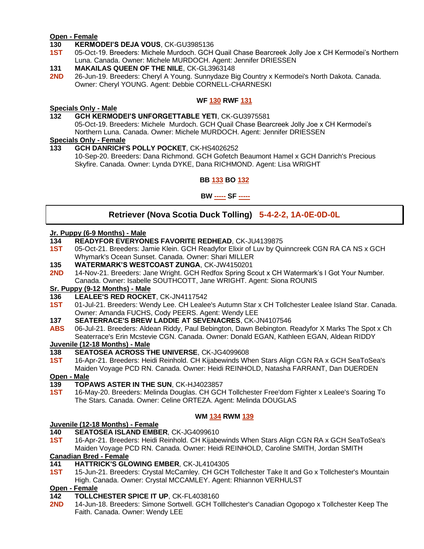#### **Open - Female**

- **130 KERMODEI'S DEJA VOUS**, CK-GU3985136
- **1ST** 05-Oct-19. Breeders: Michele Murdoch. GCH Quail Chase Bearcreek Jolly Joe x CH Kermodei's Northern Luna. Canada. Owner: Michele MURDOCH. Agent: Jennifer DRIESSEN

#### **131 MAKAILAS QUEEN OF THE NILE**, CK-GL3963148

**2ND** 26-Jun-19. Breeders: Cheryl A Young. Sunnydaze Big Country x Kermodei's North Dakota. Canada. Owner: Cheryl YOUNG. Agent: Debbie CORNELL-CHARNESKI

#### **WF 130 RWF 131**

### **Specials Only - Male**

**132 GCH KERMODEI'S UNFORGETTABLE YETI**, CK-GU3975581

05-Oct-19. Breeders: Michele Murdoch. GCH Quail Chase Bearcreek Jolly Joe x CH Kermodei's Northern Luna. Canada. Owner: Michele MURDOCH. Agent: Jennifer DRIESSEN

#### **Specials Only - Female**

**133 GCH DANRICH'S POLLY POCKET**, CK-HS4026252

10-Sep-20. Breeders: Dana Richmond. GCH Gofetch Beaumont Hamel x GCH Danrich's Precious Skyfire. Canada. Owner: Lynda DYKE, Dana RICHMOND. Agent: Lisa WRIGHT

#### **BB 133 BO 132**

#### **BW ----- SF -----**

### **Retriever (Nova Scotia Duck Tolling) 5-4-2-2, 1A-0E-0D-0L**

### **Jr. Puppy (6-9 Months) - Male**

- **134 READYFOR EVERYONES FAVORITE REDHEAD**, CK-JU4139875
- **1ST** 05-Oct-21. Breeders: Jamie Klein. GCH Readyfor Elixir of Luv by Quinncreek CGN RA CA NS x GCH Whymark's Ocean Sunset. Canada. Owner: Shari MILLER
- **135 WATERMARK'S WESTCOAST ZUNGA**, CK-JW4150201
- **2ND** 14-Nov-21. Breeders: Jane Wright. GCH Redfox Spring Scout x CH Watermark's I Got Your Number. Canada. Owner: Isabelle SOUTHCOTT, Jane WRIGHT. Agent: Siona ROUNIS

#### **Sr. Puppy (9-12 Months) - Male**

- **136 LEALEE'S RED ROCKET**, CK-JN4117542
- **1ST** 01-Jul-21. Breeders: Wendy Lee. CH Lealee's Autumn Star x CH Tollchester Lealee Island Star. Canada. Owner: Amanda FUCHS, Cody PEERS. Agent: Wendy LEE
- **137 SEATERRACE'S BREW LADDIE AT SEVENACRES**, CK-JN4107546
- **ABS** 06-Jul-21. Breeders: Aldean Riddy, Paul Bebington, Dawn Bebington. Readyfor X Marks The Spot x Ch Seaterrace's Erin Mcstevie CGN. Canada. Owner: Donald EGAN, Kathleen EGAN, Aldean RIDDY

#### **Juvenile (12-18 Months) - Male**

- **138 SEATOSEA ACROSS THE UNIVERSE**, CK-JG4099608
- **1ST** 16-Apr-21. Breeders: Heidi Reinhold. CH Kijabewinds When Stars Align CGN RA x GCH SeaToSea's Maiden Voyage PCD RN. Canada. Owner: Heidi REINHOLD, Natasha FARRANT, Dan DUERDEN
- **Open - Male**
- **139 TOPAWS ASTER IN THE SUN**, CK-HJ4023857
- **1ST** 16-May-20. Breeders: Melinda Douglas. CH GCH Tollchester Free'dom Fighter x Lealee's Soaring To The Stars. Canada. Owner: Celine ORTEZA. Agent: Melinda DOUGLAS

#### **WM 134 RWM 139**

#### **Juvenile (12-18 Months) - Female**

- **140 SEATOSEA ISLAND EMBER**, CK-JG4099610
- **1ST** 16-Apr-21. Breeders: Heidi Reinhold. CH Kijabewinds When Stars Align CGN RA x GCH SeaToSea's Maiden Voyage PCD RN. Canada. Owner: Heidi REINHOLD, Caroline SMITH, Jordan SMITH

#### **Canadian Bred - Female**

- **141 HATTRICK'S GLOWING EMBER**, CK-JL4104305
- **1ST** 15-Jun-21. Breeders: Crystal McCamley. CH GCH Tollchester Take It and Go x Tollchester's Mountain High. Canada. Owner: Crystal MCCAMLEY. Agent: Rhiannon VERHULST

#### **Open - Female**

- **142 TOLLCHESTER SPICE IT UP**, CK-FL4038160
- **2ND** 14-Jun-18. Breeders: Simone Sortwell. GCH Tolllchester's Canadian Ogopogo x Tollchester Keep The Faith. Canada. Owner: Wendy LEE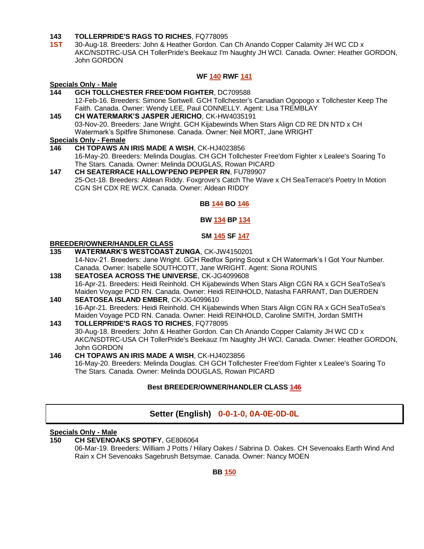#### **143 TOLLERPRIDE'S RAGS TO RICHES**, FQ778095

**1ST** 30-Aug-18. Breeders: John & Heather Gordon. Can Ch Anando Copper Calamity JH WC CD x AKC/NSDTRC-USA CH TollerPride's Beekauz I'm Naughty JH WCI. Canada. Owner: Heather GORDON, John GORDON

#### **WF 140 RWF 141**

### **Specials Only - Male**

- **144 GCH TOLLCHESTER FREE'DOM FIGHTER**, DC709588 12-Feb-16. Breeders: Simone Sortwell. GCH Tollchester's Canadian Ogopogo x Tollchester Keep The Faith. Canada. Owner: Wendy LEE, Paul CONNELLY. Agent: Lisa TREMBLAY
- **145 CH WATERMARK'S JASPER JERICHO**, CK-HW4035191 03-Nov-20. Breeders: Jane Wright. GCH Kijabewinds When Stars Align CD RE DN NTD x CH Watermark's Spitfire Shimonese. Canada. Owner: Neil MORT, Jane WRIGHT

#### **Specials Only - Female**

- **146 CH TOPAWS AN IRIS MADE A WISH**, CK-HJ4023856 16-May-20. Breeders: Melinda Douglas. CH GCH Tollchester Free'dom Fighter x Lealee's Soaring To The Stars. Canada. Owner: Melinda DOUGLAS, Rowan PICARD
- **147 CH SEATERRACE HALLOW'PENO PEPPER RN**, FU789907 25-Oct-18. Breeders: Aldean Riddy. Foxgrove's Catch The Wave x CH SeaTerrace's Poetry In Motion CGN SH CDX RE WCX. Canada. Owner: Aldean RIDDY

#### **BB 144 BO 146**

#### **BW 134 BP 134**

#### **SM 145 SF 147**

### **BREEDER/OWNER/HANDLER CLASS**

- **135 WATERMARK'S WESTCOAST ZUNGA**, CK-JW4150201 14-Nov-21. Breeders: Jane Wright. GCH Redfox Spring Scout x CH Watermark's I Got Your Number. Canada. Owner: Isabelle SOUTHCOTT, Jane WRIGHT. Agent: Siona ROUNIS
- **138 SEATOSEA ACROSS THE UNIVERSE**, CK-JG4099608 16-Apr-21. Breeders: Heidi Reinhold. CH Kijabewinds When Stars Align CGN RA x GCH SeaToSea's Maiden Voyage PCD RN. Canada. Owner: Heidi REINHOLD, Natasha FARRANT, Dan DUERDEN
- **140 SEATOSEA ISLAND EMBER**, CK-JG4099610 16-Apr-21. Breeders: Heidi Reinhold. CH Kijabewinds When Stars Align CGN RA x GCH SeaToSea's Maiden Voyage PCD RN. Canada. Owner: Heidi REINHOLD, Caroline SMITH, Jordan SMITH
- **143 TOLLERPRIDE'S RAGS TO RICHES**, FQ778095 30-Aug-18. Breeders: John & Heather Gordon. Can Ch Anando Copper Calamity JH WC CD x AKC/NSDTRC-USA CH TollerPride's Beekauz I'm Naughty JH WCI. Canada. Owner: Heather GORDON, John GORDON
- **146 CH TOPAWS AN IRIS MADE A WISH**, CK-HJ4023856 16-May-20. Breeders: Melinda Douglas. CH GCH Tollchester Free'dom Fighter x Lealee's Soaring To The Stars. Canada. Owner: Melinda DOUGLAS, Rowan PICARD

#### **Best BREEDER/OWNER/HANDLER CLASS 146**

#### **Setter (English) 0-0-1-0, 0A-0E-0D-0L**

#### **Specials Only - Male**

**150 CH SEVENOAKS SPOTIFY**, GE806064 06-Mar-19. Breeders: William J Potts / Hilary Oakes / Sabrina D. Oakes. CH Sevenoaks Earth Wind And Rain x CH Sevenoaks Sagebrush Betsymae. Canada. Owner: Nancy MOEN

**BB 150**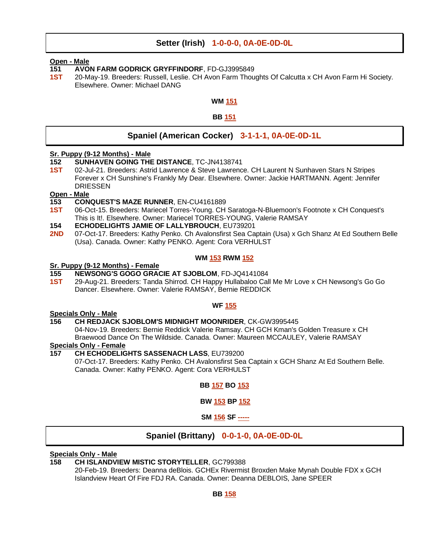#### **Setter (Irish) 1-0-0-0, 0A-0E-0D-0L**

#### **Open - Male**

- **151 AVON FARM GODRICK GRYFFINDORF**, FD-GJ3995849
- **1ST** 20-May-19. Breeders: Russell, Leslie. CH Avon Farm Thoughts Of Calcutta x CH Avon Farm Hi Society. Elsewhere. Owner: Michael DANG

#### **WM 151**

#### **BB 151**

#### **Spaniel (American Cocker) 3-1-1-1, 0A-0E-0D-1L**

#### **Sr. Puppy (9-12 Months) - Male**

- **152 SUNHAVEN GOING THE DISTANCE**, TC-JN4138741
- **1ST** 02-Jul-21. Breeders: Astrid Lawrence & Steve Lawrence. CH Laurent N Sunhaven Stars N Stripes Forever x CH Sunshine's Frankly My Dear. Elsewhere. Owner: Jackie HARTMANN. Agent: Jennifer DRIESSEN

### **Open - Male**

- **153 CONQUEST'S MAZE RUNNER**, EN-CU4161889
- **1ST** 06-Oct-15. Breeders: Mariecel Torres-Young. CH Saratoga-N-Bluemoon's Footnote x CH Conquest's This is It!. Elsewhere. Owner: Mariecel TORRES-YOUNG, Valerie RAMSAY
- **154 ECHODELIGHTS JAMIE OF LALLYBROUCH**, EU739201
- 2ND 07-Oct-17. Breeders: Kathy Penko. Ch Avalonsfirst Sea Captain (Usa) x Gch Shanz At Ed Southern Belle (Usa). Canada. Owner: Kathy PENKO. Agent: Cora VERHULST

#### **WM 153 RWM 152**

### **Sr. Puppy (9-12 Months) - Female**

- **155 NEWSONG'S GOGO GRACIE AT SJOBLOM**, FD-JQ4141084
- **1ST** 29-Aug-21. Breeders: Tanda Shirrod. CH Happy Hullabaloo Call Me Mr Love x CH Newsong's Go Go Dancer. Elsewhere. Owner: Valerie RAMSAY, Bernie REDDICK

#### **WF 155**

### **Specials Only - Male**

#### **156 CH REDJACK SJOBLOM'S MIDNIGHT MOONRIDER**, CK-GW3995445

04-Nov-19. Breeders: Bernie Reddick Valerie Ramsay. CH GCH Kman's Golden Treasure x CH Braewood Dance On The Wildside. Canada. Owner: Maureen MCCAULEY, Valerie RAMSAY

#### **Specials Only - Female**

#### **157 CH ECHODELIGHTS SASSENACH LASS**, EU739200

07-Oct-17. Breeders: Kathy Penko. CH Avalonsfirst Sea Captain x GCH Shanz At Ed Southern Belle. Canada. Owner: Kathy PENKO. Agent: Cora VERHULST

#### **BB 157 BO 153**

#### **BW 153 BP 152**

**SM 156 SF -----**

#### **Spaniel (Brittany) 0-0-1-0, 0A-0E-0D-0L**

#### **Specials Only - Male**

#### **158 CH ISLANDVIEW MISTIC STORYTELLER**, GC799388

20-Feb-19. Breeders: Deanna deBlois. GCHEx Rivermist Broxden Make Mynah Double FDX x GCH Islandview Heart Of Fire FDJ RA. Canada. Owner: Deanna DEBLOIS, Jane SPEER

#### **BB 158**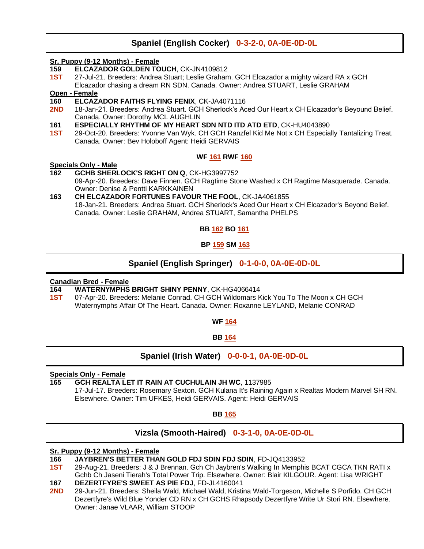#### **Spaniel (English Cocker) 0-3-2-0, 0A-0E-0D-0L**

#### **Sr. Puppy (9-12 Months) - Female**

- **159 ELCAZADOR GOLDEN TOUCH**, CK-JN4109812
- **1ST** 27-Jul-21. Breeders: Andrea Stuart; Leslie Graham. GCH Elcazador a mighty wizard RA x GCH Elcazador chasing a dream RN SDN. Canada. Owner: Andrea STUART, Leslie GRAHAM

#### **Open - Female**

- **160 ELCAZADOR FAITHS FLYING FENIX**, CK-JA4071116
- **2ND** 18-Jan-21. Breeders: Andrea Stuart. GCH Sherlock's Aced Our Heart x CH Elcazador's Beyound Belief. Canada. Owner: Dorothy MCL AUGHLIN
- **161 ESPECIALLY RHYTHM OF MY HEART SDN NTD ITD ATD ETD**, CK-HU4043890
- **1ST** 29-Oct-20. Breeders: Yvonne Van Wyk. CH GCH Ranzfel Kid Me Not x CH Especially Tantalizing Treat. Canada. Owner: Bev Holoboff Agent: Heidi GERVAIS

#### **WF 161 RWF 160**

### **Specials Only - Male**

- **162 GCHB SHERLOCK'S RIGHT ON Q**, CK-HG3997752 09-Apr-20. Breeders: Dave Finnen. GCH Ragtime Stone Washed x CH Ragtime Masquerade. Canada. Owner: Denise & Pentti KARKKAINEN
- **163 CH ELCAZADOR FORTUNES FAVOUR THE FOOL**, CK-JA4061855 18-Jan-21. Breeders: Andrea Stuart. GCH Sherlock's Aced Our Heart x CH Elcazador's Beyond Belief. Canada. Owner: Leslie GRAHAM, Andrea STUART, Samantha PHELPS

#### **BB 162 BO 161**

#### **BP 159 SM 163**

#### **Spaniel (English Springer) 0-1-0-0, 0A-0E-0D-0L**

#### **Canadian Bred - Female**

- **164 WATERNYMPHS BRIGHT SHINY PENNY**, CK-HG4066414
- **1ST** 07-Apr-20. Breeders: Melanie Conrad. CH GCH Wildomars Kick You To The Moon x CH GCH Waternymphs Affair Of The Heart. Canada. Owner: Roxanne LEYLAND, Melanie CONRAD

#### **WF 164**

**BB 164**

**Spaniel (Irish Water) 0-0-0-1, 0A-0E-0D-0L**

#### **Specials Only - Female**

**165 GCH REALTA LET IT RAIN AT CUCHULAIN JH WC**, 1137985

17-Jul-17. Breeders: Rosemary Sexton. GCH Kulana It's Raining Again x Realtas Modern Marvel SH RN. Elsewhere. Owner: Tim UFKES, Heidi GERVAIS. Agent: Heidi GERVAIS

**BB 165**

#### **Vizsla (Smooth-Haired) 0-3-1-0, 0A-0E-0D-0L**

#### **Sr. Puppy (9-12 Months) - Female**

- **1ST** 29-Aug-21. Breeders: J & J Brennan. Gch Ch Jaybren's Walking In Memphis BCAT CGCA TKN RATI x Gchb Ch Jaseni Tierah's Total Power Trip. Elsewhere. Owner: Blair KILGOUR. Agent: Lisa WRIGHT
- **167 DEZERTFYRE'S SWEET AS PIE FDJ**, FD-JL4160041
- **2ND** 29-Jun-21. Breeders: Sheila Wald, Michael Wald, Kristina Wald-Torgeson, Michelle S Porfido. CH GCH Dezertfyre's Wild Blue Yonder CD RN x CH GCHS Rhapsody Dezertfyre Write Ur Stori RN. Elsewhere. Owner: Janae VLAAR, William STOOP

**<sup>166</sup> JAYBREN'S BETTER THAN GOLD FDJ SDIN FDJ SDIN**, FD-JQ4133952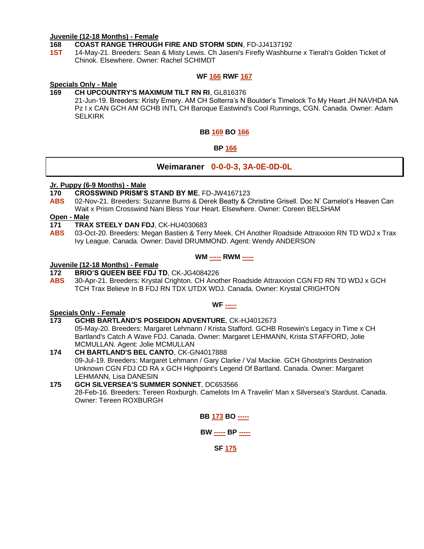#### **Juvenile (12-18 Months) - Female**

#### **168 COAST RANGE THROUGH FIRE AND STORM SDIN**, FD-JJ4137192

**1ST** 14-May-21. Breeders: Sean & Misty Lewis. Ch Jaseni's Firefly Washburne x Tierah's Golden Ticket of Chinok. Elsewhere. Owner: Rachel SCHIMDT

#### **WF 166 RWF 167**

#### **Specials Only - Male**

#### **169 CH UPCOUNTRY'S MAXIMUM TILT RN RI**, GL816376

21-Jun-19. Breeders: Kristy Emery. AM CH Solterra's N Boulder's Timelock To My Heart JH NAVHDA NA Pz I x CAN GCH AM GCHB INTL CH Baroque Eastwind's Cool Runnings, CGN. Canada. Owner: Adam **SELKIRK** 

#### **BB 169 BO 166**

#### **BP 166**

#### **Weimaraner 0-0-0-3, 3A-0E-0D-0L**

#### **Jr. Puppy (6-9 Months) - Male**

- **170 CROSSWIND PRISM'S STAND BY ME**, FD-JW4167123
- **ABS** 02-Nov-21. Breeders: Suzanne Burns & Derek Beatty & Christine Grisell. Doc N' Camelot's Heaven Can Wait x Prism Crosswind Nani Bless Your Heart. Elsewhere. Owner: Coreen BELSHAM

#### **Open - Male**

- **171 TRAX STEELY DAN FDJ**, CK-HU4030683
- **ABS** 03-Oct-20. Breeders: Megan Bastien & Terry Meek. CH Another Roadside Attraxxion RN TD WDJ x Trax Ivy League. Canada. Owner: David DRUMMOND. Agent: Wendy ANDERSON

#### **WM ----- RWM -----**

#### **Juvenile (12-18 Months) - Female**

#### **172 BRIO'S QUEEN BEE FDJ TD**, CK-JG4084226

**ABS** 30-Apr-21. Breeders: Krystal Crighton. CH Another Roadside Attraxxion CGN FD RN TD WDJ x GCH TCH Trax Believe In B FDJ RN TDX UTDX WDJ. Canada. Owner: Krystal CRIGHTON

#### **WF -----**

#### **Specials Only - Female**

**173 GCHB BARTLAND'S POSEIDON ADVENTURE**, CK-HJ4012673

05-May-20. Breeders: Margaret Lehmann / Krista Stafford. GCHB Rosewin's Legacy in Time x CH Bartland's Catch A Wave FDJ. Canada. Owner: Margaret LEHMANN, Krista STAFFORD, Jolie MCMULLAN. Agent: Jolie MCMULLAN

#### **174 CH BARTLAND'S BEL CANTO**, CK-GN4017888 09-Jul-19. Breeders: Margaret Lehmann / Gary Clarke / Val Mackie. GCH Ghostprints Destnation Unknown CGN FDJ CD RA x GCH Highpoint's Legend Of Bartland. Canada. Owner: Margaret LEHMANN, Lisa DANESIN

#### **175 GCH SILVERSEA'S SUMMER SONNET**, DC653566 28-Feb-16. Breeders: Tereen Roxburgh. Camelots Im A Travelin' Man x Silversea's Stardust. Canada. Owner: Tereen ROXBURGH

**BB 173 BO -----**

**BW ----- BP -----**

**SF 175**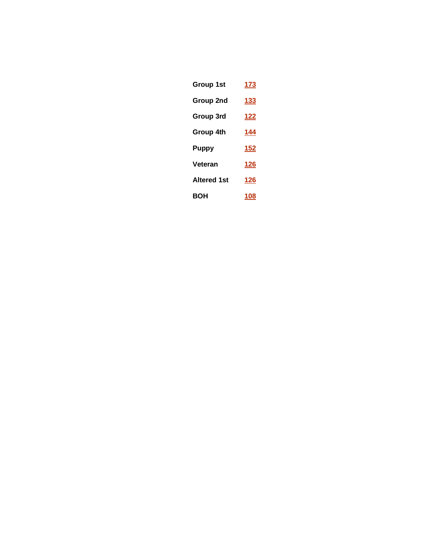| Group 1st          | 173 |
|--------------------|-----|
| Group 2nd          | 133 |
| Group 3rd          | 122 |
| Group 4th          | 144 |
| Puppy              | 152 |
| Veteran            | 126 |
| <b>Altered 1st</b> | 126 |
| вон                | 108 |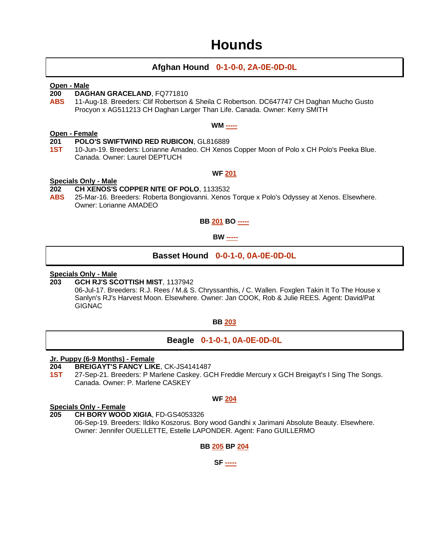### **Hounds**

#### **Afghan Hound 0-1-0-0, 2A-0E-0D-0L**

#### **Open - Male**

- **200 DAGHAN GRACELAND, FQ771810<br><b>ABS** 11-Aug-18. Breeders: Clif Robertson 8
	- **ABS** 11-Aug-18. Breeders: Clif Robertson & Sheila C Robertson. DC647747 CH Daghan Mucho Gusto Procyon x AG511213 CH Daghan Larger Than Life. Canada. Owner: Kerry SMITH

#### **WM -----**

#### **Open - Female**

#### **201 POLO'S SWIFTWIND RED RUBICON**, GL816889

**1ST** 10-Jun-19. Breeders: Lorianne Amadeo. CH Xenos Copper Moon of Polo x CH Polo's Peeka Blue. Canada. Owner: Laurel DEPTUCH

#### **WF 201**

#### **Specials Only - Male**

#### **202 CH XENOS'S COPPER NITE OF POLO**, 1133532

**ABS** 25-Mar-16. Breeders: Roberta Bongiovanni. Xenos Torque x Polo's Odyssey at Xenos. Elsewhere. Owner: Lorianne AMADEO

#### **BB 201 BO -----**

#### **BW -----**

#### **Basset Hound 0-0-1-0, 0A-0E-0D-0L**

### **Specials Only - Male**

#### **203 GCH RJ'S SCOTTISH MIST**, 1137942

06-Jul-17. Breeders: R.J. Rees / M.& S. Chryssanthis, / C. Wallen. Foxglen Takin It To The House x Sanlyn's RJ's Harvest Moon. Elsewhere. Owner: Jan COOK, Rob & Julie REES. Agent: David/Pat **GIGNAC** 

#### **BB 203**

#### **Beagle 0-1-0-1, 0A-0E-0D-0L**

#### **Jr. Puppy (6-9 Months) - Female**

- **204 BREIGAYT'S FANCY LIKE**, CK-JS4141487
- **1ST** 27-Sep-21. Breeders: P Marlene Caskey. GCH Freddie Mercury x GCH Breigayt's I Sing The Songs. Canada. Owner: P. Marlene CASKEY

#### **WF 204**

#### **Specials Only - Female**

**205 CH BORY WOOD XIGIA**, FD-GS4053326 06-Sep-19. Breeders: Ildiko Koszorus. Bory wood Gandhi x Jarimani Absolute Beauty. Elsewhere. Owner: Jennifer OUELLETTE, Estelle LAPONDER. Agent: Fano GUILLERMO

#### **BB 205 BP 204**

**SF -----**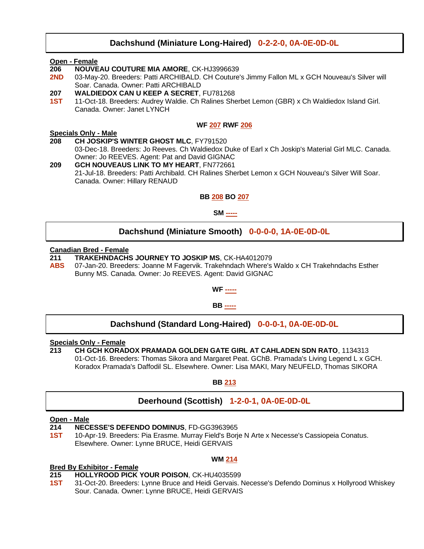#### **Dachshund (Miniature Long-Haired) 0-2-2-0, 0A-0E-0D-0L**

#### **Open - Female**

- **206 NOUVEAU COUTURE MIA AMORE**, CK-HJ3996639
- **2ND** 03-May-20. Breeders: Patti ARCHIBALD. CH Couture's Jimmy Fallon ML x GCH Nouveau's Silver will Soar. Canada. Owner: Patti ARCHIBALD
- **207 WALDIEDOX CAN U KEEP A SECRET**, FU781268
- **1ST** 11-Oct-18. Breeders: Audrey Waldie. Ch Ralines Sherbet Lemon (GBR) x Ch Waldiedox Island Girl. Canada. Owner: Janet LYNCH

#### **WF 207 RWF 206**

#### **Specials Only - Male**

**208 CH JOSKIP'S WINTER GHOST MLC**, FY791520 03-Dec-18. Breeders: Jo Reeves. Ch Waldiedox Duke of Earl x Ch Joskip's Material Girl MLC. Canada. Owner: Jo REEVES. Agent: Pat and David GIGNAC

**209 GCH NOUVEAUS LINK TO MY HEART**, FN772661 21-Jul-18. Breeders: Patti Archibald. CH Ralines Sherbet Lemon x GCH Nouveau's Silver Will Soar. Canada. Owner: Hillary RENAUD

#### **BB 208 BO 207**

**SM -----**

#### **Dachshund (Miniature Smooth) 0-0-0-0, 1A-0E-0D-0L**

#### **Canadian Bred - Female**

- **211 TRAKEHNDACHS JOURNEY TO JOSKIP MS**, CK-HA4012079
- **ABS** 07-Jan-20. Breeders: Joanne M Fagervik. Trakehndach Where's Waldo x CH Trakehndachs Esther Bunny MS. Canada. Owner: Jo REEVES. Agent: David GIGNAC



#### **BB -----**

#### **Dachshund (Standard Long-Haired) 0-0-0-1, 0A-0E-0D-0L**

#### **Specials Only - Female**

**213 CH GCH KORADOX PRAMADA GOLDEN GATE GIRL AT CAHLADEN SDN RATO**, 1134313 01-Oct-16. Breeders: Thomas Sikora and Margaret Peat. GChB. Pramada's Living Legend L x GCH. Koradox Pramada's Daffodil SL. Elsewhere. Owner: Lisa MAKI, Mary NEUFELD, Thomas SIKORA

**BB 213**

#### **Deerhound (Scottish) 1-2-0-1, 0A-0E-0D-0L**

#### **Open - Male**

**214 NECESSE'S DEFENDO DOMINUS**, FD-GG3963965

**1ST** 10-Apr-19. Breeders: Pia Erasme. Murray Field's Borje N Arte x Necesse's Cassiopeia Conatus. Elsewhere. Owner: Lynne BRUCE, Heidi GERVAIS

#### **Bred By Exhibitor - Female**

- **215 HOLLYROOD PICK YOUR POISON**, CK-HU4035599
- **1ST** 31-Oct-20. Breeders: Lynne Bruce and Heidi Gervais. Necesse's Defendo Dominus x Hollyrood Whiskey Sour. Canada. Owner: Lynne BRUCE, Heidi GERVAIS

**WM 214**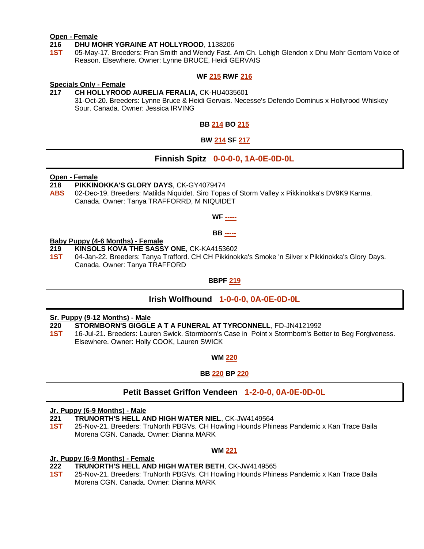#### **Open - Female**

#### **216 DHU MOHR YGRAINE AT HOLLYROOD**, 1138206

**1ST** 05-May-17. Breeders: Fran Smith and Wendy Fast. Am Ch. Lehigh Glendon x Dhu Mohr Gentom Voice of Reason. Elsewhere. Owner: Lynne BRUCE, Heidi GERVAIS

#### **WF 215 RWF 216**

### **Specials Only - Female**

**217 CH HOLLYROOD AURELIA FERALIA**, CK-HU4035601 31-Oct-20. Breeders: Lynne Bruce & Heidi Gervais. Necesse's Defendo Dominus x Hollyrood Whiskey Sour. Canada. Owner: Jessica IRVING

**BB 214 BO 215**

#### **BW 214 SF 217**

#### **Finnish Spitz 0-0-0-0, 1A-0E-0D-0L**

#### **Open - Female**

- **218 PIKKINOKKA'S GLORY DAYS**, CK-GY4079474
- **ABS** 02-Dec-19. Breeders: Matilda Niquidet. Siro Topas of Storm Valley x Pikkinokka's DV9K9 Karma. Canada. Owner: Tanya TRAFFORRD, M NIQUIDET

#### **WF -----**

**BB -----**

#### **Baby Puppy (4-6 Months) - Female**

- **219 KINSOLS KOVA THE SASSY ONE**, CK-KA4153602
- **1ST** 04-Jan-22. Breeders: Tanya Trafford. CH CH Pikkinokka's Smoke 'n Silver x Pikkinokka's Glory Days. Canada. Owner: Tanya TRAFFORD

#### **BBPF 219**

#### **Irish Wolfhound 1-0-0-0, 0A-0E-0D-0L**

### **Sr. Puppy (9-12 Months) - Male**

- **220 STORMBORN'S GIGGLE A T A FUNERAL AT TYRCONNELL**, FD-JN4121992
- **1ST** 16-Jul-21. Breeders: Lauren Swick. Stormborn's Case in Point x Stormborn's Better to Beg Forgiveness. Elsewhere. Owner: Holly COOK, Lauren SWICK

#### **WM 220**

#### **BB 220 BP 220**

#### **Petit Basset Griffon Vendeen 1-2-0-0, 0A-0E-0D-0L**

#### **Jr. Puppy (6-9 Months) - Male**

- **221 TRUNORTH'S HELL AND HIGH WATER NIEL**, CK-JW4149564
- **1ST** 25-Nov-21. Breeders: TruNorth PBGVs. CH Howling Hounds Phineas Pandemic x Kan Trace Baila Morena CGN. Canada. Owner: Dianna MARK

#### **WM 221**

#### **Jr. Puppy (6-9 Months) - Female**

- **222 TRUNORTH'S HELL AND HIGH WATER BETH**, CK-JW4149565
- **1ST** 25-Nov-21. Breeders: TruNorth PBGVs. CH Howling Hounds Phineas Pandemic x Kan Trace Baila Morena CGN. Canada. Owner: Dianna MARK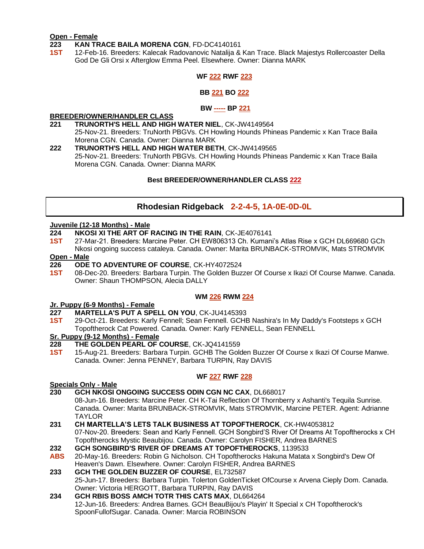#### **Open - Female**

#### **223 KAN TRACE BAILA MORENA CGN**, FD-DC4140161

**1ST** 12-Feb-16. Breeders: Kalecak Radovanovic Natalija & Kan Trace. Black Majestys Rollercoaster Della God De Gli Orsi x Afterglow Emma Peel. Elsewhere. Owner: Dianna MARK

#### **WF 222 RWF 223**

#### **BB 221 BO 222**

#### **BW ----- BP 221**

#### **BREEDER/OWNER/HANDLER CLASS**

- **221 TRUNORTH'S HELL AND HIGH WATER NIEL**, CK-JW4149564 25-Nov-21. Breeders: TruNorth PBGVs. CH Howling Hounds Phineas Pandemic x Kan Trace Baila Morena CGN. Canada. Owner: Dianna MARK
- **222 TRUNORTH'S HELL AND HIGH WATER BETH**, CK-JW4149565 25-Nov-21. Breeders: TruNorth PBGVs. CH Howling Hounds Phineas Pandemic x Kan Trace Baila Morena CGN. Canada. Owner: Dianna MARK

#### **Best BREEDER/OWNER/HANDLER CLASS 222**

#### **Rhodesian Ridgeback 2-2-4-5, 1A-0E-0D-0L**

#### **Juvenile (12-18 Months) - Male**

- **224 NKOSI XI THE ART OF RACING IN THE RAIN**, CK-JE4076141
- **1ST** 27-Mar-21. Breeders: Marcine Peter. CH EW806313 Ch. Kumani's Atlas Rise x GCH DL669680 GCh Nkosi ongoing success cataleya. Canada. Owner: Marita BRUNBACK-STROMVIK, Mats STROMVIK

#### **Open - Male**

- **226 ODE TO ADVENTURE OF COURSE**, CK-HY4072524
- **1ST** 08-Dec-20. Breeders: Barbara Turpin. The Golden Buzzer Of Course x Ikazi Of Course Manwe. Canada. Owner: Shaun THOMPSON, Alecia DALLY

#### **WM 226 RWM 224**

#### **Jr. Puppy (6-9 Months) - Female**

- **227 MARTELLA'S PUT A SPELL ON YOU**, CK-JU4145393
- **1ST** 29-Oct-21. Breeders: Karly Fennell; Sean Fennell. GCHB Nashira's In My Daddy's Footsteps x GCH Topoftherock Cat Powered. Canada. Owner: Karly FENNELL, Sean FENNELL

### **Sr. Puppy (9-12 Months) - Female**

- **228 THE GOLDEN PEARL OF COURSE**, CK-JQ4141559
- **1ST** 15-Aug-21. Breeders: Barbara Turpin. GCHB The Golden Buzzer Of Course x Ikazi Of Course Manwe. Canada. Owner: Jenna PENNEY, Barbara TURPIN, Ray DAVIS

#### **WF 227 RWF 228**

**Specials Only - Male**

**230 GCH NKOSI ONGOING SUCCESS ODIN CGN NC CAX**, DL668017

08-Jun-16. Breeders: Marcine Peter. CH K-Tai Reflection Of Thornberry x Ashanti's Tequila Sunrise. Canada. Owner: Marita BRUNBACK-STROMVIK, Mats STROMVIK, Marcine PETER. Agent: Adrianne TAYLOR

- **231 CH MARTELLA'S LETS TALK BUSINESS AT TOPOFTHEROCK**, CK-HW4053812 07-Nov-20. Breeders: Sean and Karly Fennell. GCH Songbird'S River Of Dreams At Topoftherocks x CH Topoftherocks Mystic Beaubijou. Canada. Owner: Carolyn FISHER, Andrea BARNES
- **232 GCH SONGBIRD'S RIVER OF DREAMS AT TOPOFTHEROCKS**, 1139533
- **ABS** 20-May-16. Breeders: Robin G Nicholson. CH Topoftherocks Hakuna Matata x Songbird's Dew Of Heaven's Dawn. Elsewhere. Owner: Carolyn FISHER, Andrea BARNES
- **233 GCH THE GOLDEN BUZZER OF COURSE**, EL732587 25-Jun-17. Breeders: Barbara Turpin. Tolerton GoldenTicket OfCourse x Arvena Cieply Dom. Canada. Owner: Victoria HERGOTT, Barbara TURPIN, Ray DAVIS
- **234 GCH RBIS BOSS AMCH TOTR THIS CATS MAX**, DL664264 12-Jun-16. Breeders: Andrea Barnes. GCH BeauBijou's Playin' It Special x CH Topoftherock's SpoonFullofSugar. Canada. Owner: Marcia ROBINSON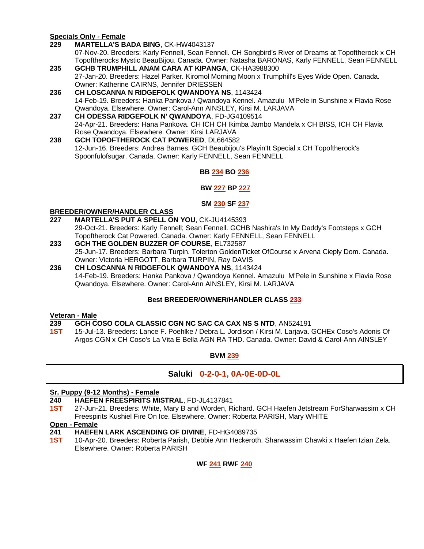#### **Specials Only - Female**

**229 MARTELLA'S BADA BING**, CK-HW4043137

07-Nov-20. Breeders: Karly Fennell, Sean Fennell. CH Songbird's River of Dreams at Topoftherock x CH Topoftherocks Mystic BeauBijou. Canada. Owner: Natasha BARONAS, Karly FENNELL, Sean FENNELL

- **235 GCHB TRUMPHILL ANAM CARA AT KIPANGA**, CK-HA3988300 27-Jan-20. Breeders: Hazel Parker. Kiromol Morning Moon x Trumphill's Eyes Wide Open. Canada. Owner: Katherine CAIRNS, Jennifer DRIESSEN
- **236 CH LOSCANNA N RIDGEFOLK QWANDOYA NS**, 1143424 14-Feb-19. Breeders: Hanka Pankova / Qwandoya Kennel. Amazulu M'Pele in Sunshine x Flavia Rose Qwandoya. Elsewhere. Owner: Carol-Ann AINSLEY, Kirsi M. LARJAVA
- **237 CH ODESSA RIDGEFOLK N' QWANDOYA**, FD-JG4109514 24-Apr-21. Breeders: Hana Pankova. CH ICH CH Ikimba Jambo Mandela x CH BISS, ICH CH Flavia Rose Qwandoya. Elsewhere. Owner: Kirsi LARJAVA
- **238 GCH TOPOFTHEROCK CAT POWERED**, DL664582 12-Jun-16. Breeders: Andrea Barnes. GCH Beaubijou's Playin'It Special x CH Topoftherock's Spoonfulofsugar. Canada. Owner: Karly FENNELL, Sean FENNELL

#### **BB 234 BO 236**

#### **BW 227 BP 227**

#### **SM 230 SF 237**

#### **BREEDER/OWNER/HANDLER CLASS**

- **227 MARTELLA'S PUT A SPELL ON YOU**, CK-JU4145393 29-Oct-21. Breeders: Karly Fennell; Sean Fennell. GCHB Nashira's In My Daddy's Footsteps x GCH Topoftherock Cat Powered. Canada. Owner: Karly FENNELL, Sean FENNELL
- **233 GCH THE GOLDEN BUZZER OF COURSE**, EL732587 25-Jun-17. Breeders: Barbara Turpin. Tolerton GoldenTicket OfCourse x Arvena Cieply Dom. Canada. Owner: Victoria HERGOTT, Barbara TURPIN, Ray DAVIS
- **236 CH LOSCANNA N RIDGEFOLK QWANDOYA NS**, 1143424 14-Feb-19. Breeders: Hanka Pankova / Qwandoya Kennel. Amazulu M'Pele in Sunshine x Flavia Rose Qwandoya. Elsewhere. Owner: Carol-Ann AINSLEY, Kirsi M. LARJAVA

#### **Best BREEDER/OWNER/HANDLER CLASS 233**

#### **Veteran - Male**

- **239 GCH COSO COLA CLASSIC CGN NC SAC CA CAX NS S NTD**, AN524191
- **1ST** 15-Jul-13. Breeders: Lance F. Poehlke / Debra L. Jordison / Kirsi M. Larjava. GCHEx Coso's Adonis Of Argos CGN x CH Coso's La Vita E Bella AGN RA THD. Canada. Owner: David & Carol-Ann AINSLEY

#### **BVM 239**

#### **Saluki 0-2-0-1, 0A-0E-0D-0L**

#### **Sr. Puppy (9-12 Months) - Female**

- **240 HAEFEN FREESPIRITS MISTRAL**, FD-JL4137841
- **1ST** 27-Jun-21. Breeders: White, Mary B and Worden, Richard. GCH Haefen Jetstream ForSharwassim x CH Freespirits Kushiel Fire On Ice. Elsewhere. Owner: Roberta PARISH, Mary WHITE

#### **Open - Female**

- **241 HAEFEN LARK ASCENDING OF DIVINE**, FD-HG4089735
- **1ST** 10-Apr-20. Breeders: Roberta Parish, Debbie Ann Heckeroth. Sharwassim Chawki x Haefen Izian Zela. Elsewhere. Owner: Roberta PARISH

**WF 241 RWF 240**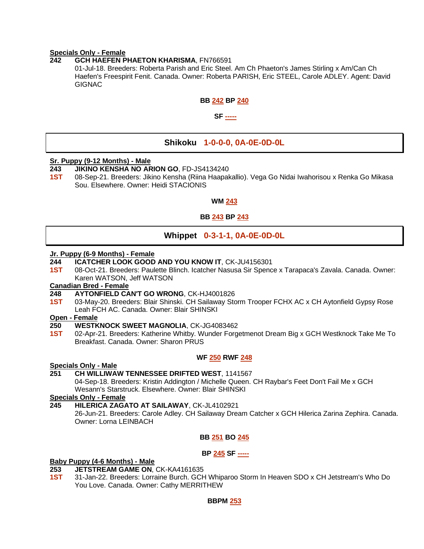#### **Specials Only - Female**

**242 GCH HAEFEN PHAETON KHARISMA**, FN766591

01-Jul-18. Breeders: Roberta Parish and Eric Steel. Am Ch Phaeton's James Stirling x Am/Can Ch Haefen's Freespirit Fenit. Canada. Owner: Roberta PARISH, Eric STEEL, Carole ADLEY. Agent: David **GIGNAC** 

#### **BB 242 BP 240**

#### **SF -----**

#### **Shikoku 1-0-0-0, 0A-0E-0D-0L**

### **Sr. Puppy (9-12 Months) - Male**

- **243 JIKINO KENSHA NO ARION GO**, FD-JS4134240
- **1ST** 08-Sep-21. Breeders: Jikino Kensha (Riina Haapakallio). Vega Go Nidai Iwahorisou x Renka Go Mikasa Sou. Elsewhere. Owner: Heidi STACIONIS

#### **WM 243**

#### **BB 243 BP 243**

#### **Whippet 0-3-1-1, 0A-0E-0D-0L**

#### **Jr. Puppy (6-9 Months) - Female**

- **244 ICATCHER LOOK GOOD AND YOU KNOW IT**, CK-JU4156301
- **1ST** 08-Oct-21. Breeders: Paulette Blinch. Icatcher Nasusa Sir Spence x Tarapaca's Zavala. Canada. Owner: Karen WATSON, Jeff WATSON

#### **Canadian Bred - Female**

- **248 AYTONFIELD CAN'T GO WRONG**, CK-HJ4001826
- **1ST** 03-May-20. Breeders: Blair Shinski. CH Sailaway Storm Trooper FCHX AC x CH Aytonfield Gypsy Rose Leah FCH AC. Canada. Owner: Blair SHINSKI

#### **Open - Female**

#### **250 WESTKNOCK SWEET MAGNOLIA**, CK-JG4083462

**1ST** 02-Apr-21. Breeders: Katherine Whitby. Wunder Forgetmenot Dream Big x GCH Westknock Take Me To Breakfast. Canada. Owner: Sharon PRUS

#### **WF 250 RWF 248**

#### **Specials Only - Male**

#### **251 CH WILLIWAW TENNESSEE DRIFTED WEST**, 1141567

04-Sep-18. Breeders: Kristin Addington / Michelle Queen. CH Raybar's Feet Don't Fail Me x GCH Wesann's Starstruck. Elsewhere. Owner: Blair SHINSKI

#### **Specials Only - Female**

**245 HILERICA ZAGATO AT SAILAWAY**, CK-JL4102921

26-Jun-21. Breeders: Carole Adley. CH Sailaway Dream Catcher x GCH Hilerica Zarina Zephira. Canada. Owner: Lorna LEINBACH

#### **BB 251 BO 245**

#### **BP 245 SF -----**

#### **Baby Puppy (4-6 Months) - Male**

- **253 JETSTREAM GAME ON**, CK-KA4161635
- **1ST** 31-Jan-22. Breeders: Lorraine Burch. GCH Whiparoo Storm In Heaven SDO x CH Jetstream's Who Do You Love. Canada. Owner: Cathy MERRITHEW

#### **BBPM 253**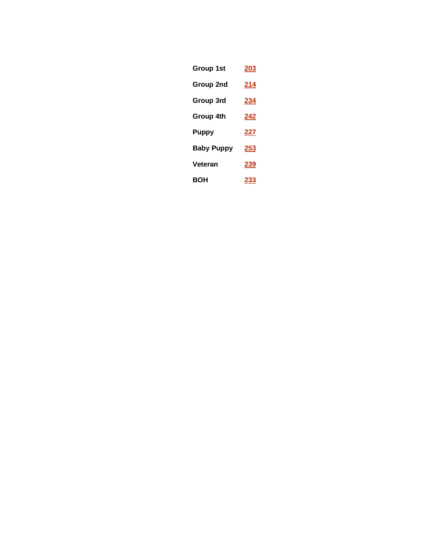| Group 1st         | 203         |
|-------------------|-------------|
| Group 2nd         | <u> 214</u> |
| Group 3rd         | <u>234</u>  |
| Group 4th         | 242         |
| Puppy             | 227         |
| <b>Baby Puppy</b> | 253         |
| Veteran           | <u> 239</u> |
| BOH               | 233         |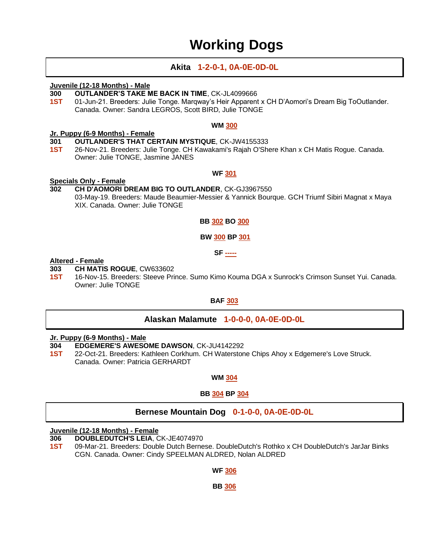### **Working Dogs**

#### **Akita 1-2-0-1, 0A-0E-0D-0L**

#### **Juvenile (12-18 Months) - Male**

- **300 OUTLANDER'S TAKE ME BACK IN TIME**, CK-JL4099666
- **1ST** 01-Jun-21. Breeders: Julie Tonge. Marqway's Heir Apparent x CH D'Aomori's Dream Big ToOutlander. Canada. Owner: Sandra LEGROS, Scott BIRD, Julie TONGE

#### **WM 300**

#### **Jr. Puppy (6-9 Months) - Female**

- **301 OUTLANDER'S THAT CERTAIN MYSTIQUE**, CK-JW4155333
- **1ST** 26-Nov-21. Breeders: Julie Tonge. CH Kawakami's Rajah O'Shere Khan x CH Matis Rogue. Canada. Owner: Julie TONGE, Jasmine JANES

#### **WF 301**

#### **Specials Only - Female**

**302 CH D'AOMORI DREAM BIG TO OUTLANDER**, CK-GJ3967550 03-May-19. Breeders: Maude Beaumier-Messier & Yannick Bourque. GCH Triumf Sibiri Magnat x Maya XIX. Canada. Owner: Julie TONGE

#### **BB 302 BO 300**

#### **BW 300 BP 301**

**SF -----**

#### **Altered - Female**

- **303 CH MATIS ROGUE**, CW633602
- **1ST** 16-Nov-15. Breeders: Steeve Prince. Sumo Kimo Kouma DGA x Sunrock's Crimson Sunset Yui. Canada. Owner: Julie TONGE

#### **BAF 303**

#### **Alaskan Malamute 1-0-0-0, 0A-0E-0D-0L**

#### **Jr. Puppy (6-9 Months) - Male**

- **304 EDGEMERE'S AWESOME DAWSON**, CK-JU4142292
- **1ST** 22-Oct-21. Breeders: Kathleen Corkhum. CH Waterstone Chips Ahoy x Edgemere's Love Struck. Canada. Owner: Patricia GERHARDT

#### **WM 304**

#### **BB 304 BP 304**

#### **Bernese Mountain Dog 0-1-0-0, 0A-0E-0D-0L**

#### **Juvenile (12-18 Months) - Female**

- **306 DOUBLEDUTCH'S LEIA**, CK-JE4074970
- **1ST** 09-Mar-21. Breeders: Double Dutch Bernese. DoubleDutch's Rothko x CH DoubleDutch's JarJar Binks CGN. Canada. Owner: Cindy SPEELMAN ALDRED, Nolan ALDRED

#### **WF 306**

#### **BB 306**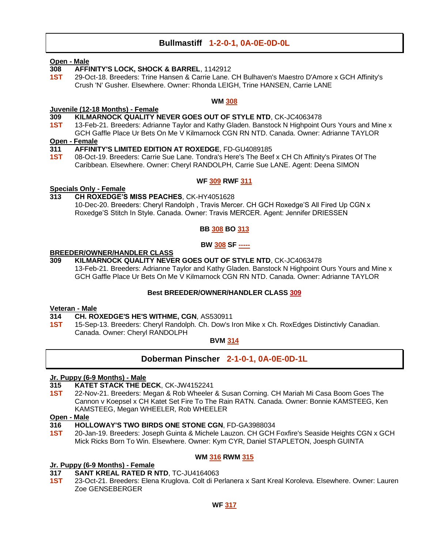#### **Bullmastiff 1-2-0-1, 0A-0E-0D-0L**

#### **Open - Male**

- **308 AFFINITY'S LOCK, SHOCK & BARREL**, 1142912
- **1ST** 29-Oct-18. Breeders: Trine Hansen & Carrie Lane. CH Bulhaven's Maestro D'Amore x GCH Affinity's Crush 'N' Gusher. Elsewhere. Owner: Rhonda LEIGH, Trine HANSEN, Carrie LANE

#### **WM 308**

#### **Juvenile (12-18 Months) - Female**

- **309 KILMARNOCK QUALITY NEVER GOES OUT OF STYLE NTD**, CK-JC4063478
- **1ST** 13-Feb-21. Breeders: Adrianne Taylor and Kathy Gladen. Banstock N Highpoint Ours Yours and Mine x GCH Gaffle Place Ur Bets On Me V Kilmarnock CGN RN NTD. Canada. Owner: Adrianne TAYLOR

#### **Open - Female**

#### **311 AFFINITY'S LIMITED EDITION AT ROXEDGE**, FD-GU4089185

**1ST** 08-Oct-19. Breeders: Carrie Sue Lane. Tondra's Here's The Beef x CH Ch Affinity's Pirates Of The Caribbean. Elsewhere. Owner: Cheryl RANDOLPH, Carrie Sue LANE. Agent: Deena SIMON

#### **WF 309 RWF 311**

#### **Specials Only - Female**

**313 CH ROXEDGE'S MISS PEACHES**, CK-HY4051628 10-Dec-20. Breeders: Cheryl Randolph , Travis Mercer. CH GCH Roxedge'S All Fired Up CGN x

Roxedge'S Stitch In Style. Canada. Owner: Travis MERCER. Agent: Jennifer DRIESSEN

#### **BB 308 BO 313**

#### **BW 308 SF -----**

#### **BREEDER/OWNER/HANDLER CLASS**

**309 KILMARNOCK QUALITY NEVER GOES OUT OF STYLE NTD**, CK-JC4063478 13-Feb-21. Breeders: Adrianne Taylor and Kathy Gladen. Banstock N Highpoint Ours Yours and Mine x GCH Gaffle Place Ur Bets On Me V Kilmarnock CGN RN NTD. Canada. Owner: Adrianne TAYLOR

#### **Best BREEDER/OWNER/HANDLER CLASS 309**

#### **Veteran - Male**

#### **314 CH. ROXEDGE'S HE'S WITHME, CGN**, AS530911

**1ST** 15-Sep-13. Breeders: Cheryl Randolph. Ch. Dow's Iron Mike x Ch. RoxEdges Distinctivly Canadian. Canada. Owner: Cheryl RANDOLPH

#### **BVM 314**

#### **Doberman Pinscher 2-1-0-1, 0A-0E-0D-1L**

#### **Jr. Puppy (6-9 Months) - Male**

- **315 KATET STACK THE DECK**, CK-JW4152241
- **1ST** 22-Nov-21. Breeders: Megan & Rob Wheeler & Susan Corning. CH Mariah Mi Casa Boom Goes The Cannon v Koepsel x CH Katet Set Fire To The Rain RATN. Canada. Owner: Bonnie KAMSTEEG, Ken KAMSTEEG, Megan WHEELER, Rob WHEELER

#### **Open - Male**

- **316 HOLLOWAY'S TWO BIRDS ONE STONE CGN**, FD-GA3988034
- **1ST** 20-Jan-19. Breeders: Joseph Guinta & Michele Lauzon. CH GCH Foxfire's Seaside Heights CGN x GCH Mick Ricks Born To Win. Elsewhere. Owner: Kym CYR, Daniel STAPLETON, Joesph GUINTA

#### **WM 316 RWM 315**

#### **Jr. Puppy (6-9 Months) - Female**

- **317 SANT KREAL RATED R NTD**, TC-JU4164063
- **1ST** 23-Oct-21. Breeders: Elena Kruglova. Colt di Perlanera x Sant Kreal Koroleva. Elsewhere. Owner: Lauren Zoe GENSEBERGER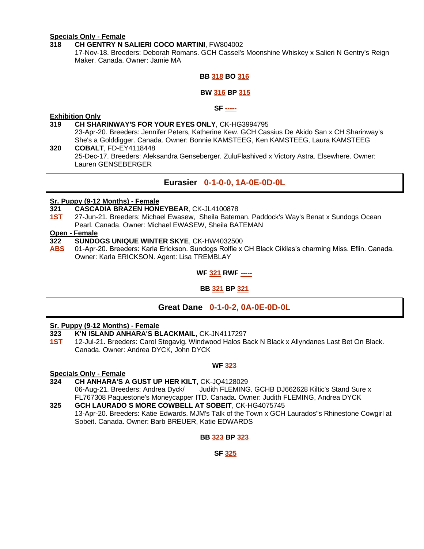### **Specials Only - Female**

#### **318 CH GENTRY N SALIERI COCO MARTINI**, FW804002

17-Nov-18. Breeders: Deborah Romans. GCH Cassel's Moonshine Whiskey x Salieri N Gentry's Reign Maker. Canada. Owner: Jamie MA

#### **BB 318 BO 316**

#### **BW 316 BP 315**

#### **SF -----**

#### **Exhibition Only**

- **319 CH SHARINWAY'S FOR YOUR EYES ONLY**, CK-HG3994795
- 23-Apr-20. Breeders: Jennifer Peters, Katherine Kew. GCH Cassius De Akido San x CH Sharinway's She's a Golddigger. Canada. Owner: Bonnie KAMSTEEG, Ken KAMSTEEG, Laura KAMSTEEG **320 COBALT**, FD-EY4118448

25-Dec-17. Breeders: Aleksandra Genseberger. ZuluFlashived x Victory Astra. Elsewhere. Owner: Lauren GENSEBERGER

#### **Eurasier 0-1-0-0, 1A-0E-0D-0L**

#### **Sr. Puppy (9-12 Months) - Female**

- **321 CASCADIA BRAZEN HONEYBEAR**, CK-JL4100878
- **1ST** 27-Jun-21. Breeders: Michael Ewasew, Sheila Bateman. Paddock's Way's Benat x Sundogs Ocean Pearl. Canada. Owner: Michael EWASEW, Sheila BATEMAN

#### **Open - Female**

- **322 SUNDOGS UNIQUE WINTER SKYE**, CK-HW4032500
- **ABS** 01-Apr-20. Breeders: Karla Erickson. Sundogs Rolfie x CH Black Cikilas's charming Miss. Eflin. Canada. Owner: Karla ERICKSON. Agent: Lisa TREMBLAY

#### **WF 321 RWF -----**

#### **BB 321 BP 321**

#### **Great Dane 0-1-0-2, 0A-0E-0D-0L**

#### **Sr. Puppy (9-12 Months) - Female**

- **323 K'N ISLAND ANHARA'S BLACKMAIL**, CK-JN4117297
- **1ST** 12-Jul-21. Breeders: Carol Stegavig. Windwood Halos Back N Black x Allyndanes Last Bet On Black. Canada. Owner: Andrea DYCK, John DYCK

#### **WF 323**

#### **Specials Only - Female**

**324 CH ANHARA'S A GUST UP HER KILT**, CK-JQ4128029

06-Aug-21. Breeders: Andrea Dyck/ Judith FLEMING. GCHB DJ662628 Kiltic's Stand Sure x FL767308 Paquestone's Moneycapper ITD. Canada. Owner: Judith FLEMING, Andrea DYCK

**325 GCH LAURADO S MORE COWBELL AT SOBEIT**, CK-HG4075745 13-Apr-20. Breeders: Katie Edwards. MJM's Talk of the Town x GCH Laurados"s Rhinestone Cowgirl at Sobeit. Canada. Owner: Barb BREUER, Katie EDWARDS

#### **BB 323 BP 323**

#### **SF 325**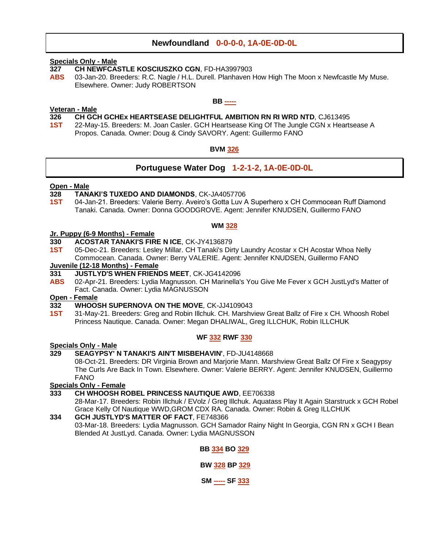#### **Newfoundland 0-0-0-0, 1A-0E-0D-0L**

### **Specials Only - Male**

- **327 CH NEWFCASTLE KOSCIUSZKO CGN**, FD-HA3997903
- **ABS** 03-Jan-20. Breeders: R.C. Nagle / H.L. Durell. Planhaven How High The Moon x Newfcastle My Muse. Elsewhere. Owner: Judy ROBERTSON

#### **BB -----**

- **Veteran - Male 326 CH GCH GCHEx HEARTSEASE DELIGHTFUL AMBITION RN RI WRD NTD**, CJ613495
- **1ST** 22-May-15. Breeders: M. Joan Casler. GCH Heartsease King Of The Jungle CGN x Heartsease A Propos. Canada. Owner: Doug & Cindy SAVORY. Agent: Guillermo FANO

#### **BVM 326**

#### **Portuguese Water Dog 1-2-1-2, 1A-0E-0D-0L**

#### **Open - Male**

- **328 TANAKI'S TUXEDO AND DIAMONDS**, CK-JA4057706
- **1ST** 04-Jan-21. Breeders: Valerie Berry. Aveiro's Gotta Luv A Superhero x CH Commocean Ruff Diamond Tanaki. Canada. Owner: Donna GOODGROVE. Agent: Jennifer KNUDSEN, Guillermo FANO

#### **WM 328**

#### **Jr. Puppy (6-9 Months) - Female**

- **330 ACOSTAR TANAKI'S FIRE N ICE**, CK-JY4136879
- **1ST** 05-Dec-21. Breeders: Lesley Millar. CH Tanaki's Dirty Laundry Acostar x CH Acostar Whoa Nelly Commocean. Canada. Owner: Berry VALERIE. Agent: Jennifer KNUDSEN, Guillermo FANO **Juvenile (12-18 Months) - Female**
- **331 JUSTLYD'S WHEN FRIENDS MEET**, CK-JG4142096
- **ABS** 02-Apr-21. Breeders: Lydia Magnusson. CH Marinella's You Give Me Fever x GCH JustLyd's Matter of Fact. Canada. Owner: Lydia MAGNUSSON

#### **Open - Female**

- **332 WHOOSH SUPERNOVA ON THE MOVE**, CK-JJ4109043
- **1ST** 31-May-21. Breeders: Greg and Robin Illchuk. CH. Marshview Great Ballz of Fire x CH. Whoosh Robel Princess Nautique. Canada. Owner: Megan DHALIWAL, Greg ILLCHUK, Robin ILLCHUK

#### **WF 332 RWF 330**

#### **Specials Only - Male**

#### **329 SEAGYPSY' N TANAKI'S AIN'T MISBEHAVIN'**, FD-JU4148668

08-Oct-21. Breeders: DR Virginia Brown and Marjorie Mann. Marshview Great Ballz Of Fire x Seagypsy The Curls Are Back In Town. Elsewhere. Owner: Valerie BERRY. Agent: Jennifer KNUDSEN, Guillermo FANO

#### **Specials Only - Female**

#### **333 CH WHOOSH ROBEL PRINCESS NAUTIQUE AWD**, EE706338

28-Mar-17. Breeders: Robin Illchuk / EVolz / Greg Illchuk. Aquatass Play It Again Starstruck x GCH Robel Grace Kelly Of Nautique WWD,GROM CDX RA. Canada. Owner: Robin & Greg ILLCHUK

#### **334 GCH JUSTLYD'S MATTER OF FACT**, FE748366

03-Mar-18. Breeders: Lydia Magnusson. GCH Samador Rainy Night In Georgia, CGN RN x GCH I Bean Blended At JustLyd. Canada. Owner: Lydia MAGNUSSON

**BB 334 BO 329**

**BW 328 BP 329**

**SM ----- SF 333**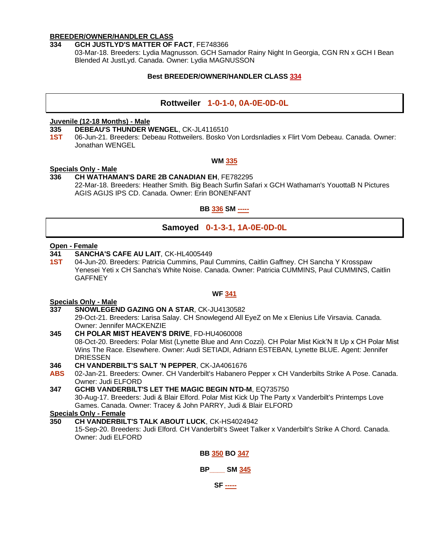#### **BREEDER/OWNER/HANDLER CLASS**

#### **334 GCH JUSTLYD'S MATTER OF FACT**, FE748366

03-Mar-18. Breeders: Lydia Magnusson. GCH Samador Rainy Night In Georgia, CGN RN x GCH I Bean Blended At JustLyd. Canada. Owner: Lydia MAGNUSSON

#### **Best BREEDER/OWNER/HANDLER CLASS 334**

#### **Rottweiler 1-0-1-0, 0A-0E-0D-0L**

#### **Juvenile (12-18 Months) - Male**

**335 DEBEAU'S THUNDER WENGEL**, CK-JL4116510

**1ST** 06-Jun-21. Breeders: Debeau Rottweilers. Bosko Von Lordsnladies x Flirt Vom Debeau. Canada. Owner: Jonathan WENGEL

#### **WM 335**

#### **Specials Only - Male**

#### **336 CH WATHAMAN'S DARE 2B CANADIAN EH**, FE782295 22-Mar-18. Breeders: Heather Smith. Big Beach Surfin Safari x GCH Wathaman's YouottaB N Pictures AGIS AGIJS IPS CD. Canada. Owner: Erin BONENFANT

**BB 336 SM -----**

#### **Samoyed 0-1-3-1, 1A-0E-0D-0L**

#### **Open - Female**

- **341 SANCHA'S CAFE AU LAIT**, CK-HL4005449
- **1ST** 04-Jun-20. Breeders: Patricia Cummins, Paul Cummins, Caitlin Gaffney. CH Sancha Y Krosspaw Yenesei Yeti x CH Sancha's White Noise. Canada. Owner: Patricia CUMMINS, Paul CUMMINS, Caitlin **GAFFNEY**

#### **WF 341**

#### **Specials Only - Male**

- **337 SNOWLEGEND GAZING ON A STAR**, CK-JU4130582
	- 29-Oct-21. Breeders: Larisa Salay. CH Snowlegend All EyeZ on Me x Elenius Life Virsavia. Canada. Owner: Jennifer MACKENZIE
- **345 CH POLAR MIST HEAVEN'S DRIVE**, FD-HU4060008 08-Oct-20. Breeders: Polar Mist (Lynette Blue and Ann Cozzi). CH Polar Mist Kick'N It Up x CH Polar Mist Wins The Race. Elsewhere. Owner: Audi SETIADI, Adriann ESTEBAN, Lynette BLUE. Agent: Jennifer DRIESSEN

#### **346 CH VANDERBILT'S SALT 'N PEPPER**, CK-JA4061676

**ABS** 02-Jan-21. Breeders: Owner. CH Vanderbilt's Habanero Pepper x CH Vanderbilts Strike A Pose. Canada. Owner: Judi ELFORD

**347 GCHB VANDERBILT'S LET THE MAGIC BEGIN NTD-M**, EQ735750 30-Aug-17. Breeders: Judi & Blair Elford. Polar Mist Kick Up The Party x Vanderbilt's Printemps Love Games. Canada. Owner: Tracey & John PARRY, Judi & Blair ELFORD

**Specials Only - Female**

**350 CH VANDERBILT'S TALK ABOUT LUCK**, CK-HS4024942 15-Sep-20. Breeders: Judi Elford. CH Vanderbilt's Sweet Talker x Vanderbilt's Strike A Chord. Canada. Owner: Judi ELFORD

#### **BB 350 BO 347**

#### **BP\_\_\_\_ SM 345**

**SF -----**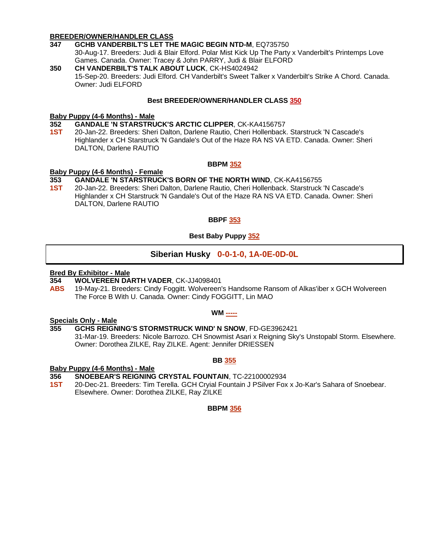#### **BREEDER/OWNER/HANDLER CLASS**

- **347 GCHB VANDERBILT'S LET THE MAGIC BEGIN NTD-M**, EQ735750 30-Aug-17. Breeders: Judi & Blair Elford. Polar Mist Kick Up The Party x Vanderbilt's Printemps Love Games. Canada. Owner: Tracey & John PARRY, Judi & Blair ELFORD
- **350 CH VANDERBILT'S TALK ABOUT LUCK**, CK-HS4024942 15-Sep-20. Breeders: Judi Elford. CH Vanderbilt's Sweet Talker x Vanderbilt's Strike A Chord. Canada. Owner: Judi ELFORD

#### **Best BREEDER/OWNER/HANDLER CLASS 350**

#### **Baby Puppy (4-6 Months) - Male**

**352 GANDALE 'N STARSTRUCK'S ARCTIC CLIPPER**, CK-KA4156757

**1ST** 20-Jan-22. Breeders: Sheri Dalton, Darlene Rautio, Cheri Hollenback. Starstruck 'N Cascade's Highlander x CH Starstruck 'N Gandale's Out of the Haze RA NS VA ETD. Canada. Owner: Sheri DALTON, Darlene RAUTIO

#### **BBPM 352**

#### **Baby Puppy (4-6 Months) - Female**

#### **353 GANDALE 'N STARSTRUCK'S BORN OF THE NORTH WIND**, CK-KA4156755

**1ST** 20-Jan-22. Breeders: Sheri Dalton, Darlene Rautio, Cheri Hollenback. Starstruck 'N Cascade's Highlander x CH Starstruck 'N Gandale's Out of the Haze RA NS VA ETD. Canada. Owner: Sheri DALTON, Darlene RAUTIO

#### **BBPF 353**

#### **Best Baby Puppy 352**

#### **Siberian Husky 0-0-1-0, 1A-0E-0D-0L**

#### **Bred By Exhibitor - Male**

- **354 WOLVEREEN DARTH VADER**, CK-JJ4098401
- **ABS** 19-May-21. Breeders: Cindy Foggitt. Wolvereen's Handsome Ransom of Alkas'iber x GCH Wolvereen The Force B With U. Canada. Owner: Cindy FOGGITT, Lin MAO

#### **WM -----**

#### **Specials Only - Male**

#### **355 GCHS REIGNING'S STORMSTRUCK WIND' N SNOW**, FD-GE3962421

31-Mar-19. Breeders: Nicole Barrozo. CH Snowmist Asari x Reigning Sky's Unstopabl Storm. Elsewhere. Owner: Dorothea ZILKE, Ray ZILKE. Agent: Jennifer DRIESSEN

#### **BB 355**

#### **Baby Puppy (4-6 Months) - Male**

- **356 SNOEBEAR'S REIGNING CRYSTAL FOUNTAIN**, TC-22100002934
- **1ST** 20-Dec-21. Breeders: Tim Terella. GCH Cryial Fountain J PSilver Fox x Jo-Kar's Sahara of Snoebear. Elsewhere. Owner: Dorothea ZILKE, Ray ZILKE

#### **BBPM 356**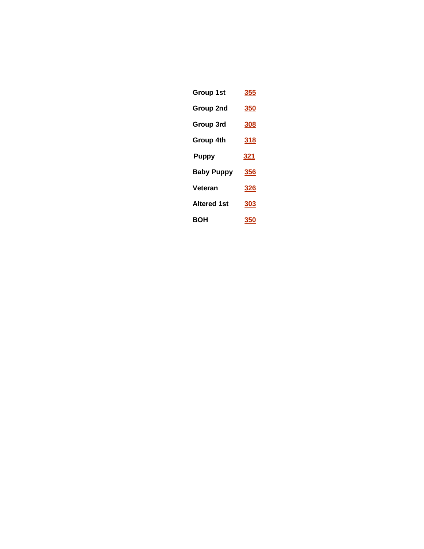| Group 1st          | <b>355</b> |
|--------------------|------------|
| Group 2nd          | <u>350</u> |
| Group 3rd          | 308        |
| Group 4th          | <u>318</u> |
| <b>Puppy</b>       | <u>321</u> |
| <b>Baby Puppy</b>  | 356        |
| Veteran            | <u>326</u> |
| <b>Altered 1st</b> | 303        |
| вон                | 350        |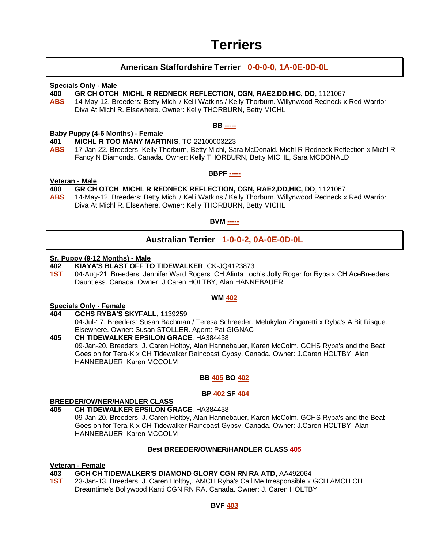### **Terriers**

#### **American Staffordshire Terrier 0-0-0-0, 1A-0E-0D-0L**

#### **Specials Only - Male**

#### **400 GR CH OTCH MICHL R REDNECK REFLECTION, CGN, RAE2,DD,HIC, DD**, 1121067

**ABS** 14-May-12. Breeders: Betty Michl / Kelli Watkins / Kelly Thorburn. Willynwood Redneck x Red Warrior Diva At Michl R. Elsewhere. Owner: Kelly THORBURN, Betty MICHL

#### **BB -----**

#### **Baby Puppy (4-6 Months) - Female**

- **401 MICHL R TOO MANY MARTINIS**, TC-22100003223
- **ABS** 17-Jan-22. Breeders: Kelly Thorburn, Betty Michl, Sara McDonald. Michl R Redneck Reflection x Michl R Fancy N Diamonds. Canada. Owner: Kelly THORBURN, Betty MICHL, Sara MCDONALD

#### **BBPF -----**

#### **Veteran - Male**

#### **400 GR CH OTCH MICHL R REDNECK REFLECTION, CGN, RAE2,DD,HIC, DD**, 1121067

**ABS** 14-May-12. Breeders: Betty Michl / Kelli Watkins / Kelly Thorburn. Willynwood Redneck x Red Warrior Diva At Michl R. Elsewhere. Owner: Kelly THORBURN, Betty MICHL

**BVM -----**

### **Australian Terrier 1-0-0-2, 0A-0E-0D-0L**

#### **Sr. Puppy (9-12 Months) - Male**

- **402 KIAYA'S BLAST OFF TO TIDEWALKER**, CK-JQ4123873
- **1ST** 04-Aug-21. Breeders: Jennifer Ward Rogers. CH Alinta Loch's Jolly Roger for Ryba x CH AceBreeders Dauntless. Canada. Owner: J Caren HOLTBY, Alan HANNEBAUER

#### **WM 402**

#### **Specials Only - Female**

- **404 GCHS RYBA'S SKYFALL**, 1139259 04-Jul-17. Breeders: Susan Bachman / Teresa Schreeder. Melukylan Zingaretti x Ryba's A Bit Risque. Elsewhere. Owner: Susan STOLLER. Agent: Pat GIGNAC
- **405 CH TIDEWALKER EPSILON GRACE**, HA384438 09-Jan-20. Breeders: J. Caren Holtby, Alan Hannebauer, Karen McColm. GCHS Ryba's and the Beat Goes on for Tera-K x CH Tidewalker Raincoast Gypsy. Canada. Owner: J.Caren HOLTBY, Alan HANNEBAUER, Karen MCCOLM

#### **BB 405 BO 402**

#### **BP 402 SF 404**

#### **BREEDER/OWNER/HANDLER CLASS**

#### **405 CH TIDEWALKER EPSILON GRACE**, HA384438

09-Jan-20. Breeders: J. Caren Holtby, Alan Hannebauer, Karen McColm. GCHS Ryba's and the Beat Goes on for Tera-K x CH Tidewalker Raincoast Gypsy. Canada. Owner: J.Caren HOLTBY, Alan HANNEBAUER, Karen MCCOLM

#### **Best BREEDER/OWNER/HANDLER CLASS 405**

### **Veteran - Female**

#### **403 GCH CH TIDEWALKER'S DIAMOND GLORY CGN RN RA ATD**, AA492064

**1ST** 23-Jan-13. Breeders: J. Caren Holtby,. AMCH Ryba's Call Me Irresponsible x GCH AMCH CH Dreamtime's Bollywood Kanti CGN RN RA. Canada. Owner: J. Caren HOLTBY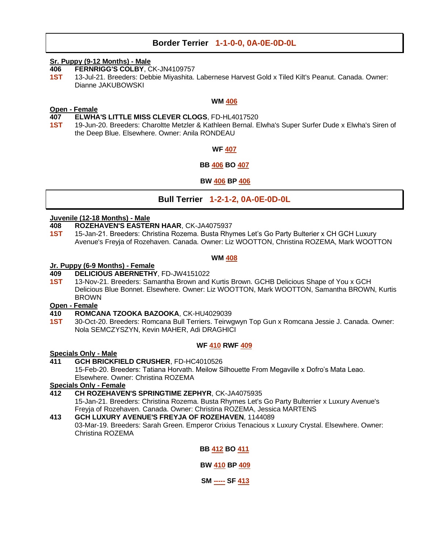#### **Border Terrier 1-1-0-0, 0A-0E-0D-0L**

#### **Sr. Puppy (9-12 Months) - Male**

- **406 FERNRIGG'S COLBY**, CK-JN4109757
- **1ST** 13-Jul-21. Breeders: Debbie Miyashita. Labernese Harvest Gold x Tiled Kilt's Peanut. Canada. Owner: Dianne JAKUBOWSKI

#### **WM 406**

#### **Open - Female 407 ELWHA'S LITTLE MISS CLEVER CLOGS**, FD-HL4017520

**1ST** 19-Jun-20. Breeders: Charoltte Metzler & Kathleen Bernal. Elwha's Super Surfer Dude x Elwha's Siren of the Deep Blue. Elsewhere. Owner: Anila RONDEAU

#### **WF 407**

#### **BB 406 BO 407**

#### **BW 406 BP 406**

**Bull Terrier 1-2-1-2, 0A-0E-0D-0L**

#### **Juvenile (12-18 Months) - Male**

- **408 ROZEHAVEN'S EASTERN HAAR**, CK-JA4075937
- **1ST** 15-Jan-21. Breeders: Christina Rozema. Busta Rhymes Let's Go Party Bulterier x CH GCH Luxury Avenue's Freyja of Rozehaven. Canada. Owner: Liz WOOTTON, Christina ROZEMA, Mark WOOTTON

#### **WM 408**

#### **Jr. Puppy (6-9 Months) - Female**

#### **409 DELICIOUS ABERNETHY**, FD-JW4151022

**1ST** 13-Nov-21. Breeders: Samantha Brown and Kurtis Brown. GCHB Delicious Shape of You x GCH Delicious Blue Bonnet. Elsewhere. Owner: Liz WOOTTON, Mark WOOTTON, Samantha BROWN, Kurtis BROWN

#### **Open - Female**

- **410 ROMCANA TZOOKA BAZOOKA**, CK-HU4029039
- **1ST** 30-Oct-20. Breeders: Romcana Bull Terriers. Teirwgwyn Top Gun x Romcana Jessie J. Canada. Owner: Nola SEMCZYSZYN, Kevin MAHER, Adi DRAGHICI

#### **WF 410 RWF 409**

#### **Specials Only - Male**

#### **411 GCH BRICKFIELD CRUSHER**, FD-HC4010526 15-Feb-20. Breeders: Tatiana Horvath. Meilow Silhouette From Megaville x Dofro's Mata Leao.

Elsewhere. Owner: Christina ROZEMA

### **Specials Only - Female**

**412 CH ROZEHAVEN'S SPRINGTIME ZEPHYR**, CK-JA4075935

15-Jan-21. Breeders: Christina Rozema. Busta Rhymes Let's Go Party Bulterrier x Luxury Avenue's Freyja of Rozehaven. Canada. Owner: Christina ROZEMA, Jessica MARTENS

### **413 GCH LUXURY AVENUE'S FREYJA OF ROZEHAVEN**, 1144089

03-Mar-19. Breeders: Sarah Green. Emperor Crixius Tenacious x Luxury Crystal. Elsewhere. Owner: Christina ROZEMA

#### **BB 412 BO 411**

**BW 410 BP 409**

**SM ----- SF 413**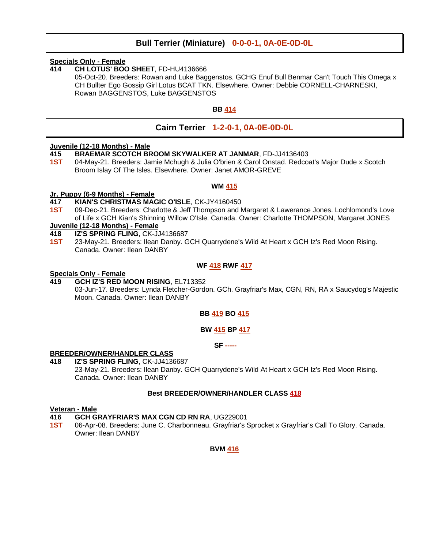#### **Bull Terrier (Miniature) 0-0-0-1, 0A-0E-0D-0L**

#### **Specials Only - Female**

**414 CH LOTUS' BOO SHEET**, FD-HU4136666

05-Oct-20. Breeders: Rowan and Luke Baggenstos. GCHG Enuf Bull Benmar Can't Touch This Omega x CH Bullter Ego Gossip Girl Lotus BCAT TKN. Elsewhere. Owner: Debbie CORNELL-CHARNESKI, Rowan BAGGENSTOS, Luke BAGGENSTOS

#### **BB 414**

#### **Cairn Terrier 1-2-0-1, 0A-0E-0D-0L**

#### **Juvenile (12-18 Months) - Male**

- **415 BRAEMAR SCOTCH BROOM SKYWALKER AT JANMAR**, FD-JJ4136403
- **1ST** 04-May-21. Breeders: Jamie Mchugh & Julia O'brien & Carol Onstad. Redcoat's Major Dude x Scotch Broom Islay Of The Isles. Elsewhere. Owner: Janet AMOR-GREVE

#### **WM 415**

#### **Jr. Puppy (6-9 Months) - Female**

- **417 KIAN'S CHRISTMAS MAGIC O'ISLE**, CK-JY4160450
- **1ST** 09-Dec-21. Breeders: Charlotte & Jeff Thompson and Margaret & Lawerance Jones. Lochlomond's Love of Life x GCH Kian's Shinning Willow O'Isle. Canada. Owner: Charlotte THOMPSON, Margaret JONES

#### **Juvenile (12-18 Months) - Female**

- **418 IZ'S SPRING FLING**, CK-JJ4136687
- **1ST** 23-May-21. Breeders: Ilean Danby. GCH Quarrydene's Wild At Heart x GCH Iz's Red Moon Rising. Canada. Owner: Ilean DANBY

#### **WF 418 RWF 417**

#### **Specials Only - Female**

#### **419 GCH IZ'S RED MOON RISING**, EL713352

03-Jun-17. Breeders: Lynda Fletcher-Gordon. GCh. Grayfriar's Max, CGN, RN, RA x Saucydog's Majestic Moon. Canada. Owner: Ilean DANBY

#### **BB 419 BO 415**

#### **BW 415 BP 417**

#### **SF -----**

#### **BREEDER/OWNER/HANDLER CLASS**

**418 IZ'S SPRING FLING**, CK-JJ4136687 23-May-21. Breeders: Ilean Danby. GCH Quarrydene's Wild At Heart x GCH Iz's Red Moon Rising. Canada. Owner: Ilean DANBY

#### **Best BREEDER/OWNER/HANDLER CLASS 418**

#### **Veteran - Male**

- **416 GCH GRAYFRIAR'S MAX CGN CD RN RA**, UG229001
- **1ST** 06-Apr-08. Breeders: June C. Charbonneau. Grayfriar's Sprocket x Grayfriar's Call To Glory. Canada. Owner: Ilean DANBY

**BVM 416**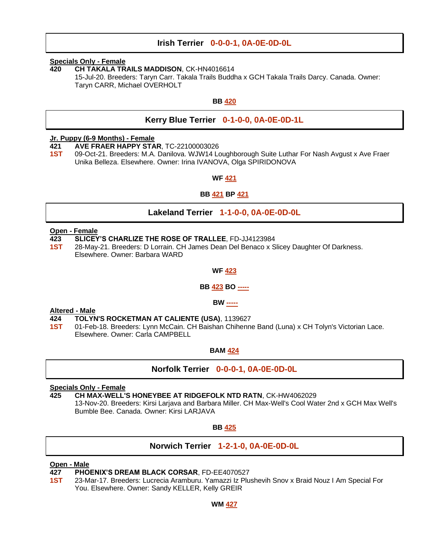#### **Irish Terrier 0-0-0-1, 0A-0E-0D-0L**

#### **Specials Only - Female**

**420 CH TAKALA TRAILS MADDISON**, CK-HN4016614

15-Jul-20. Breeders: Taryn Carr. Takala Trails Buddha x GCH Takala Trails Darcy. Canada. Owner: Taryn CARR, Michael OVERHOLT

#### **BB 420**

#### **Kerry Blue Terrier 0-1-0-0, 0A-0E-0D-1L**

#### **Jr. Puppy (6-9 Months) - Female**

**421 AVE FRAER HAPPY STAR**, TC-22100003026

**1ST** 09-Oct-21. Breeders: M.A. Danilova. WJW14 Loughborough Suite Luthar For Nash Avgust x Ave Fraer Unika Belleza. Elsewhere. Owner: Irina IVANOVA, Olga SPIRIDONOVA

#### **WF 421**

#### **BB 421 BP 421**

#### **Lakeland Terrier 1-1-0-0, 0A-0E-0D-0L**

#### **Open - Female**

- **423 SLICEY'S CHARLIZE THE ROSE OF TRALLEE**, FD-JJ4123984
- **1ST** 28-May-21. Breeders: D Lorrain. CH James Dean Del Benaco x Slicey Daughter Of Darkness. Elsewhere. Owner: Barbara WARD

#### **WF 423**

#### **BB 423 BO -----**

#### **BW -----**

#### **Altered - Male**

- **424 TOLYN'S ROCKETMAN AT CALIENTE (USA)**, 1139627
- **1ST** 01-Feb-18. Breeders: Lynn McCain. CH Baishan Chihenne Band (Luna) x CH Tolyn's Victorian Lace. Elsewhere. Owner: Carla CAMPBELL

#### **BAM 424**

#### **Norfolk Terrier 0-0-0-1, 0A-0E-0D-0L**

#### **Specials Only - Female**

**425 CH MAX-WELL'S HONEYBEE AT RIDGEFOLK NTD RATN**, CK-HW4062029

13-Nov-20. Breeders: Kirsi Larjava and Barbara Miller. CH Max-Well's Cool Water 2nd x GCH Max Well's Bumble Bee. Canada. Owner: Kirsi LARJAVA

**BB 425**

#### **Norwich Terrier 1-2-1-0, 0A-0E-0D-0L**

#### **Open - Male**

- **427 PHOENIX'S DREAM BLACK CORSAR**, FD-EE4070527
- **1ST** 23-Mar-17. Breeders: Lucrecia Aramburu. Yamazzi Iz Plushevih Snov x Braid Nouz I Am Special For You. Elsewhere. Owner: Sandy KELLER, Kelly GREIR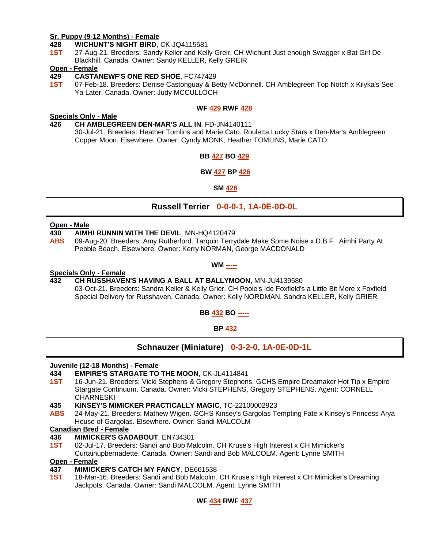#### **Sr. Puppy (9-12 Months) - Female**

**428 WICHUNT'S NIGHT BIRD**, CK-JQ4115581

**1ST** 27-Aug-21. Breeders: Sandy Keller and Kelly Greir. CH Wichunt Just enough Swagger x Bat Girl De Blackhill. Canada. Owner: Sandy KELLER, Kelly GREIR

#### **Open - Female**

#### **429 CASTANEWF'S ONE RED SHOE**, FC747429

**1ST** 07-Feb-18. Breeders: Denise Castonguay & Betty McDonnell. CH Amblegreen Top Notch x Kilyka's See Ya Later. Canada. Owner: Judy MCCULLOCH

#### **WF 429 RWF 428**

#### **Specials Only - Male**

**426 CH AMBLEGREEN DEN-MAR'S ALL IN**, FD-JN4140111 30-Jul-21. Breeders: Heather Tomlins and Marie Cato. Rouletta Lucky Stars x Den-Mar's Amblegreen Copper Moon. Elsewhere. Owner: Cyndy MONK, Heather TOMLINS, Marie CATO

#### **BB 427 BO 429**

#### **BW 427 BP 426**

#### **SM 426**

#### **Russell Terrier 0-0-0-1, 1A-0E-0D-0L**

#### **Open - Male**

- **430 AIMHI RUNNIN WITH THE DEVIL**, MN-HQ4120479
- **ABS** 09-Aug-20. Breeders: Amy Rutherford. Tarquin Terrydale Make Some Noise x D.B.F. Aimhi Party At Pebble Beach. Elsewhere. Owner: Kerry NORMAN, George MACDONALD

#### **WM -----**

#### **Specials Only - Female**

**432 CH RUSSHAVEN'S HAVING A BALL AT BALLYMOON**, MN-JU4139580 03-Oct-21. Breeders: Sandra Keller & Kelly Grier. CH Poole's Ide Foxfield's a Little Bit More x Foxfield Special Delivery for Russhaven. Canada. Owner: Kelly NORDMAN, Sandra KELLER, Kelly GRIER

**BB 432 BO -----**

**BP 432**

**Schnauzer (Miniature) 0-3-2-0, 1A-0E-0D-1L**

#### **Juvenile (12-18 Months) - Female**

#### **434 EMPIRE'S STARGATE TO THE MOON**, CK-JL4114841

- **1ST** 16-Jun-21. Breeders: Vicki Stephens & Gregory Stephens. GCHS Empire Dreamaker Hot Tip x Empire Stargate Continuum. Canada. Owner: Vicki STEPHENS, Gregory STEPHENS. Agent: CORNELL **CHARNESKI**
- **435 KINSEY'S MIMICKER PRACTICALLY MAGIC**, TC-22100002923
- **ABS** 24-May-21. Breeders: Mathew Wigen. GCHS Kinsey's Gargolas Tempting Fate x Kinsey's Princess Arya House of Gargolas. Elsewhere. Owner: Sandi MALCOLM

#### **Canadian Bred - Female**

- **436 MIMICKER'S GADABOUT**, EN734301
- **1ST** 02-Jul-17. Breeders: Sandi and Bob Malcolm. CH Kruse's High Interest x CH Mimicker's Curtainupbernadette. Canada. Owner: Sandi and Bob MALCOLM. Agent: Lynne SMITH

#### **Open - Female**

- **437 MIMICKER'S CATCH MY FANCY**, DE661538
- **1ST** 18-Mar-16. Breeders: Sandi and Bob Malcolm. CH Kruse's High Interest x CH Mimicker's Dreaming Jackpots. Canada. Owner: Sandi MALCOLM. Agent: Lynne SMITH

#### **WF 434 RWF 437**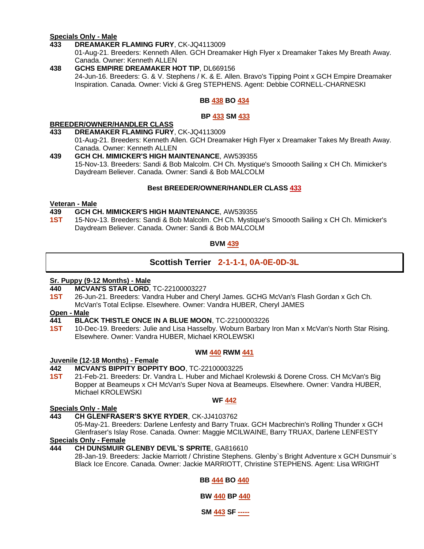#### **Specials Only - Male**

**433 DREAMAKER FLAMING FURY**, CK-JQ4113009

01-Aug-21. Breeders: Kenneth Allen. GCH Dreamaker High Flyer x Dreamaker Takes My Breath Away. Canada. Owner: Kenneth ALLEN

**438 GCHS EMPIRE DREAMAKER HOT TIP**, DL669156 24-Jun-16. Breeders: G. & V. Stephens / K. & E. Allen. Bravo's Tipping Point x GCH Empire Dreamaker Inspiration. Canada. Owner: Vicki & Greg STEPHENS. Agent: Debbie CORNELL-CHARNESKI

#### **BB 438 BO 434**

#### **BP 433 SM 433**

#### **BREEDER/OWNER/HANDLER CLASS**

- **433 DREAMAKER FLAMING FURY**, CK-JQ4113009 01-Aug-21. Breeders: Kenneth Allen. GCH Dreamaker High Flyer x Dreamaker Takes My Breath Away. Canada. Owner: Kenneth ALLEN
- **439 GCH CH. MIMICKER'S HIGH MAINTENANCE**, AW539355 15-Nov-13. Breeders: Sandi & Bob Malcolm. CH Ch. Mystique's Smoooth Sailing x CH Ch. Mimicker's Daydream Believer. Canada. Owner: Sandi & Bob MALCOLM

#### **Best BREEDER/OWNER/HANDLER CLASS 433**

#### **Veteran - Male**

#### **439 GCH CH. MIMICKER'S HIGH MAINTENANCE**, AW539355

**1ST** 15-Nov-13. Breeders: Sandi & Bob Malcolm. CH Ch. Mystique's Smoooth Sailing x CH Ch. Mimicker's Daydream Believer. Canada. Owner: Sandi & Bob MALCOLM

#### **BVM 439**

#### **Scottish Terrier 2-1-1-1, 0A-0E-0D-3L**

#### **Sr. Puppy (9-12 Months) - Male**

- **440 MCVAN'S STAR LORD**, TC-22100003227
- **1ST** 26-Jun-21. Breeders: Vandra Huber and Cheryl James. GCHG McVan's Flash Gordan x Gch Ch. McVan's Total Eclipse. Elsewhere. Owner: Vandra HUBER, Cheryl JAMES

#### **Open - Male**

- **441 BLACK THISTLE ONCE IN A BLUE MOON**, TC-22100003226
- **1ST** 10-Dec-19. Breeders: Julie and Lisa Hasselby. Woburn Barbary Iron Man x McVan's North Star Rising. Elsewhere. Owner: Vandra HUBER, Michael KROLEWSKI

#### **WM 440 RWM 441**

#### **Juvenile (12-18 Months) - Female**

#### **442 MCVAN'S BIPPITY BOPPITY BOO**, TC-22100003225

**1ST** 21-Feb-21. Breeders: Dr. Vandra L. Huber and Michael Krolewski & Dorene Cross. CH McVan's Big Bopper at Beameups x CH McVan's Super Nova at Beameups. Elsewhere. Owner: Vandra HUBER, Michael KROLEWSKI

#### **Specials Only - Male**

### **WF 442**

**443 CH GLENFRASER'S SKYE RYDER**, CK-JJ4103762

05-May-21. Breeders: Darlene Lenfesty and Barry Truax. GCH Macbrechin's Rolling Thunder x GCH Glenfraser's Islay Rose. Canada. Owner: Maggie MCILWAINE, Barry TRUAX, Darlene LENFESTY **Specials Only - Female**

#### **444 CH DUNSMUIR GLENBY DEVIL`S SPRITE**, GA816610

28-Jan-19. Breeders: Jackie Marriott / Christine Stephens. Glenby`s Bright Adventure x GCH Dunsmuir`s Black Ice Encore. Canada. Owner: Jackie MARRIOTT, Christine STEPHENS. Agent: Lisa WRIGHT

#### **BB 444 BO 440**

**BW 440 BP 440**

**SM 443 SF -----**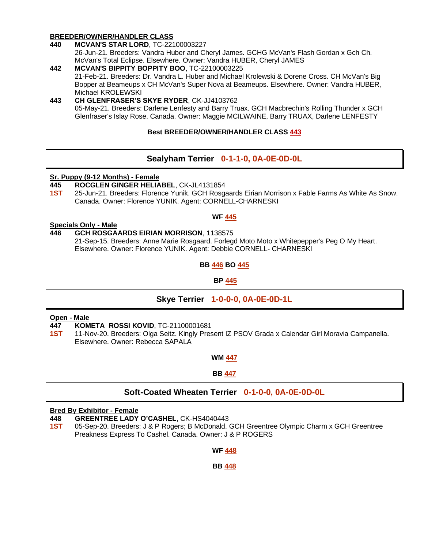#### **BREEDER/OWNER/HANDLER CLASS**

**440 MCVAN'S STAR LORD**, TC-22100003227

26-Jun-21. Breeders: Vandra Huber and Cheryl James. GCHG McVan's Flash Gordan x Gch Ch. McVan's Total Eclipse. Elsewhere. Owner: Vandra HUBER, Cheryl JAMES

**442 MCVAN'S BIPPITY BOPPITY BOO**, TC-22100003225 21-Feb-21. Breeders: Dr. Vandra L. Huber and Michael Krolewski & Dorene Cross. CH McVan's Big Bopper at Beameups x CH McVan's Super Nova at Beameups. Elsewhere. Owner: Vandra HUBER, Michael KROLEWSKI

#### **443 CH GLENFRASER'S SKYE RYDER**, CK-JJ4103762 05-May-21. Breeders: Darlene Lenfesty and Barry Truax. GCH Macbrechin's Rolling Thunder x GCH Glenfraser's Islay Rose. Canada. Owner: Maggie MCILWAINE, Barry TRUAX, Darlene LENFESTY

#### **Best BREEDER/OWNER/HANDLER CLASS 443**

#### **Sealyham Terrier 0-1-1-0, 0A-0E-0D-0L**

#### **Sr. Puppy (9-12 Months) - Female**

- **445 ROCGLEN GINGER HELIABEL**, CK-JL4131854
- **1ST** 25-Jun-21. Breeders: Florence Yunik. GCH Rosgaards Eirian Morrison x Fable Farms As White As Snow. Canada. Owner: Florence YUNIK. Agent: CORNELL-CHARNESKI

#### **WF 445**

#### **Specials Only - Male**

**446 GCH ROSGAARDS EIRIAN MORRISON**, 1138575 21-Sep-15. Breeders: Anne Marie Rosgaard. Forlegd Moto Moto x Whitepepper's Peg O My Heart. Elsewhere. Owner: Florence YUNIK. Agent: Debbie CORNELL- CHARNESKI

#### **BB 446 BO 445**

#### **BP 445**

#### **Skye Terrier 1-0-0-0, 0A-0E-0D-1L**

#### **Open - Male**

**447 KOMETA ROSSI KOVID**, TC-21100001681

**1ST** 11-Nov-20. Breeders: Olga Seitz. Kingly Present IZ PSOV Grada x Calendar Girl Moravia Campanella. Elsewhere. Owner: Rebecca SAPALA

#### **WM 447**

#### **BB 447**

#### **Soft-Coated Wheaten Terrier 0-1-0-0, 0A-0E-0D-0L**

#### **Bred By Exhibitor - Female**

**448 GREENTREE LADY O'CASHEL**, CK-HS4040443

**1ST** 05-Sep-20. Breeders: J & P Rogers; B McDonald. GCH Greentree Olympic Charm x GCH Greentree Preakness Express To Cashel. Canada. Owner: J & P ROGERS

#### **WF 448**

#### **BB 448**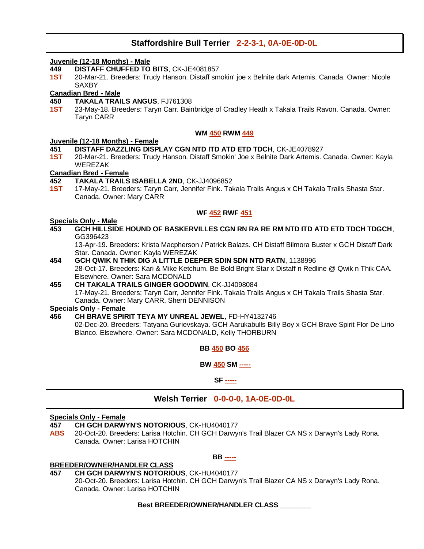#### **Staffordshire Bull Terrier 2-2-3-1, 0A-0E-0D-0L**

#### **Juvenile (12-18 Months) - Male**

- **449 DISTAFF CHUFFED TO BITS**, CK-JE4081857
- **1ST** 20-Mar-21. Breeders: Trudy Hanson. Distaff smokin' joe x Belnite dark Artemis. Canada. Owner: Nicole **SAXBY**

#### **Canadian Bred - Male**

- **450 TAKALA TRAILS ANGUS**, FJ761308
- **1ST** 23-May-18. Breeders: Taryn Carr. Bainbridge of Cradley Heath x Takala Trails Ravon. Canada. Owner: Taryn CARR

#### **WM 450 RWM 449**

#### **Juvenile (12-18 Months) - Female**

- **451 DISTAFF DAZZLING DISPLAY CGN NTD ITD ATD ETD TDCH**, CK-JE4078927
- **1ST** 20-Mar-21. Breeders: Trudy Hanson. Distaff Smokin' Joe x Belnite Dark Artemis. Canada. Owner: Kayla WEREZAK

#### **Canadian Bred - Female**

- **452 TAKALA TRAILS ISABELLA 2ND**, CK-JJ4096852
- **1ST** 17-May-21. Breeders: Taryn Carr, Jennifer Fink. Takala Trails Angus x CH Takala Trails Shasta Star. Canada. Owner: Mary CARR

#### **WF 452 RWF 451**

#### **Specials Only - Male**

**453 GCH HILLSIDE HOUND OF BASKERVILLES CGN RN RA RE RM NTD ITD ATD ETD TDCH TDGCH**, GG396423

13-Apr-19. Breeders: Krista Macpherson / Patrick Balazs. CH Distaff Bilmora Buster x GCH Distaff Dark Star. Canada. Owner: Kayla WEREZAK

- **454 GCH QWIK N THIK DIG A LITTLE DEEPER SDIN SDN NTD RATN**, 1138996 28-Oct-17. Breeders: Kari & Mike Ketchum. Be Bold Bright Star x Distaff n Redline @ Qwik n Thik CAA. Elsewhere. Owner: Sara MCDONALD
- **455 CH TAKALA TRAILS GINGER GOODWIN**, CK-JJ4098084 17-May-21. Breeders: Taryn Carr, Jennifer Fink. Takala Trails Angus x CH Takala Trails Shasta Star. Canada. Owner: Mary CARR, Sherri DENNISON

#### **Specials Only - Female**

**456 CH BRAVE SPIRIT TEYA MY UNREAL JEWEL**, FD-HY4132746 02-Dec-20. Breeders: Tatyana Gurievskaya. GCH Aarukabulls Billy Boy x GCH Brave Spirit Flor De Lirio Blanco. Elsewhere. Owner: Sara MCDONALD, Kelly THORBURN

**BB 450 BO 456**

**BW 450 SM -----**

**SF -----**

#### **Welsh Terrier 0-0-0-0, 1A-0E-0D-0L**

#### **Specials Only - Female**

- **457 CH GCH DARWYN'S NOTORIOUS**, CK-HU4040177
- **ABS** 20-Oct-20. Breeders: Larisa Hotchin. CH GCH Darwyn's Trail Blazer CA NS x Darwyn's Lady Rona. Canada. Owner: Larisa HOTCHIN

#### **BREEDER/OWNER/HANDLER CLASS**

**457 CH GCH DARWYN'S NOTORIOUS**, CK-HU4040177

20-Oct-20. Breeders: Larisa Hotchin. CH GCH Darwyn's Trail Blazer CA NS x Darwyn's Lady Rona. Canada. Owner: Larisa HOTCHIN

**BB -----**

#### **Best BREEDER/OWNER/HANDLER CLASS \_\_\_\_\_\_\_\_**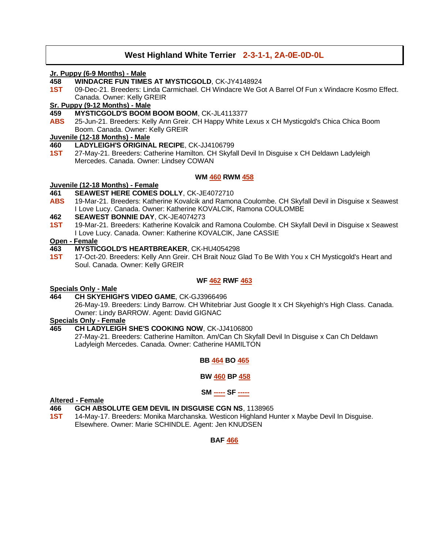#### **West Highland White Terrier 2-3-1-1, 2A-0E-0D-0L**

#### **Jr. Puppy (6-9 Months) - Male**

- **458 WINDACRE FUN TIMES AT MYSTICGOLD**, CK-JY4148924
- **1ST** 09-Dec-21. Breeders: Linda Carmichael. CH Windacre We Got A Barrel Of Fun x Windacre Kosmo Effect. Canada. Owner: Kelly GREIR

#### **Sr. Puppy (9-12 Months) - Male**

- **459 MYSTICGOLD'S BOOM BOOM BOOM**, CK-JL4113377
- **ABS** 25-Jun-21. Breeders: Kelly Ann Greir. CH Happy White Lexus x CH Mysticgold's Chica Chica Boom Boom. Canada. Owner: Kelly GREIR

#### **Juvenile (12-18 Months) - Male**

#### **460 LADYLEIGH'S ORIGINAL RECIPE**, CK-JJ4106799

**1ST** 27-May-21. Breeders: Catherine Hamilton. CH Skyfall Devil In Disguise x CH Deldawn Ladyleigh Mercedes. Canada. Owner: Lindsey COWAN

#### **WM 460 RWM 458**

#### **Juvenile (12-18 Months) - Female**

- **461 SEAWEST HERE COMES DOLLY**, CK-JE4072710
- **ABS** 19-Mar-21. Breeders: Katherine Kovalcik and Ramona Coulombe. CH Skyfall Devil in Disguise x Seawest I Love Lucy. Canada. Owner: Katherine KOVALCIK, Ramona COULOMBE

#### **462 SEAWEST BONNIE DAY**, CK-JE4074273

**1ST** 19-Mar-21. Breeders: Katherine Kovalcik and Ramona Coulombe. CH Skyfall Devil in Disguise x Seawest I Love Lucy. Canada. Owner: Katherine KOVALCIK, Jane CASSIE

#### **Open - Female**

- **463 MYSTICGOLD'S HEARTBREAKER**, CK-HU4054298
- **1ST** 17-Oct-20. Breeders: Kelly Ann Greir. CH Brait Nouz Glad To Be With You x CH Mysticgold's Heart and Soul. Canada. Owner: Kelly GREIR

#### **WF 462 RWF 463**

#### **Specials Only - Male**

#### **464 CH SKYEHIGH'S VIDEO GAME**, CK-GJ3966496

26-May-19. Breeders: Lindy Barrow. CH Whitebriar Just Google It x CH Skyehigh's High Class. Canada. Owner: Lindy BARROW. Agent: David GIGNAC

#### **Specials Only - Female**

#### **465 CH LADYLEIGH SHE'S COOKING NOW**, CK-JJ4106800

27-May-21. Breeders: Catherine Hamilton. Am/Can Ch Skyfall Devil In Disguise x Can Ch Deldawn Ladyleigh Mercedes. Canada. Owner: Catherine HAMILTON

#### **BB 464 BO 465**

#### **BW 460 BP 458**

#### **SM ----- SF -----**

#### **Altered - Female**

#### **466 GCH ABSOLUTE GEM DEVIL IN DISGUISE CGN NS**, 1138965

**1ST** 14-May-17. Breeders: Monika Marchanska. Westicon Highland Hunter x Maybe Devil In Disguise. Elsewhere. Owner: Marie SCHINDLE. Agent: Jen KNUDSEN

#### **BAF 466**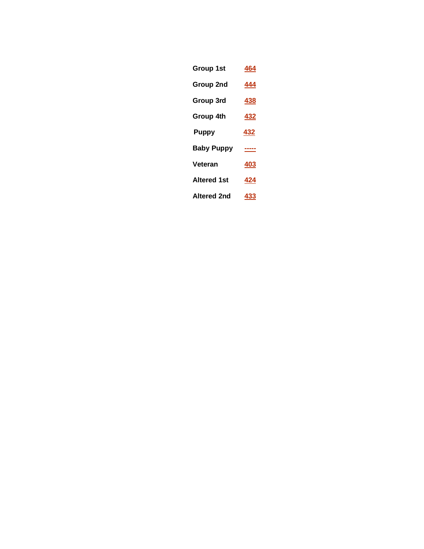- **Group 1st 464 Group 2nd 444**
- **Group 3rd 438**
- **Group 4th 432**
- **Puppy 432**
- **Baby Puppy -----**
- **Veteran 403**
- **Altered 1st 424**
- **Altered 2nd 433**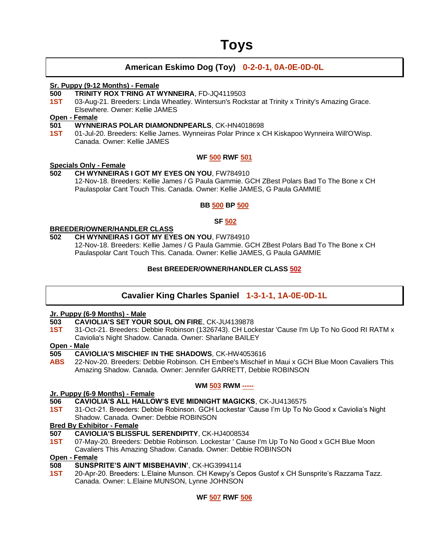### **Toys**

#### **American Eskimo Dog (Toy) 0-2-0-1, 0A-0E-0D-0L**

#### **Sr. Puppy (9-12 Months) - Female**

#### **500 TRINITY ROX T'RING AT WYNNEIRA**, FD-JQ4119503

**1ST** 03-Aug-21. Breeders: Linda Wheatley. Wintersun's Rockstar at Trinity x Trinity's Amazing Grace. Elsewhere. Owner: Kellie JAMES

#### **Open - Female**

#### **501 WYNNEIRAS POLAR DIAMONDNPEARLS**, CK-HN4018698

**1ST** 01-Jul-20. Breeders: Kellie James. Wynneiras Polar Prince x CH Kiskapoo Wynneira Will'O'Wisp. Canada. Owner: Kellie JAMES

#### **WF 500 RWF 501**

#### **Specials Only - Female**

### **502 CH WYNNEIRAS I GOT MY EYES ON YOU**, FW784910

12-Nov-18. Breeders: Kellie James / G Paula Gammie. GCH ZBest Polars Bad To The Bone x CH Paulaspolar Cant Touch This. Canada. Owner: Kellie JAMES, G Paula GAMMIE

#### **BB 500 BP 500**

#### **SF 502**

#### **BREEDER/OWNER/HANDLER CLASS**

#### **502 CH WYNNEIRAS I GOT MY EYES ON YOU**, FW784910

12-Nov-18. Breeders: Kellie James / G Paula Gammie. GCH ZBest Polars Bad To The Bone x CH Paulaspolar Cant Touch This. Canada. Owner: Kellie JAMES, G Paula GAMMIE

#### **Best BREEDER/OWNER/HANDLER CLASS 502**

#### **Cavalier King Charles Spaniel 1-3-1-1, 1A-0E-0D-1L**

#### **Jr. Puppy (6-9 Months) - Male**

- **503 CAVIOLIA'S SET YOUR SOUL ON FIRE**, CK-JU4139878
- **1ST** 31-Oct-21. Breeders: Debbie Robinson (1326743). CH Lockestar 'Cause I'm Up To No Good RI RATM x Caviolia's Night Shadow. Canada. Owner: Sharlane BAILEY

### **Open - Male**

- **505 CAVIOLIA'S MISCHIEF IN THE SHADOWS**, CK-HW4053616
- **ABS** 22-Nov-20. Breeders: Debbie Robinson. CH Embee's Mischief in Maui x GCH Blue Moon Cavaliers This Amazing Shadow. Canada. Owner: Jennifer GARRETT, Debbie ROBINSON

#### **WM 503 RWM -----**

#### **Jr. Puppy (6-9 Months) - Female**

- **506 CAVIOLIA'S ALL HALLOW'S EVE MIDNIGHT MAGICKS**, CK-JU4136575
- **1ST** 31-Oct-21. Breeders: Debbie Robinson. GCH Lockestar 'Cause I'm Up To No Good x Caviolia's Night Shadow. Canada. Owner: Debbie ROBINSON

#### **Bred By Exhibitor - Female**

- **507 CAVIOLIA'S BLISSFUL SERENDIPITY**, CK-HJ4008534
- **1ST** 07-May-20. Breeders: Debbie Robinson. Lockestar ' Cause I'm Up To No Good x GCH Blue Moon Cavaliers This Amazing Shadow. Canada. Owner: Debbie ROBINSON

#### **Open - Female**

#### **508 SUNSPRITE'S AIN'T MISBEHAVIN'**, CK-HG3994114

**1ST** 20-Apr-20. Breeders: L.Elaine Munson. CH Kewpy's Cepos Gustof x CH Sunsprite's Razzama Tazz. Canada. Owner: L.Elaine MUNSON, Lynne JOHNSON

**WF 507 RWF 506**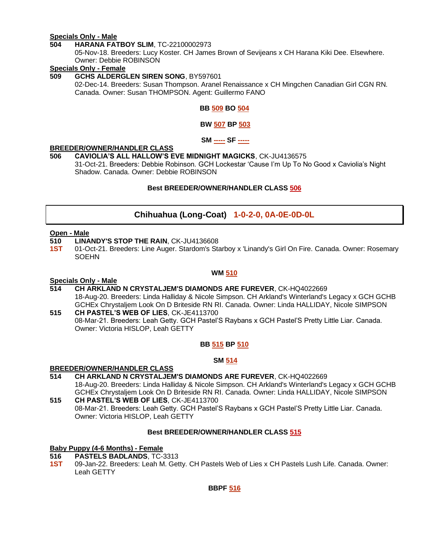#### **Specials Only - Male**

#### **504 HARANA FATBOY SLIM**, TC-22100002973

05-Nov-18. Breeders: Lucy Koster. CH James Brown of Sevijeans x CH Harana Kiki Dee. Elsewhere. Owner: Debbie ROBINSON

#### **Specials Only - Female**

#### **509 GCHS ALDERGLEN SIREN SONG**, BY597601

02-Dec-14. Breeders: Susan Thompson. Aranel Renaissance x CH Mingchen Canadian Girl CGN RN. Canada. Owner: Susan THOMPSON. Agent: Guillermo FANO

#### **BB 509 BO 504**

#### **BW 507 BP 503**

**SM ----- SF -----**

#### **BREEDER/OWNER/HANDLER CLASS**

#### **506 CAVIOLIA'S ALL HALLOW'S EVE MIDNIGHT MAGICKS**, CK-JU4136575

31-Oct-21. Breeders: Debbie Robinson. GCH Lockestar 'Cause I'm Up To No Good x Caviolia's Night Shadow. Canada. Owner: Debbie ROBINSON

#### **Best BREEDER/OWNER/HANDLER CLASS 506**

#### **Chihuahua (Long-Coat) 1-0-2-0, 0A-0E-0D-0L**

#### **Open - Male**

- **510 LINANDY'S STOP THE RAIN**, CK-JU4136608
- **1ST** 01-Oct-21. Breeders: Line Auger. Stardom's Starboy x 'Linandy's Girl On Fire. Canada. Owner: Rosemary SOEHN

#### **WM 510**

#### **Specials Only - Male**

**514 CH ARKLAND N CRYSTALJEM'S DIAMONDS ARE FUREVER**, CK-HQ4022669 18-Aug-20. Breeders: Linda Halliday & Nicole Simpson. CH Arkland's Winterland's Legacy x GCH GCHB GCHEx Chrystaljem Look On D Briteside RN RI. Canada. Owner: Linda HALLIDAY, Nicole SIMPSON

**515 CH PASTEL'S WEB OF LIES**, CK-JE4113700 08-Mar-21. Breeders: Leah Getty. GCH Pastel'S Raybans x GCH Pastel'S Pretty Little Liar. Canada. Owner: Victoria HISLOP, Leah GETTY

#### **BB 515 BP 510**

#### **SM 514**

#### **BREEDER/OWNER/HANDLER CLASS**

- **514 CH ARKLAND N CRYSTALJEM'S DIAMONDS ARE FUREVER**, CK-HQ4022669 18-Aug-20. Breeders: Linda Halliday & Nicole Simpson. CH Arkland's Winterland's Legacy x GCH GCHB GCHEx Chrystaljem Look On D Briteside RN RI. Canada. Owner: Linda HALLIDAY, Nicole SIMPSON **515 CH PASTEL'S WEB OF LIES**, CK-JE4113700
- 08-Mar-21. Breeders: Leah Getty. GCH Pastel'S Raybans x GCH Pastel'S Pretty Little Liar. Canada. Owner: Victoria HISLOP, Leah GETTY

#### **Best BREEDER/OWNER/HANDLER CLASS 515**

### **Baby Puppy (4-6 Months) - Female**

- **516 PASTELS BADLANDS**, TC-3313
- **1ST** 09-Jan-22. Breeders: Leah M. Getty. CH Pastels Web of Lies x CH Pastels Lush Life. Canada. Owner: Leah GETTY

**BBPF 516**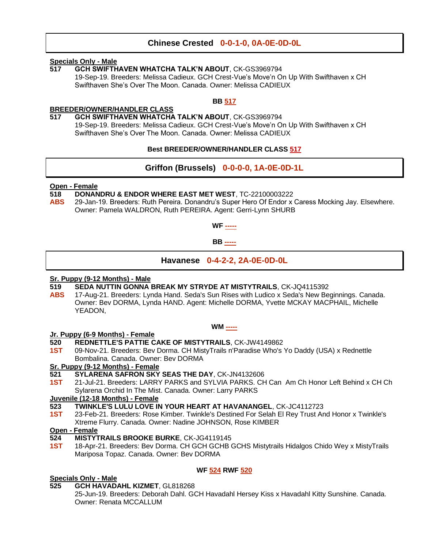#### **Chinese Crested 0-0-1-0, 0A-0E-0D-0L**

#### **Specials Only - Male**

**517 GCH SWIFTHAVEN WHATCHA TALK'N ABOUT**, CK-GS3969794 19-Sep-19. Breeders: Melissa Cadieux. GCH Crest-Vue's Move'n On Up With Swifthaven x CH Swifthaven She's Over The Moon. Canada. Owner: Melissa CADIEUX

#### **BB 517**

#### **BREEDER/OWNER/HANDLER CLASS**

**517 GCH SWIFTHAVEN WHATCHA TALK'N ABOUT**, CK-GS3969794

19-Sep-19. Breeders: Melissa Cadieux. GCH Crest-Vue's Move'n On Up With Swifthaven x CH Swifthaven She's Over The Moon. Canada. Owner: Melissa CADIEUX

#### **Best BREEDER/OWNER/HANDLER CLASS 517**

#### **Griffon (Brussels) 0-0-0-0, 1A-0E-0D-1L**

#### **Open - Female**

- **518 DONANDRU & ENDOR WHERE EAST MET WEST**, TC-22100003222
- **ABS** 29-Jan-19. Breeders: Ruth Pereira. Donandru's Super Hero Of Endor x Caress Mocking Jay. Elsewhere. Owner: Pamela WALDRON, Ruth PEREIRA. Agent: Gerri-Lynn SHURB



**BB -----**

**Havanese 0-4-2-2, 2A-0E-0D-0L**

#### **Sr. Puppy (9-12 Months) - Male**

- **519 SEDA NUTTIN GONNA BREAK MY STRYDE AT MISTYTRAILS**, CK-JQ4115392
- **ABS** 17-Aug-21. Breeders: Lynda Hand. Seda's Sun Rises with Ludico x Seda's New Beginnings. Canada. Owner: Bev DORMA, Lynda HAND. Agent: Michelle DORMA, Yvette MCKAY MACPHAIL, Michelle YEADON,

#### **WM -----**

#### **Jr. Puppy (6-9 Months) - Female**

- **520 REDNETTLE'S PATTIE CAKE OF MISTYTRAILS**, CK-JW4149862
- **1ST** 09-Nov-21. Breeders: Bev Dorma. CH MistyTrails n'Paradise Who's Yo Daddy (USA) x Rednettle Bombalina. Canada. Owner: Bev DORMA

#### **Sr. Puppy (9-12 Months) - Female**

- **521 SYLARENA SAFRON SKY SEAS THE DAY**, CK-JN4132606
- **1ST** 21-Jul-21. Breeders: LARRY PARKS and SYLVIA PARKS. CH Can Am Ch Honor Left Behind x CH Ch Sylarena Orchid In The Mist. Canada. Owner: Larry PARKS

#### **Juvenile (12-18 Months) - Female**

- **523 TWINKLE'S LULU LOVE IN YOUR HEART AT HAVANANGEL**, CK-JC4112723
- **1ST** 23-Feb-21. Breeders: Rose Kimber. Twinkle's Destined For Selah El Rey Trust And Honor x Twinkle's Xtreme Flurry. Canada. Owner: Nadine JOHNSON, Rose KIMBER

#### **Open - Female**

- **524 MISTYTRAILS BROOKE BURKE**, CK-JG4119145
- **1ST** 18-Apr-21. Breeders: Bev Dorma. CH GCH GCHB GCHS Mistytrails Hidalgos Chido Wey x MistyTrails Mariposa Topaz. Canada. Owner: Bev DORMA

#### **WF 524 RWF 520**

#### **Specials Only - Male**

**525 GCH HAVADAHL KIZMET**, GL818268

25-Jun-19. Breeders: Deborah Dahl. GCH Havadahl Hersey Kiss x Havadahl Kitty Sunshine. Canada. Owner: Renata MCCALLUM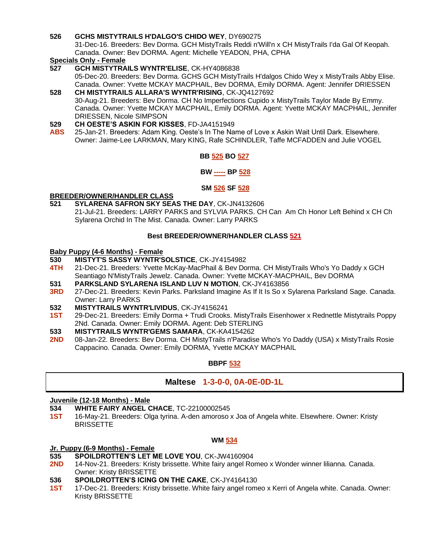#### **526 GCHS MISTYTRAILS H'DALGO'S CHIDO WEY**, DY690275

31-Dec-16. Breeders: Bev Dorma. GCH MistyTrails Reddi n'Will'n x CH MistyTrails I'da Gal Of Keopah. Canada. Owner: Bev DORMA. Agent: Michelle YEADON, PHA, CPHA

### **Specials Only - Female**

**527 GCH MISTYTRAILS WYNTR'ELISE**, CK-HY4086838

05-Dec-20. Breeders: Bev Dorma. GCHS GCH MistyTrails H'dalgos Chido Wey x MistyTrails Abby Elise. Canada. Owner: Yvette MCKAY MACPHAIL, Bev DORMA, Emily DORMA. Agent: Jennifer DRIESSEN **528 CH MISTYTRAILS ALLARA'S WYNTR'RISING**, CK-JQ4127692

30-Aug-21. Breeders: Bev Dorma. CH No Imperfections Cupido x MistyTrails Taylor Made By Emmy. Canada. Owner: Yvette MCKAY MACPHAIL, Emily DORMA. Agent: Yvette MCKAY MACPHAIL, Jennifer DRIESSEN, Nicole SIMPSON

- **529 CH OESTE'S ASKIN FOR KISSES**, FD-JA4151949
- **ABS** 25-Jan-21. Breeders: Adam King. Oeste's In The Name of Love x Askin Wait Until Dark. Elsewhere. Owner: Jaime-Lee LARKMAN, Mary KING, Rafe SCHINDLER, Taffe MCFADDEN and Julie VOGEL

#### **BB 525 BO 527**

#### **BW ----- BP 528**

#### **SM 526 SF 528**

#### **BREEDER/OWNER/HANDLER CLASS**

**521 SYLARENA SAFRON SKY SEAS THE DAY**, CK-JN4132606 21-Jul-21. Breeders: LARRY PARKS and SYLVIA PARKS. CH Can Am Ch Honor Left Behind x CH Ch Sylarena Orchid In The Mist. Canada. Owner: Larry PARKS

#### **Best BREEDER/OWNER/HANDLER CLASS 521**

#### **Baby Puppy (4-6 Months) - Female**

- **530 MISTYT'S SASSY WYNTR'SOLSTICE**, CK-JY4154982
- **4TH** 21-Dec-21. Breeders: Yvette McKay-MacPhail & Bev Dorma. CH MistyTrails Who's Yo Daddy x GCH Seantiago N'MistyTrails Jewelz. Canada. Owner: Yvette MCKAY-MACPHAIL, Bev DORMA
- **531 PARKSLAND SYLARENA ISLAND LUV N MOTION**, CK-JY4163856
- **3RD** 27-Dec-21. Breeders: Kevin Parks. Parksland Imagine As If It Is So x Sylarena Parksland Sage. Canada. Owner: Larry PARKS
- **532 MISTYTRAILS WYNTR'LIVIDUS**, CK-JY4156241
- **1ST** 29-Dec-21. Breeders: Emily Dorma + Trudi Crooks. MistyTrails Eisenhower x Rednettle Mistytrails Poppy 2Nd. Canada. Owner: Emily DORMA. Agent: Deb STERLING
- **533 MISTYTRAILS WYNTR'GEMS SAMARA**, CK-KA4154262
- **2ND** 08-Jan-22. Breeders: Bev Dorma. CH MistyTrails n'Paradise Who's Yo Daddy (USA) x MistyTrails Rosie Cappacino. Canada. Owner: Emily DORMA, Yvette MCKAY MACPHAIL

#### **BBPF 532**

#### **Maltese 1-3-0-0, 0A-0E-0D-1L**

#### **Juvenile (12-18 Months) - Male**

- **534 WHITE FAIRY ANGEL CHACE**, TC-22100002545
- **1ST** 16-May-21. Breeders: Olga tyrina. A-den amoroso x Joa of Angela white. Elsewhere. Owner: Kristy **BRISSETTE**

#### **WM 534**

#### **Jr. Puppy (6-9 Months) - Female**

- **535 SPOILDROTTEN'S LET ME LOVE YOU**, CK-JW4160904
- **2ND** 14-Nov-21. Breeders: Kristy brissette. White fairy angel Romeo x Wonder winner lilianna. Canada. Owner: Kristy BRISSETTE
- **536 SPOILDROTTEN'S ICING ON THE CAKE**, CK-JY4164130
- **1ST** 17-Dec-21. Breeders: Kristy brissette. White fairy angel romeo x Kerri of Angela white. Canada. Owner: Kristy BRISSETTE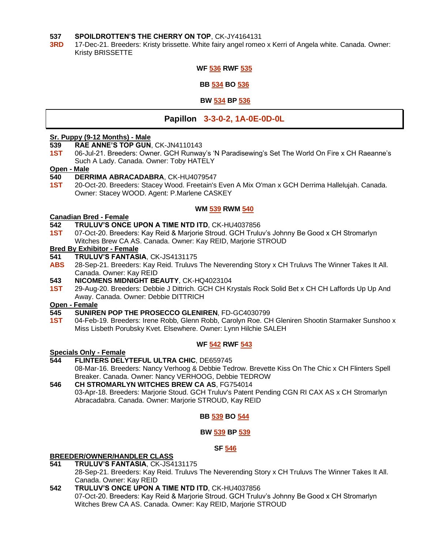#### **537 SPOILDROTTEN'S THE CHERRY ON TOP**, CK-JY4164131

**3RD** 17-Dec-21. Breeders: Kristy brissette. White fairy angel romeo x Kerri of Angela white. Canada. Owner: Kristy BRISSETTE

#### **WF 536 RWF 535**

**BB 534 BO 536**

**BW 534 BP 536**

#### **Papillon 3-3-0-2, 1A-0E-0D-0L**

#### **Sr. Puppy (9-12 Months) - Male**

#### **539 RAE ANNE'S TOP GUN**, CK-JN4110143

**1ST** 06-Jul-21. Breeders: Owner. GCH Runway's 'N Paradisewing's Set The World On Fire x CH Raeanne's Such A Lady. Canada. Owner: Toby HATELY

#### **Open - Male**

#### **540 DERRIMA ABRACADABRA**, CK-HU4079547

**1ST** 20-Oct-20. Breeders: Stacey Wood. Freetain's Even A Mix O'man x GCH Derrima Hallelujah. Canada. Owner: Stacey WOOD. Agent: P.Marlene CASKEY

#### **WM 539 RWM 540**

#### **Canadian Bred - Female**

- **542 TRULUV'S ONCE UPON A TIME NTD ITD**, CK-HU4037856
- **1ST** 07-Oct-20. Breeders: Kay Reid & Marjorie Stroud. GCH Truluv's Johnny Be Good x CH Stromarlyn Witches Brew CA AS. Canada. Owner: Kay REID, Marjorie STROUD

#### **Bred By Exhibitor - Female**

- **541 TRULUV'S FANTASIA**, CK-JS4131175
- **ABS** 28-Sep-21. Breeders: Kay Reid. Truluvs The Neverending Story x CH Truluvs The Winner Takes It All. Canada. Owner: Kay REID
- **543 NICOMENS MIDNIGHT BEAUTY**, CK-HQ4023104
- **1ST** 29-Aug-20. Breeders: Debbie J Dittrich. GCH CH Krystals Rock Solid Bet x CH CH Laffords Up Up And Away. Canada. Owner: Debbie DITTRICH

#### **Open - Female**

- **545 SUNIREN POP THE PROSECCO GLENIREN**, FD-GC4030799
- **1ST** 04-Feb-19. Breeders: Irene Robb, Glenn Robb, Carolyn Roe. CH Gleniren Shootin Starmaker Sunshoo x Miss Lisbeth Porubsky Kvet. Elsewhere. Owner: Lynn Hilchie SALEH

#### **WF 542 RWF 543**

#### **Specials Only - Female**

- **544 FLINTERS DELYTEFUL ULTRA CHIC**, DE659745 08-Mar-16. Breeders: Nancy Verhoog & Debbie Tedrow. Brevette Kiss On The Chic x CH Flinters Spell Breaker. Canada. Owner: Nancy VERHOOG, Debbie TEDROW
- **546 CH STROMARLYN WITCHES BREW CA AS**, FG754014 03-Apr-18. Breeders: Marjorie Stoud. GCH Truluv's Patent Pending CGN RI CAX AS x CH Stromarlyn Abracadabra. Canada. Owner: Marjorie STROUD, Kay REID

#### **BB 539 BO 544**

#### **BW 539 BP 539**

#### **SF 546**

#### **BREEDER/OWNER/HANDLER CLASS**

- **541 TRULUV'S FANTASIA**, CK-JS4131175 28-Sep-21. Breeders: Kay Reid. Truluvs The Neverending Story x CH Truluvs The Winner Takes It All. Canada. Owner: Kay REID
- **542 TRULUV'S ONCE UPON A TIME NTD ITD**, CK-HU4037856 07-Oct-20. Breeders: Kay Reid & Marjorie Stroud. GCH Truluv's Johnny Be Good x CH Stromarlyn Witches Brew CA AS. Canada. Owner: Kay REID, Marjorie STROUD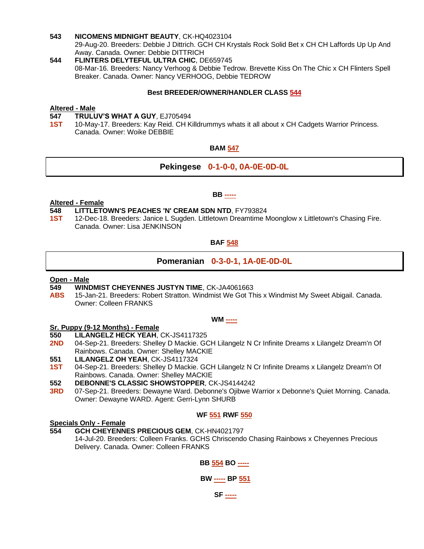#### **543 NICOMENS MIDNIGHT BEAUTY**, CK-HQ4023104

29-Aug-20. Breeders: Debbie J Dittrich. GCH CH Krystals Rock Solid Bet x CH CH Laffords Up Up And Away. Canada. Owner: Debbie DITTRICH

**544 FLINTERS DELYTEFUL ULTRA CHIC**, DE659745 08-Mar-16. Breeders: Nancy Verhoog & Debbie Tedrow. Brevette Kiss On The Chic x CH Flinters Spell Breaker. Canada. Owner: Nancy VERHOOG, Debbie TEDROW

#### **Best BREEDER/OWNER/HANDLER CLASS 544**

#### **Altered - Male**

- **547 TRULUV'S WHAT A GUY**, EJ705494
- **1ST** 10-May-17. Breeders: Kay Reid. CH Killdrummys whats it all about x CH Cadgets Warrior Princess. Canada. Owner: Woike DEBBIE

#### **BAM 547**

#### **Pekingese 0-1-0-0, 0A-0E-0D-0L**

**BB -----**

#### **Altered - Female**

#### **548 LITTLETOWN'S PEACHES 'N' CREAM SDN NTD**, FY793824

**1ST** 12-Dec-18. Breeders: Janice L Sugden. Littletown Dreamtime Moonglow x Littletown's Chasing Fire. Canada. Owner: Lisa JENKINSON

#### **BAF 548**

#### **Pomeranian 0-3-0-1, 1A-0E-0D-0L**

#### **Open - Male**

- **549 WINDMIST CHEYENNES JUSTYN TIME**, CK-JA4061663
- **ABS** 15-Jan-21. Breeders: Robert Stratton. Windmist We Got This x Windmist My Sweet Abigail. Canada. Owner: Colleen FRANKS

#### **WM -----**

#### **Sr. Puppy (9-12 Months) - Female**

**550 LILANGELZ HECK YEAH**, CK-JS4117325

- 2ND 04-Sep-21. Breeders: Shelley D Mackie. GCH Lilangelz N Cr Infinite Dreams x Lilangelz Dream'n Of Rainbows. Canada. Owner: Shelley MACKIE
- **551 LILANGELZ OH YEAH**, CK-JS4117324
- **1ST** 04-Sep-21. Breeders: Shelley D Mackie. GCH Lilangelz N Cr Infinite Dreams x Lilangelz Dream'n Of Rainbows. Canada. Owner: Shelley MACKIE
- **552 DEBONNE'S CLASSIC SHOWSTOPPER**, CK-JS4144242
- **3RD** 07-Sep-21. Breeders: Dewayne Ward. Debonne's Ojibwe Warrior x Debonne's Quiet Morning. Canada. Owner: Dewayne WARD. Agent: Gerri-Lynn SHURB

#### **WF 551 RWF 550**

### **Specials Only - Female**

**554 GCH CHEYENNES PRECIOUS GEM**, CK-HN4021797 14-Jul-20. Breeders: Colleen Franks. GCHS Chriscendo Chasing Rainbows x Cheyennes Precious Delivery. Canada. Owner: Colleen FRANKS

#### **BB 554 BO -----**

#### **BW ----- BP 551**

#### **SF -----**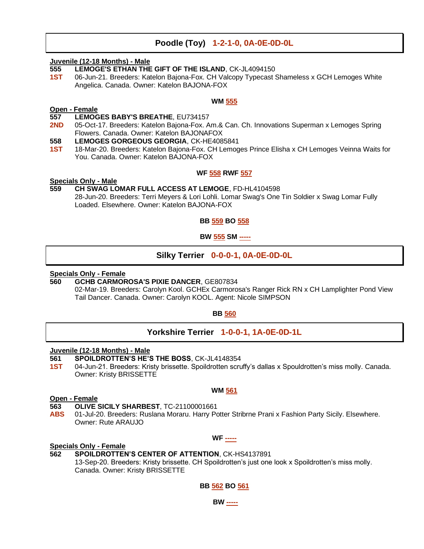#### **Poodle (Toy) 1-2-1-0, 0A-0E-0D-0L**

#### **Juvenile (12-18 Months) - Male**

- **555 LEMOGE'S ETHAN THE GIFT OF THE ISLAND**, CK-JL4094150
- **1ST** 06-Jun-21. Breeders: Katelon Bajona-Fox. CH Valcopy Typecast Shameless x GCH Lemoges White Angelica. Canada. Owner: Katelon BAJONA-FOX

#### **WM 555**

#### **Open - Female**

#### **557 LEMOGES BABY'S BREATHE**, EU734157

- **2ND** 05-Oct-17. Breeders: Katelon Bajona-Fox. Am.& Can. Ch. Innovations Superman x Lemoges Spring Flowers. Canada. Owner: Katelon BAJONAFOX
- **558 LEMOGES GORGEOUS GEORGIA**, CK-HE4085841
- **1ST** 18-Mar-20. Breeders: Katelon Bajona-Fox. CH Lemoges Prince Elisha x CH Lemoges Veinna Waits for You. Canada. Owner: Katelon BAJONA-FOX

#### **WF 558 RWF 557**

#### **Specials Only - Male**

#### **559 CH SWAG LOMAR FULL ACCESS AT LEMOGE**, FD-HL4104598

28-Jun-20. Breeders: Terri Meyers & Lori Lohli. Lomar Swag's One Tin Soldier x Swag Lomar Fully Loaded. Elsewhere. Owner: Katelon BAJONA-FOX

#### **BB 559 BO 558**

#### **BW 555 SM -----**

#### **Silky Terrier 0-0-0-1, 0A-0E-0D-0L**

#### **Specials Only - Female**

**560 GCHB CARMOROSA'S PIXIE DANCER**, GE807834

02-Mar-19. Breeders: Carolyn Kool. GCHEx Carmorosa's Ranger Rick RN x CH Lamplighter Pond View Tail Dancer. Canada. Owner: Carolyn KOOL. Agent: Nicole SIMPSON

#### **BB 560**

#### **Yorkshire Terrier 1-0-0-1, 1A-0E-0D-1L**

#### **Juvenile (12-18 Months) - Male**

- **561 SPOILDROTTEN'S HE'S THE BOSS**, CK-JL4148354
- **1ST** 04-Jun-21. Breeders: Kristy brissette. Spoildrotten scruffy's dallas x Spouldrotten's miss molly. Canada. Owner: Kristy BRISSETTE

#### **WM 561**

#### **Open - Female**

**563 OLIVE SICILY SHARBEST**, TC-21100001661

**ABS** 01-Jul-20. Breeders: Ruslana Moraru. Harry Potter Stribrne Prani x Fashion Party Sicily. Elsewhere. Owner: Rute ARAUJO

#### **WF -----**

#### **Specials Only - Female**

**562 SPOILDROTTEN'S CENTER OF ATTENTION**, CK-HS4137891 13-Sep-20. Breeders: Kristy brissette. CH Spoildrotten's just one look x Spoildrotten's miss molly. Canada. Owner: Kristy BRISSETTE

**BB 562 BO 561**

**BW -----**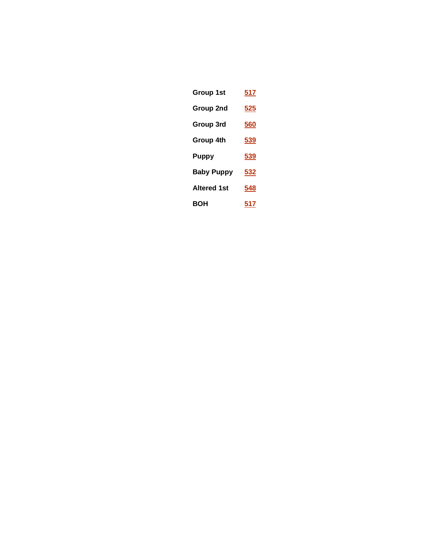| <b>Group 1st</b>   | 517        |
|--------------------|------------|
| Group 2nd          | <u>525</u> |
| Group 3rd          | 560        |
| Group 4th          | <u>539</u> |
| <b>Puppy</b>       | 539        |
| <b>Baby Puppy</b>  | <u>532</u> |
| <b>Altered 1st</b> | 548        |
| <b>BOH</b>         | 517        |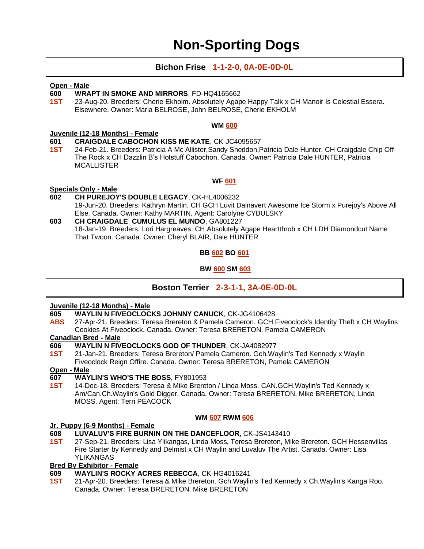### **Non-Sporting Dogs**

#### **Bichon Frise 1-1-2-0, 0A-0E-0D-0L**

#### **Open - Male**

#### **600 WRAPT IN SMOKE AND MIRRORS**, FD-HQ4165662

**1ST** 23-Aug-20. Breeders: Cherie Ekholm. Absolutely Agape Happy Talk x CH Manoir Is Celestial Essera. Elsewhere. Owner: Maria BELROSE, John BELROSE, Cherie EKHOLM

#### **WM 600**

#### **Juvenile (12-18 Months) - Female**

- **601 CRAIGDALE CABOCHON KISS ME KATE**, CK-JC4095657
- **1ST** 24-Feb-21. Breeders: Patricia A Mc Allister,Sandy Sneddon,Patricia Dale Hunter. CH Craigdale Chip Off The Rock x CH Dazzlin B's Hotstuff Cabochon. Canada. Owner: Patricia Dale HUNTER, Patricia **MCALLISTER**

#### **WF 601**

#### **Specials Only - Male**

- **602 CH PUREJOY'S DOUBLE LEGACY**, CK-HL4006232 19-Jun-20. Breeders: Kathryn Martin. CH GCH Luvit Dalnavert Awesome Ice Storm x Purejoy's Above All Else. Canada. Owner: Kathy MARTIN. Agent: Carolyne CYBULSKY **603 CH CRAIGDALE CUMULUS EL MUNDO**, GA801227
- 18-Jan-19. Breeders: Lori Hargreaves. CH Absolutely Agape Heartthrob x CH LDH Diamondcut Name That Twoon. Canada. Owner: Cheryl BLAIR, Dale HUNTER

#### **BB 602 BO 601**

#### **BW 600 SM 603**

#### **Boston Terrier 2-3-1-1, 3A-0E-0D-0L**

#### **Juvenile (12-18 Months) - Male**

- **605 WAYLIN N FIVEOCLOCKS JOHNNY CANUCK**, CK-JG4106428
- **ABS** 27-Apr-21. Breeders: Teresa Brereton & Pamela Cameron. GCH Fiveoclock's Identity Theft x CH Waylins Cookies At Fiveoclock. Canada. Owner: Teresa BRERETON, Pamela CAMERON

#### **Canadian Bred - Male**

- **606 WAYLIN N FIVEOCLOCKS GOD OF THUNDER**, CK-JA4082977
- **1ST** 21-Jan-21. Breeders: Teresa Brereton/ Pamela Cameron. Gch.Waylin's Ted Kennedy x Waylin Fiveoclock Reign Offire. Canada. Owner: Teresa BRERETON, Pamela CAMERON

**Open - Male**

#### **607 WAYLIN'S WHO'S THE BOSS**, FY801953

**1ST** 14-Dec-18. Breeders: Teresa & Mike Brereton / Linda Moss. CAN.GCH.Waylin's Ted Kennedy x Am/Can.Ch.Waylin's Gold Digger. Canada. Owner: Teresa BRERETON, Mike BRERETON, Linda MOSS. Agent: Terri PEACOCK

#### **WM 607 RWM 606**

#### **Jr. Puppy (6-9 Months) - Female**

- **608 LUVALUV'S FIRE BURNIN ON THE DANCEFLOOR**, CK-JS4143410
- **1ST** 27-Sep-21. Breeders: Lisa Ylikangas, Linda Moss, Teresa Brereton, Mike Brereton. GCH Hessenvillas Fire Starter by Kennedy and Delmist x CH Waylin and Luvaluv The Artist. Canada. Owner: Lisa YLIKANGAS

#### **Bred By Exhibitor - Female**

- **609 WAYLIN'S ROCKY ACRES REBECCA**, CK-HG4016241
- **1ST** 21-Apr-20. Breeders: Teresa & Mike Brereton. Gch.Waylin's Ted Kennedy x Ch.Waylin's Kanga Roo. Canada. Owner: Teresa BRERETON, Mike BRERETON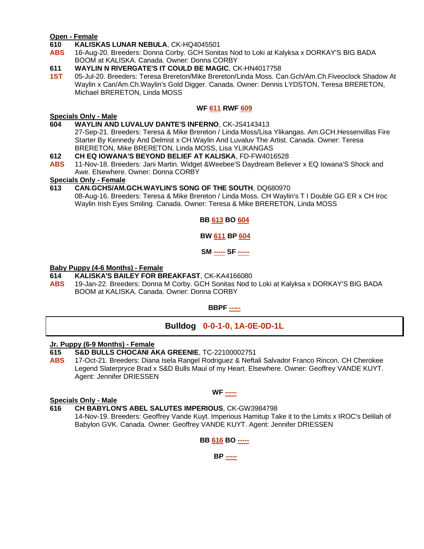#### **Open - Female**

**610 KALISKAS LUNAR NEBULA**, CK-HQ4045501

**ABS** 16-Aug-20. Breeders: Donna Corby. GCH Sonitas Nod to Loki at Kalyksa x DORKAY'S BIG BADA BOOM at KALISKA. Canada. Owner: Donna CORBY

#### **611 WAYLIN N RIVERGATE'S IT COULD BE MAGIC**, CK-HN4017758

**1ST** 05-Jul-20. Breeders: Teresa Brereton/Mike Brereton/Linda Moss. Can.Gch/Am.Ch.Fiveoclock Shadow At Waylin x Can/Am.Ch.Waylin's Gold Digger. Canada. Owner: Dennis LYDSTON, Teresa BRERETON, Michael BRERETON, Linda MOSS

#### **WF 611 RWF 609**

#### **Specials Only - Male**

- **604 WAYLIN AND LUVALUV DANTE'S INFERNO**, CK-JS4143413
	- 27-Sep-21. Breeders: Teresa & Mike Brereton / Linda Moss/Lisa Ylikangas. Am.GCH.Hessenvillas Fire Starter By Kennedy And Delmist x CH.Waylin And Luvaluv The Artist. Canada. Owner: Teresa BRERETON, Mike BRERETON, Linda MOSS, Lisa YLIKANGAS
- 
- **612 CH EQ IOWANA'S BEYOND BELIEF AT KALISKA, FD-FW4016528**<br>**ABS** 11-Nov-18. Breeders: Jani Martin. Widget &Weebee'S Davdream Belie **ABS** 11-Nov-18. Breeders: Jani Martin. Widget &Weebee'S Daydream Believer x EQ Iowana'S Shock and Awe. Elsewhere. Owner: Donna CORBY

#### **Specials Only - Female**

**613 CAN.GCHS/AM.GCH.WAYLIN'S SONG OF THE SOUTH**, DQ680970 08-Aug-16. Breeders: Teresa & Mike Brereton / Linda Moss. CH Waylin's T I Double GG ER x CH Iroc Waylin Irish Eyes Smiling. Canada. Owner: Teresa & Mike BRERETON, Linda MOSS

#### **BB 613 BO 604**

**BW 611 BP 604**

**SM ----- SF -----**

#### **Baby Puppy (4-6 Months) - Female**

- **614 KALISKA'S BAILEY FOR BREAKFAST**, CK-KA4166080
- **ABS** 19-Jan-22. Breeders: Donna M Corby. GCH Sonitas Nod to Loki at Kalyksa x DORKAY'S BIG BADA BOOM at KALISKA. Canada. Owner: Donna CORBY

**BBPF -----**

#### **Bulldog 0-0-1-0, 1A-0E-0D-1L**

#### **Jr. Puppy (6-9 Months) - Female**

**615 S&D BULLS CHOCANI AKA GREENIE**, TC-22100002751

**ABS** 17-Oct-21. Breeders: Diana Isela Rangel Rodriguez & Neftali Salvador Franco Rincon. CH Cherokee Legend Slaterpryce Brad x S&D Bulls Maui of my Heart. Elsewhere. Owner: Geoffrey VANDE KUYT. Agent: Jennifer DRIESSEN

#### **WF -----**

#### **Specials Only - Male**

**616 CH BABYLON'S ABEL SALUTES IMPERIOUS**, CK-GW3984798

14-Nov-19. Breeders: Geoffrey Vande Kuyt. Imperious Hamitup Take it to the Limits x IROC's Delilah of Babylon GVK. Canada. Owner: Geoffrey VANDE KUYT. Agent: Jennifer DRIESSEN

#### **BB 616 BO -----**

**BP -----**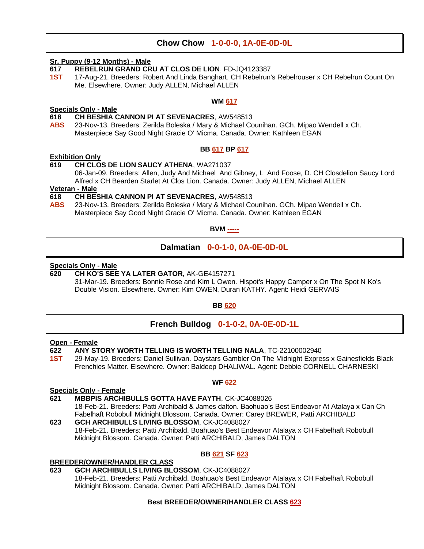#### **Chow Chow 1-0-0-0, 1A-0E-0D-0L**

#### **Sr. Puppy (9-12 Months) - Male**

- **617 REBELRUN GRAND CRU AT CLOS DE LION**, FD-JQ4123387
- **1ST** 17-Aug-21. Breeders: Robert And Linda Banghart. CH Rebelrun's Rebelrouser x CH Rebelrun Count On Me. Elsewhere. Owner: Judy ALLEN, Michael ALLEN

#### **WM 617**

#### **Specials Only - Male 618 CH BESHIA CANNON PI AT SEVENACRES**, AW548513

**ABS** 23-Nov-13. Breeders: Zerilda Boleska / Mary & Michael Counihan. GCh. Mipao Wendell x Ch. Masterpiece Say Good Night Gracie O' Micma. Canada. Owner: Kathleen EGAN

#### **BB 617 BP 617**

#### **Exhibition Only**

#### **619 CH CLOS DE LION SAUCY ATHENA**, WA271037

06-Jan-09. Breeders: Allen, Judy And Michael And Gibney, L And Foose, D. CH Closdelion Saucy Lord Alfred x CH Bearden Starlet At Clos Lion. Canada. Owner: Judy ALLEN, Michael ALLEN

#### **Veteran - Male**

#### **618 CH BESHIA CANNON PI AT SEVENACRES**, AW548513

**ABS** 23-Nov-13. Breeders: Zerilda Boleska / Mary & Michael Counihan. GCh. Mipao Wendell x Ch. Masterpiece Say Good Night Gracie O' Micma. Canada. Owner: Kathleen EGAN

**BVM -----**

#### **Dalmatian 0-0-1-0, 0A-0E-0D-0L**

#### **Specials Only - Male**

#### **620 CH KO'S SEE YA LATER GATOR**, AK-GE4157271

31-Mar-19. Breeders: Bonnie Rose and Kim L Owen. Hispot's Happy Camper x On The Spot N Ko's Double Vision. Elsewhere. Owner: Kim OWEN, Duran KATHY. Agent: Heidi GERVAIS

#### **BB 620**

#### **French Bulldog 0-1-0-2, 0A-0E-0D-1L**

### **Open - Female**

#### **622 ANY STORY WORTH TELLING IS WORTH TELLING NALA**, TC-22100002940

**1ST** 29-May-19. Breeders: Daniel Sullivan. Daystars Gambler On The Midnight Express x Gainesfields Black Frenchies Matter. Elsewhere. Owner: Baldeep DHALIWAL. Agent: Debbie CORNELL CHARNESKI

#### **WF 622**

#### **Specials Only - Female**

#### **621 MBBPIS ARCHIBULLS GOTTA HAVE FAYTH**, CK-JC4088026

18-Feb-21. Breeders: Patti Archibald & James dalton. Baohuao's Best Endeavor At Atalaya x Can Ch Fabelhaft Robobull Midnight Blossom. Canada. Owner: Carey BREWER, Patti ARCHIBALD **623 GCH ARCHIBULLS LIVING BLOSSOM**, CK-JC4088027

18-Feb-21. Breeders: Patti Archibald. Boahuao's Best Endeavor Atalaya x CH Fabelhaft Robobull Midnight Blossom. Canada. Owner: Patti ARCHIBALD, James DALTON

#### **BB 621 SF 623**

#### **BREEDER/OWNER/HANDLER CLASS**

#### **623 GCH ARCHIBULLS LIVING BLOSSOM**, CK-JC4088027

18-Feb-21. Breeders: Patti Archibald. Boahuao's Best Endeavor Atalaya x CH Fabelhaft Robobull Midnight Blossom. Canada. Owner: Patti ARCHIBALD, James DALTON

#### **Best BREEDER/OWNER/HANDLER CLASS 623**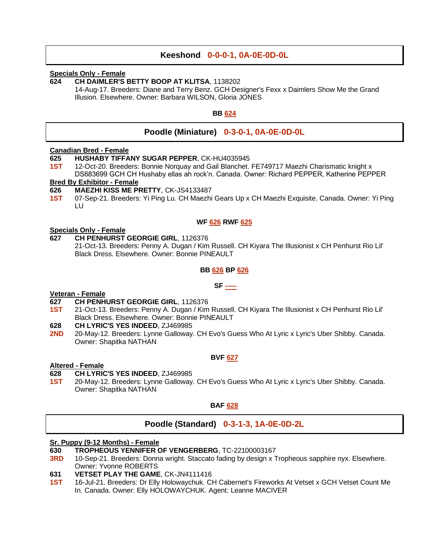#### **Keeshond 0-0-0-1, 0A-0E-0D-0L**

#### **Specials Only - Female**

#### **624 CH DAIMLER'S BETTY BOOP AT KLITSA**, 1138202

14-Aug-17. Breeders: Diane and Terry Benz. GCH Designer's Fexx x Daimlers Show Me the Grand Illusion. Elsewhere. Owner: Barbara WILSON, Gloria JONES

#### **BB 624**

#### **Poodle (Miniature) 0-3-0-1, 0A-0E-0D-0L**

#### **Canadian Bred - Female**

- **625 HUSHABY TIFFANY SUGAR PEPPER**, CK-HU4035945
- **1ST** 12-Oct-20. Breeders: Bonnie Norquay and Gail Blanchet. FE749717 Maezhi Charismatic knight x DS683699 GCH CH Hushaby ellas ah rock'n. Canada. Owner: Richard PEPPER, Katherine PEPPER

#### **Bred By Exhibitor - Female**

- **626 MAEZHI KISS ME PRETTY**, CK-JS4133487
- **1ST** 07-Sep-21. Breeders: Yi Ping Lu. CH Maezhi Gears Up x CH Maezhi Exquisite. Canada. Owner: Yi Ping LU

#### **WF 626 RWF 625**

#### **Specials Only - Female**

#### **627 CH PENHURST GEORGIE GIRL**, 1126376

21-Oct-13. Breeders: Penny A. Dugan / Kim Russell. CH Kiyara The Illusionist x CH Penhurst Rio Lil' Black Dress. Elsewhere. Owner: Bonnie PINEAULT

#### **BB 626 BP 626**

**SF -----**

#### **Veteran - Female**

- **627 CH PENHURST GEORGIE GIRL**, 1126376
- **1ST** 21-Oct-13. Breeders: Penny A. Dugan / Kim Russell. CH Kiyara The Illusionist x CH Penhurst Rio Lil' Black Dress. Elsewhere. Owner: Bonnie PINEAULT
- **628 CH LYRIC'S YES INDEED**, ZJ469985
- **2ND** 20-May-12. Breeders: Lynne Galloway. CH Evo's Guess Who At Lyric x Lyric's Uber Shibby. Canada. Owner: Shapitka NATHAN

#### **BVF 627**

#### **Altered - Female**

#### **628 CH LYRIC'S YES INDEED**, ZJ469985

**1ST** 20-May-12. Breeders: Lynne Galloway. CH Evo's Guess Who At Lyric x Lyric's Uber Shibby. Canada. Owner: Shapitka NATHAN

#### **BAF 628**

#### **Poodle (Standard) 0-3-1-3, 1A-0E-0D-2L**

#### **Sr. Puppy (9-12 Months) - Female**

- **630 TROPHEOUS YENNIFER OF VENGERBERG**, TC-22100003167
- **3RD** 10-Sep-21. Breeders: Donna wright. Staccato fading by design x Tropheous sapphire nyx. Elsewhere. Owner: Yvonne ROBERTS
- **631 VETSET PLAY THE GAME**, CK-JN4111416
- **1ST** 16-Jul-21. Breeders: Dr Elly Holowaychuk. CH Cabernet's Fireworks At Vetset x GCH Vetset Count Me In. Canada. Owner: Elly HOLOWAYCHUK. Agent: Leanne MACIVER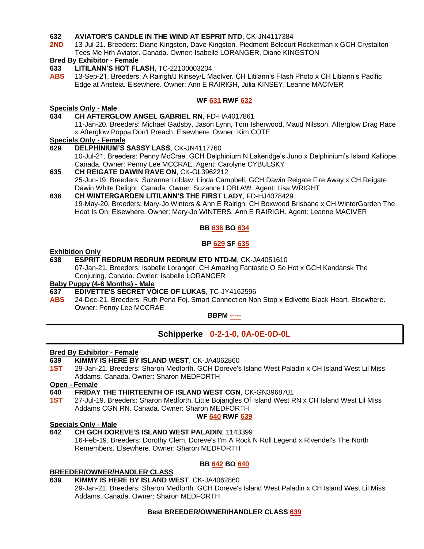#### **632 AVIATOR'S CANDLE IN THE WIND AT ESPRIT NTD**, CK-JN4117384

**2ND** 13-Jul-21. Breeders: Diane Kingston, Dave Kingston. Piedmont Belcourt Rocketman x GCH Crystalton Tees Me Hrh Aviator. Canada. Owner: Isabelle LORANGER, Diane KINGSTON

#### **Bred By Exhibitor - Female**

- **633 LITILANN'S HOT FLASH**, TC-22100003204
- **ABS** 13-Sep-21. Breeders: A Rairigh/J Kinsey/L MacIver. CH Litilann's Flash Photo x CH Litilann's Pacific Edge at Aristeia. Elsewhere. Owner: Ann E RAIRIGH, Julia KINSEY, Leanne MACIVER

#### **WF 631 RWF 632**

#### **Specials Only - Male**

#### **634 CH AFTERGLOW ANGEL GABRIEL RN**, FD-HA4017861

11-Jan-20. Breeders: Michael Gadsby, Jason Lynn, Tom Isherwood, Maud Nilsson. Afterglow Drag Race x Afterglow Poppa Don't Preach. Elsewhere. Owner: Kim COTE

#### **Specials Only - Female**

- **629 DELPHINIUM'S SASSY LASS**, CK-JN4117760 10-Jul-21. Breeders: Penny McCrae. GCH Delphinium N Lakeridge's Juno x Delphinium's Island Kalliope. Canada. Owner: Penny Lee MCCRAE. Agent: Carolyne CYBULSKY
- **635 CH REIGATE DAWIN RAVE ON**, CK-GL3962212 25-Jun-19. Breeders: Suzanne Loblaw, Linda Campbell. GCH Dawin Reigate Fire Away x CH Reigate Dawin White Delight. Canada. Owner: Suzanne LOBLAW. Agent: Lisa WRIGHT

**636 CH WINTERGARDEN LITILANN'S THE FIRST LADY**, FD-HJ4078429 19-May-20. Breeders: Mary-Jo Winters & Ann E Rairigh. CH Boxwood Brisbane x CH WinterGarden The Heat Is On. Elsewhere. Owner: Mary-Jo WINTERS, Ann E RAIRIGH. Agent: Leanne MACIVER

#### **BB 636 BO 634**

#### **BP 629 SF 635**

#### **Exhibition Only**

#### **638 ESPRIT REDRUM REDRUM REDRUM ETD NTD-M**, CK-JA4051610

07-Jan-21. Breeders: Isabelle Loranger. CH Amazing Fantastic O So Hot x GCH Kandansk The Conjuring. Canada. Owner: Isabelle LORANGER

#### **Baby Puppy (4-6 Months) - Male**

- **637 EDIVETTE'S SECRET VOICE OF LUKAS**, TC-JY4162596
- **ABS** 24-Dec-21. Breeders: Ruth Pena Foj. Smart Connection Non Stop x Edivette Black Heart. Elsewhere. Owner: Penny Lee MCCRAE

#### **BBPM -----**

#### **Schipperke 0-2-1-0, 0A-0E-0D-0L**

#### **Bred By Exhibitor - Female**

- **639 KIMMY IS HERE BY ISLAND WEST**, CK-JA4062860
- **1ST** 29-Jan-21. Breeders: Sharon Medforth. GCH Doreve's Island West Paladin x CH Island West Lil Miss Addams. Canada. Owner: Sharon MEDFORTH

#### **Open - Female**

- **640 FRIDAY THE THIRTEENTH OF ISLAND WEST CGN**, CK-GN3968701
- **1ST** 27-Jul-19. Breeders: Sharon Medforth. Little Bojangles Of Island West RN x CH Island West Lil Miss Addams CGN RN. Canada. Owner: Sharon MEDFORTH

#### **WF 640 RWF 639**

#### **Specials Only - Male**

#### **642 CH GCH DOREVE'S ISLAND WEST PALADIN**, 1143399

16-Feb-19. Breeders: Dorothy Clem. Doreve's I'm A Rock N Roll Legend x Rivendel's The North Remembers. Elsewhere. Owner: Sharon MEDFORTH

#### **BB 642 BO 640**

### **BREEDER/OWNER/HANDLER CLASS**<br>639 KIMMY IS HERE BY ISLAND W

#### **639 KIMMY IS HERE BY ISLAND WEST**, CK-JA4062860

29-Jan-21. Breeders: Sharon Medforth. GCH Doreve's Island West Paladin x CH Island West Lil Miss Addams. Canada. Owner: Sharon MEDFORTH

#### **Best BREEDER/OWNER/HANDLER CLASS 639**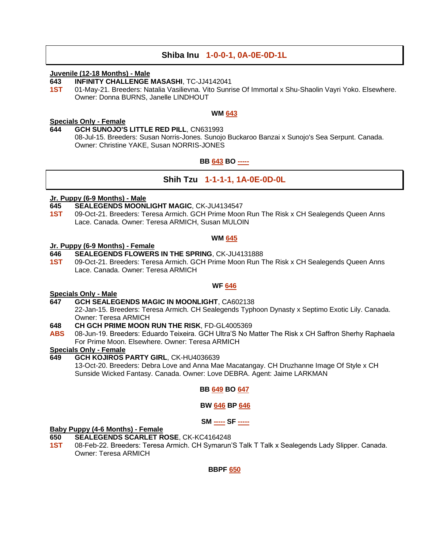#### **Shiba Inu 1-0-0-1, 0A-0E-0D-1L**

#### **Juvenile (12-18 Months) - Male**

**643 INFINITY CHALLENGE MASASHI**, TC-JJ4142041

**1ST** 01-May-21. Breeders: Natalia Vasilievna. Vito Sunrise Of Immortal x Shu-Shaolin Vayri Yoko. Elsewhere. Owner: Donna BURNS, Janelle LINDHOUT

#### **WM 643**

#### **Specials Only - Female**

**644 GCH SUNOJO'S LITTLE RED PILL**, CN631993 08-Jul-15. Breeders: Susan Norris-Jones. Sunojo Buckaroo Banzai x Sunojo's Sea Serpunt. Canada. Owner: Christine YAKE, Susan NORRIS-JONES

#### **BB 643 BO -----**

#### **Shih Tzu 1-1-1-1, 1A-0E-0D-0L**

#### **Jr. Puppy (6-9 Months) - Male**

- **645 SEALEGENDS MOONLIGHT MAGIC**, CK-JU4134547
- **1ST** 09-Oct-21. Breeders: Teresa Armich. GCH Prime Moon Run The Risk x CH Sealegends Queen Anns Lace. Canada. Owner: Teresa ARMICH, Susan MULOIN

#### **WM 645**

#### **Jr. Puppy (6-9 Months) - Female**

#### **646 SEALEGENDS FLOWERS IN THE SPRING**, CK-JU4131888

**1ST** 09-Oct-21. Breeders: Teresa Armich. GCH Prime Moon Run The Risk x CH Sealegends Queen Anns Lace. Canada. Owner: Teresa ARMICH

**WF 646**

#### **Specials Only - Male**

#### **647 GCH SEALEGENDS MAGIC IN MOONLIGHT**, CA602138

22-Jan-15. Breeders: Teresa Armich. CH Sealegends Typhoon Dynasty x Septimo Exotic Lily. Canada. Owner: Teresa ARMICH

#### **648 CH GCH PRIME MOON RUN THE RISK**, FD-GL4005369

**ABS** 08-Jun-19. Breeders: Eduardo Teixeira. GCH Ultra'S No Matter The Risk x CH Saffron Sherhy Raphaela For Prime Moon. Elsewhere. Owner: Teresa ARMICH

#### **Specials Only - Female**

**649 GCH KOJIROS PARTY GIRL**, CK-HU4036639 13-Oct-20. Breeders: Debra Love and Anna Mae Macatangay. CH Druzhanne Image Of Style x CH Sunside Wicked Fantasy. Canada. Owner: Love DEBRA. Agent: Jaime LARKMAN

#### **BB 649 BO 647**

#### **BW 646 BP 646**

#### **SM ----- SF -----**

#### **Baby Puppy (4-6 Months) - Female**

- **650 SEALEGENDS SCARLET ROSE**, CK-KC4164248
- **1ST** 08-Feb-22. Breeders: Teresa Armich. CH Symarun'S Talk T Talk x Sealegends Lady Slipper. Canada. Owner: Teresa ARMICH

**BBPF 650**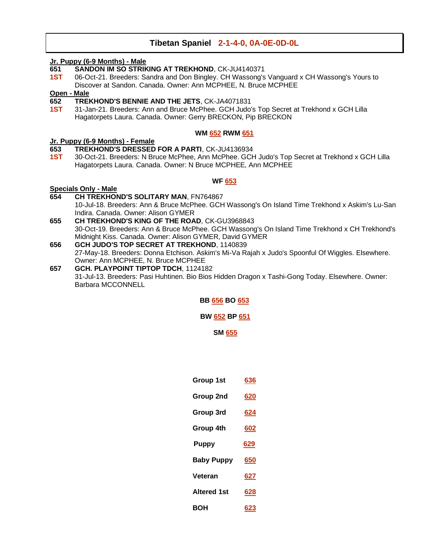#### **Tibetan Spaniel 2-1-4-0, 0A-0E-0D-0L**

#### **Jr. Puppy (6-9 Months) - Male**

- **651 SANDON IM SO STRIKING AT TREKHOND**, CK-JU4140371
- **1ST** 06-Oct-21. Breeders: Sandra and Don Bingley. CH Wassong's Vanguard x CH Wassong's Yours to Discover at Sandon. Canada. Owner: Ann MCPHEE, N. Bruce MCPHEE

#### **Open - Male**

- **652 TREKHOND'S BENNIE AND THE JETS**, CK-JA4071831
- **1ST** 31-Jan-21. Breeders: Ann and Bruce McPhee. GCH Judo's Top Secret at Trekhond x GCH Lilla Hagatorpets Laura. Canada. Owner: Gerry BRECKON, Pip BRECKON

#### **WM 652 RWM 651**

#### **Jr. Puppy (6-9 Months) - Female**

- **653 TREKHOND'S DRESSED FOR A PARTI**, CK-JU4136934
- **1ST** 30-Oct-21. Breeders: N Bruce McPhee, Ann McPhee. GCH Judo's Top Secret at Trekhond x GCH Lilla Hagatorpets Laura. Canada. Owner: N Bruce MCPHEE, Ann MCPHEE

#### **WF 653**

#### **Specials Only - Male**

- **654 CH TREKHOND'S SOLITARY MAN**, FN764867 10-Jul-18. Breeders: Ann & Bruce McPhee. GCH Wassong's On Island Time Trekhond x Askim's Lu-San Indira. Canada. Owner: Alison GYMER
- **655 CH TREKHOND'S KING OF THE ROAD**, CK-GU3968843 30-Oct-19. Breeders: Ann & Bruce McPhee. GCH Wassong's On Island Time Trekhond x CH Trekhond's Midnight Kiss. Canada. Owner: Alison GYMER, David GYMER
- **656 GCH JUDO'S TOP SECRET AT TREKHOND**, 1140839 27-May-18. Breeders: Donna Etchison. Askim's Mi-Va Rajah x Judo's Spoonful Of Wiggles. Elsewhere. Owner: Ann MCPHEE, N. Bruce MCPHEE
- **657 GCH. PLAYPOINT TIPTOP TDCH**, 1124182 31-Jul-13. Breeders: Pasi Huhtinen. Bio Bios Hidden Dragon x Tashi-Gong Today. Elsewhere. Owner: Barbara MCCONNELL

**BB 656 BO 653**

**BW 652 BP 651**

**SM 655**

| Group 1st          | 636        |
|--------------------|------------|
| Group 2nd          | 620        |
| Group 3rd          | 624        |
| Group 4th          | 602        |
| Puppy              | <u>629</u> |
| <b>Baby Puppy</b>  | 650        |
| Veteran            | 627        |
| <b>Altered 1st</b> | 628        |
| вон                | 623        |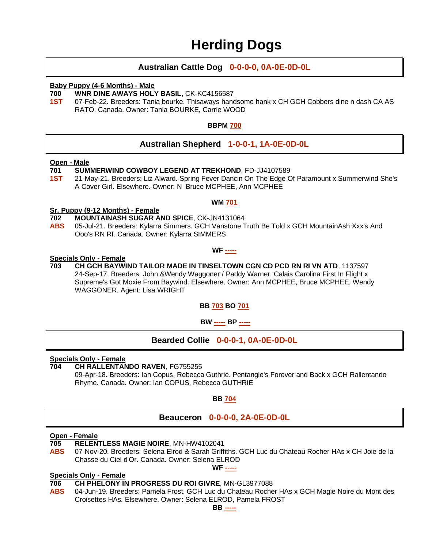### **Herding Dogs**

#### **Australian Cattle Dog 0-0-0-0, 0A-0E-0D-0L**

#### **Baby Puppy (4-6 Months) - Male**

#### **700 WNR DINE AWAYS HOLY BASIL**, CK-KC4156587

**1ST** 07-Feb-22. Breeders: Tania bourke. Thisaways handsome hank x CH GCH Cobbers dine n dash CA AS RATO. Canada. Owner: Tania BOURKE, Carrie WOOD

#### **BBPM 700**

#### **Australian Shepherd 1-0-0-1, 1A-0E-0D-0L**

#### **Open - Male**

- **701 SUMMERWIND COWBOY LEGEND AT TREKHOND**, FD-JJ4107589
- **1ST** 21-May-21. Breeders: Liz Alward. Spring Fever Dancin On The Edge Of Paramount x Summerwind She's A Cover Girl. Elsewhere. Owner: N Bruce MCPHEE, Ann MCPHEE

#### **WM 701**

#### **Sr. Puppy (9-12 Months) - Female**

- **702 MOUNTAINASH SUGAR AND SPICE**, CK-JN4131064
- **ABS** 05-Jul-21. Breeders: Kylarra Simmers. GCH Vanstone Truth Be Told x GCH MountainAsh Xxx's And Ooo's RN RI. Canada. Owner: Kylarra SIMMERS

#### **WF -----**

#### **Specials Only - Female**

**703 CH GCH BAYWIND TAILOR MADE IN TINSELTOWN CGN CD PCD RN RI VN ATD**, 1137597 24-Sep-17. Breeders: John &Wendy Waggoner / Paddy Warner. Calais Carolina First In Flight x Supreme's Got Moxie From Baywind. Elsewhere. Owner: Ann MCPHEE, Bruce MCPHEE, Wendy WAGGONER. Agent: Lisa WRIGHT

**BB 703 BO 701**

**BW ----- BP -----**

#### **Bearded Collie 0-0-0-1, 0A-0E-0D-0L**

#### **Specials Only - Female**

#### **704 CH RALLENTANDO RAVEN**, FG755255

09-Apr-18. Breeders: Ian Copus, Rebecca Guthrie. Pentangle's Forever and Back x GCH Rallentando Rhyme. Canada. Owner: Ian COPUS, Rebecca GUTHRIE

#### **BB 704**

#### **Beauceron 0-0-0-0, 2A-0E-0D-0L**

#### **Open - Female**

**705 RELENTLESS MAGIE NOIRE**, MN-HW4102041

**ABS** 07-Nov-20. Breeders: Selena Elrod & Sarah Griffiths. GCH Luc du Chateau Rocher HAs x CH Joie de la Chasse du Ciel d'Or. Canada. Owner: Selena ELROD **WF -----**

#### **Specials Only - Female**

- **706 CH PHELONY IN PROGRESS DU ROI GIVRE**, MN-GL3977088
- **ABS** 04-Jun-19. Breeders: Pamela Frost. GCH Luc du Chateau Rocher HAs x GCH Magie Noire du Mont des Croisettes HAs. Elsewhere. Owner: Selena ELROD, Pamela FROST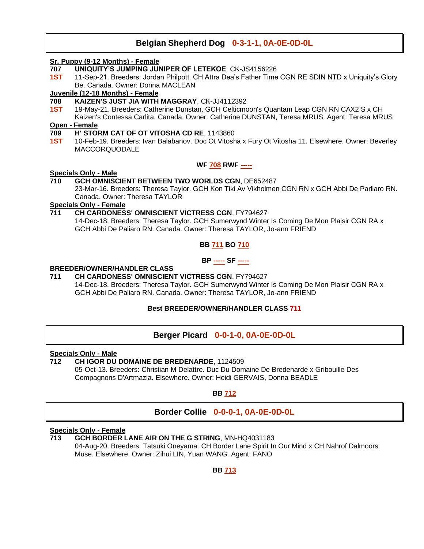#### **Belgian Shepherd Dog 0-3-1-1, 0A-0E-0D-0L**

#### **Sr. Puppy (9-12 Months) - Female**

- **707 UNIQUITY'S JUMPING JUNIPER OF LETEKOE**, CK-JS4156226
- **1ST** 11-Sep-21. Breeders: Jordan Philpott. CH Attra Dea's Father Time CGN RE SDIN NTD x Uniquity's Glory Be. Canada. Owner: Donna MACLEAN

#### **Juvenile (12-18 Months) - Female**

- **708 KAIZEN'S JUST JIA WITH MAGGRAY**, CK-JJ4112392
- **1ST** 19-May-21. Breeders: Catherine Dunstan. GCH Celticmoon's Quantam Leap CGN RN CAX2 S x CH Kaizen's Contessa Carlita. Canada. Owner: Catherine DUNSTAN, Teresa MRUS. Agent: Teresa MRUS

#### **Open - Female**

- **709 H' STORM CAT OF OT VITOSHA CD RE**, 1143860
- **1ST** 10-Feb-19. Breeders: Ivan Balabanov. Doc Ot Vitosha x Fury Ot Vitosha 11. Elsewhere. Owner: Beverley MACCORQUODALE

#### **WF 708 RWF -----**

#### **Specials Only - Male**

#### **710 GCH OMNISCIENT BETWEEN TWO WORLDS CGN**, DE652487

23-Mar-16. Breeders: Theresa Taylor. GCH Kon Tiki Av Vikholmen CGN RN x GCH Abbi De Parliaro RN. Canada. Owner: Theresa TAYLOR

#### **Specials Only - Female**

#### **711 CH CARDONESS' OMNISCIENT VICTRESS CGN**, FY794627

14-Dec-18. Breeders: Theresa Taylor. GCH Sumerwynd Winter Is Coming De Mon Plaisir CGN RA x GCH Abbi De Paliaro RN. Canada. Owner: Theresa TAYLOR, Jo-ann FRIEND

**BB 711 BO 710**

**BP ----- SF -----**

#### **BREEDER/OWNER/HANDLER CLASS**

#### **711 CH CARDONESS' OMNISCIENT VICTRESS CGN**, FY794627

14-Dec-18. Breeders: Theresa Taylor. GCH Sumerwynd Winter Is Coming De Mon Plaisir CGN RA x GCH Abbi De Paliaro RN. Canada. Owner: Theresa TAYLOR, Jo-ann FRIEND

#### **Best BREEDER/OWNER/HANDLER CLASS 711**

#### **Berger Picard 0-0-1-0, 0A-0E-0D-0L**

#### **Specials Only - Male**

**712 CH IGOR DU DOMAINE DE BREDENARDE**, 1124509 05-Oct-13. Breeders: Christian M Delattre. Duc Du Domaine De Bredenarde x Gribouille Des Compagnons D'Artmazia. Elsewhere. Owner: Heidi GERVAIS, Donna BEADLE

#### **BB 712**

### **Border Collie 0-0-0-1, 0A-0E-0D-0L**

#### **Specials Only - Female**

**713 GCH BORDER LANE AIR ON THE G STRING**, MN-HQ4031183 04-Aug-20. Breeders: Tatsuki Oneyama. CH Border Lane Spirit In Our Mind x CH Nahrof Dalmoors Muse. Elsewhere. Owner: Zihui LIN, Yuan WANG. Agent: FANO

#### **BB 713**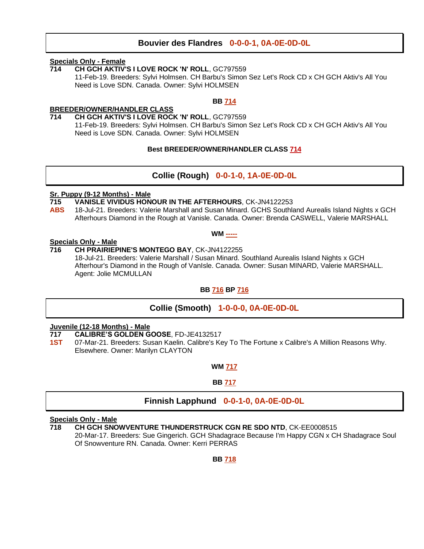#### **Bouvier des Flandres 0-0-0-1, 0A-0E-0D-0L**

#### **Specials Only - Female**

**714 CH GCH AKTIV'S I LOVE ROCK 'N' ROLL**, GC797559 11-Feb-19. Breeders: Sylvi Holmsen. CH Barbu's Simon Sez Let's Rock CD x CH GCH Aktiv's All You Need is Love SDN. Canada. Owner: Sylvi HOLMSEN

#### **BB 714**

#### **BREEDER/OWNER/HANDLER CLASS**

#### **714 CH GCH AKTIV'S I LOVE ROCK 'N' ROLL**, GC797559

11-Feb-19. Breeders: Sylvi Holmsen. CH Barbu's Simon Sez Let's Rock CD x CH GCH Aktiv's All You Need is Love SDN. Canada. Owner: Sylvi HOLMSEN

#### **Best BREEDER/OWNER/HANDLER CLASS 714**

#### **Collie (Rough) 0-0-1-0, 1A-0E-0D-0L**

### **Sr. Puppy (9-12 Months) - Male**

#### **715 VANISLE VIVIDUS HONOUR IN THE AFTERHOURS**, CK-JN4122253

**ABS** 18-Jul-21. Breeders: Valerie Marshall and Susan Minard. GCHS Southland Aurealis Island Nights x GCH Afterhours Diamond in the Rough at Vanisle. Canada. Owner: Brenda CASWELL, Valerie MARSHALL

#### **WM -----**

### **Specials Only - Male**

**716 CH PRAIRIEPINE'S MONTEGO BAY**, CK-JN4122255 18-Jul-21. Breeders: Valerie Marshall / Susan Minard. Southland Aurealis Island Nights x GCH Afterhour's Diamond in the Rough of VanIsle. Canada. Owner: Susan MINARD, Valerie MARSHALL. Agent: Jolie MCMULLAN

#### **BB 716 BP 716**

#### **Collie (Smooth) 1-0-0-0, 0A-0E-0D-0L**

#### **Juvenile (12-18 Months) - Male**

- **717 CALIBRE'S GOLDEN GOOSE**, FD-JE4132517
- **1ST** 07-Mar-21. Breeders: Susan Kaelin. Calibre's Key To The Fortune x Calibre's A Million Reasons Why. Elsewhere. Owner: Marilyn CLAYTON

**WM 717**

#### **BB 717**

#### **Finnish Lapphund 0-0-1-0, 0A-0E-0D-0L**

#### **Specials Only - Male**

**718 CH GCH SNOWVENTURE THUNDERSTRUCK CGN RE SDO NTD**, CK-EE0008515 20-Mar-17. Breeders: Sue Gingerich. GCH Shadagrace Because I'm Happy CGN x CH Shadagrace Soul Of Snowventure RN. Canada. Owner: Kerri PERRAS

**BB 718**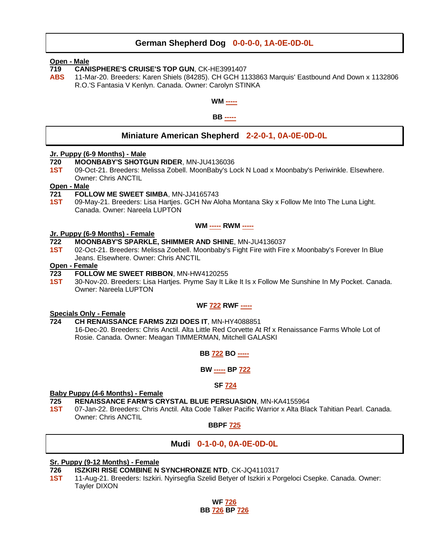#### **German Shepherd Dog 0-0-0-0, 1A-0E-0D-0L**

#### **Open - Male**

- **719 CANISPHERE'S CRUISE'S TOP GUN**, CK-HE3991407
- **ABS** 11-Mar-20. Breeders: Karen Shiels (84285). CH GCH 1133863 Marquis' Eastbound And Down x 1132806 R.O.'S Fantasia V Kenlyn. Canada. Owner: Carolyn STINKA



#### **Miniature American Shepherd 2-2-0-1, 0A-0E-0D-0L**

#### **Jr. Puppy (6-9 Months) - Male**

- **720 MOONBABY'S SHOTGUN RIDER**, MN-JU4136036
- **1ST** 09-Oct-21. Breeders: Melissa Zobell. MoonBaby's Lock N Load x Moonbaby's Periwinkle. Elsewhere. Owner: Chris ANCTIL

#### **Open - Male**

- **721 FOLLOW ME SWEET SIMBA**, MN-JJ4165743
- **1ST** 09-May-21. Breeders: Lisa Hartjes. GCH Nw Aloha Montana Sky x Follow Me Into The Luna Light. Canada. Owner: Nareela LUPTON

#### **WM ----- RWM -----**

#### **Jr. Puppy (6-9 Months) - Female**

- **722 MOONBABY'S SPARKLE, SHIMMER AND SHINE**, MN-JU4136037
- **1ST** 02-Oct-21. Breeders: Melissa Zoebell. Moonbaby's Fight Fire with Fire x Moonbaby's Forever In Blue Jeans. Elsewhere. Owner: Chris ANCTIL

#### **Open - Female**

- **723 FOLLOW ME SWEET RIBBON**, MN-HW4120255
- **1ST** 30-Nov-20. Breeders: Lisa Hartjes. Pryme Say It Like It Is x Follow Me Sunshine In My Pocket. Canada. Owner: Nareela LUPTON

#### **WF 722 RWF -----**

### **Specials Only - Female**

**724 CH RENAISSANCE FARMS ZIZI DOES IT**, MN-HY4088851

16-Dec-20. Breeders: Chris Anctil. Alta Little Red Corvette At Rf x Renaissance Farms Whole Lot of Rosie. Canada. Owner: Meagan TIMMERMAN, Mitchell GALASKI

#### **BB 722 BO -----**

#### **BW ----- BP 722**

#### **SF 724**

#### **Baby Puppy (4-6 Months) - Female**

- **725 RENAISSANCE FARM'S CRYSTAL BLUE PERSUASION**, MN-KA4155964
- **1ST** 07-Jan-22. Breeders: Chris Anctil. Alta Code Talker Pacific Warrior x Alta Black Tahitian Pearl. Canada. Owner: Chris ANCTIL

#### **BBPF 725**

#### **Mudi 0-1-0-0, 0A-0E-0D-0L**

#### **Sr. Puppy (9-12 Months) - Female**

- **726 ISZKIRI RISE COMBINE N SYNCHRONIZE NTD**, CK-JQ4110317
- **1ST** 11-Aug-21. Breeders: Iszkiri. Nyirsegfia Szelid Betyer of Iszkiri x Porgeloci Csepke. Canada. Owner: Tayler DIXON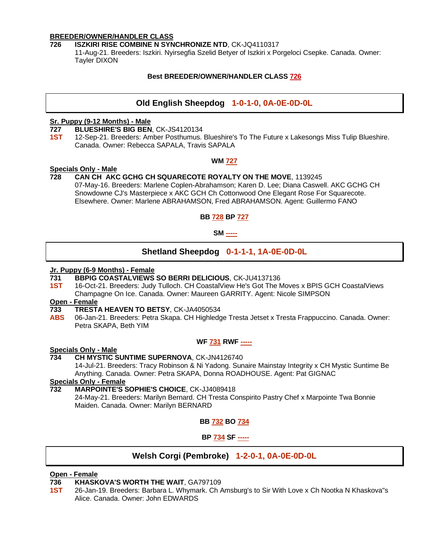#### **BREEDER/OWNER/HANDLER CLASS**

#### **726 ISZKIRI RISE COMBINE N SYNCHRONIZE NTD**, CK-JQ4110317

11-Aug-21. Breeders: Iszkiri. Nyirsegfia Szelid Betyer of Iszkiri x Porgeloci Csepke. Canada. Owner: Tayler DIXON

#### **Best BREEDER/OWNER/HANDLER CLASS 726**

#### **Old English Sheepdog 1-0-1-0, 0A-0E-0D-0L**

#### **Sr. Puppy (9-12 Months) - Male**

#### **727 BLUESHIRE'S BIG BEN**, CK-JS4120134

**1ST** 12-Sep-21. Breeders: Amber Posthumus. Blueshire's To The Future x Lakesongs Miss Tulip Blueshire. Canada. Owner: Rebecca SAPALA, Travis SAPALA

#### **WM 727**

#### **Specials Only - Male**

#### **728 CAN CH AKC GCHG CH SQUARECOTE ROYALTY ON THE MOVE**, 1139245

07-May-16. Breeders: Marlene Coplen-Abrahamson; Karen D. Lee; Diana Caswell. AKC GCHG CH Snowdowne CJ's Masterpiece x AKC GCH Ch Cottonwood One Elegant Rose For Squarecote. Elsewhere. Owner: Marlene ABRAHAMSON, Fred ABRAHAMSON. Agent: Guillermo FANO

**BB 728 BP 727**

#### **SM -----**

#### **Shetland Sheepdog 0-1-1-1, 1A-0E-0D-0L**

### **Jr. Puppy (6-9 Months) - Female**

#### **731 BBPIG COASTALVIEWS SO BERRI DELICIOUS**, CK-JU4137136

1ST 16-Oct-21. Breeders: Judy Tulloch. CH CoastalView He's Got The Moves x BPIS GCH CoastalViews Champagne On Ice. Canada. Owner: Maureen GARRITY. Agent: Nicole SIMPSON

#### **Open - Female**

- **733 TRESTA HEAVEN TO BETSY**, CK-JA4050534
- **ABS** 06-Jan-21. Breeders: Petra Skapa. CH Highledge Tresta Jetset x Tresta Frappuccino. Canada. Owner: Petra SKAPA, Beth YIM

#### **WF 731 RWF -----**

#### **Specials Only - Male**

#### **734 CH MYSTIC SUNTIME SUPERNOVA**, CK-JN4126740

14-Jul-21. Breeders: Tracy Robinson & Ni Yadong. Sunaire Mainstay Integrity x CH Mystic Suntime Be Anything. Canada. Owner: Petra SKAPA, Donna ROADHOUSE. Agent: Pat GIGNAC

#### **Specials Only - Female**

#### **732 MARPOINTE'S SOPHIE'S CHOICE**, CK-JJ4089418

24-May-21. Breeders: Marilyn Bernard. CH Tresta Conspirito Pastry Chef x Marpointe Twa Bonnie Maiden. Canada. Owner: Marilyn BERNARD

**BB 732 BO 734**

**BP 734 SF -----**

#### **Welsh Corgi (Pembroke) 1-2-0-1, 0A-0E-0D-0L**

#### **Open - Female**

#### **736 KHASKOVA'S WORTH THE WAIT**, GA797109

**1ST** 26-Jan-19. Breeders: Barbara L. Whymark. Ch Amsburg's to Sir With Love x Ch Nootka N Khaskova"s Alice. Canada. Owner: John EDWARDS